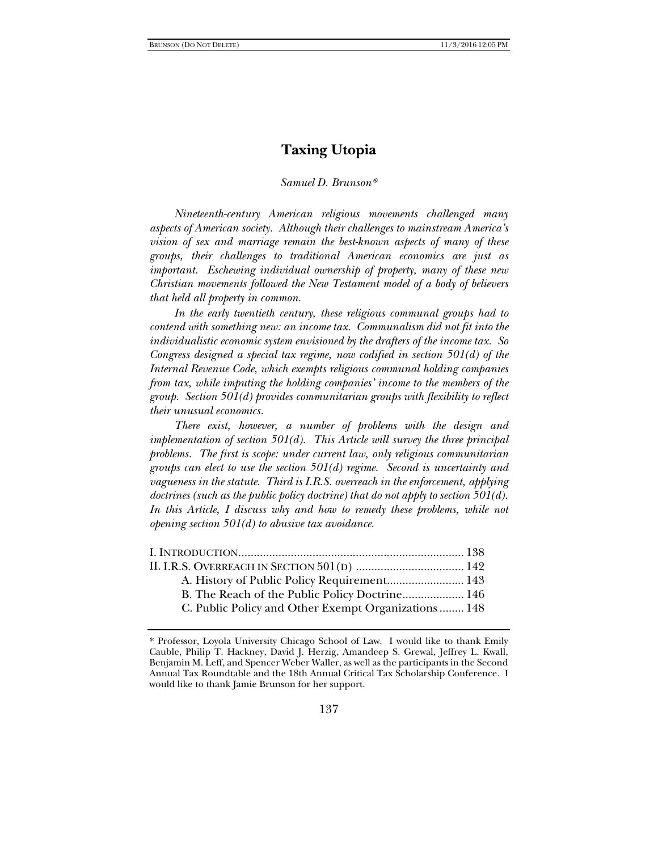# **Taxing Utopia**

# *Samuel D. Brunson\**

*Nineteenth-century American religious movements challenged many aspects of American society. Although their challenges to mainstream America's vision of sex and marriage remain the best-known aspects of many of these groups, their challenges to traditional American economics are just as important. Eschewing individual ownership of property, many of these new Christian movements followed the New Testament model of a body of believers that held all property in common.*

*In the early twentieth century, these religious communal groups had to contend with something new: an income tax. Communalism did not fit into the individualistic economic system envisioned by the drafters of the income tax. So Congress designed a special tax regime, now codified in section 501(d) of the Internal Revenue Code, which exempts religious communal holding companies from tax, while imputing the holding companies' income to the members of the group. Section 501(d) provides communitarian groups with flexibility to reflect their unusual economics.*

*There exist, however, a number of problems with the design and implementation of section 501(d). This Article will survey the three principal problems. The first is scope: under current law, only religious communitarian groups can elect to use the section 501(d) regime. Second is uncertainty and vagueness in the statute. Third is I.R.S. overreach in the enforcement, applying doctrines (such as the public policy doctrine) that do not apply to section 501(d).*  In this Article, I discuss why and how to remedy these problems, while not *opening section 501(d) to abusive tax avoidance.* 

| B. The Reach of the Public Policy Doctrine 146       |  |
|------------------------------------------------------|--|
| C. Public Policy and Other Exempt Organizations  148 |  |
|                                                      |  |

<sup>\*</sup> Professor, Loyola University Chicago School of Law. I would like to thank Emily Cauble, Philip T. Hackney, David J. Herzig, Amandeep S. Grewal, Jeffrey L. Kwall, Benjamin M. Leff, and Spencer Weber Waller, as well as the participants in the Second Annual Tax Roundtable and the 18th Annual Critical Tax Scholarship Conference. I would like to thank Jamie Brunson for her support.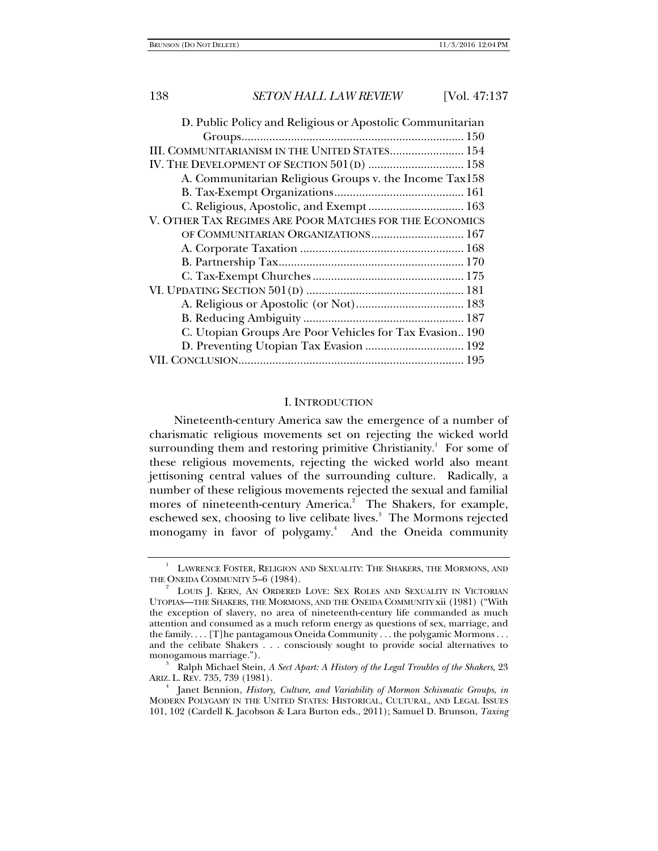## I. INTRODUCTION

Nineteenth-century America saw the emergence of a number of charismatic religious movements set on rejecting the wicked world surrounding them and restoring primitive Christianity.<sup>1</sup> For some of these religious movements, rejecting the wicked world also meant jettisoning central values of the surrounding culture. Radically, a number of these religious movements rejected the sexual and familial mores of nineteenth-century America.<sup>2</sup> The Shakers, for example, eschewed sex, choosing to live celibate lives.<sup>3</sup> The Mormons rejected monogamy in favor of polygamy.<sup>4</sup> And the Oneida community

<sup>1</sup> LAWRENCE FOSTER, RELIGION AND SEXUALITY: THE SHAKERS, THE MORMONS, AND THE ONEIDA COMMUNITY 5-6 (1984).

LOUIS J. KERN, AN ORDERED LOVE: SEX ROLES AND SEXUALITY IN VICTORIAN UTOPIAS—THE SHAKERS, THE MORMONS, AND THE ONEIDA COMMUNITY xii (1981) ("With the exception of slavery, no area of nineteenth-century life commanded as much attention and consumed as a much reform energy as questions of sex, marriage, and the family. . . . [T]he pantagamous Oneida Community . . . the polygamic Mormons . . . and the celibate Shakers . . . consciously sought to provide social alternatives to monogamous marriage."). 3

Ralph Michael Stein, *A Sect Apart: A History of the Legal Troubles of the Shakers*, 23 ARIZ. L. REV. 735, 739 (1981). 4

Janet Bennion, *History, Culture, and Variability of Mormon Schismatic Groups*, *in* MODERN POLYGAMY IN THE UNITED STATES: HISTORICAL, CULTURAL, AND LEGAL ISSUES 101, 102 (Cardell K. Jacobson & Lara Burton eds., 2011); Samuel D. Brunson, *Taxing*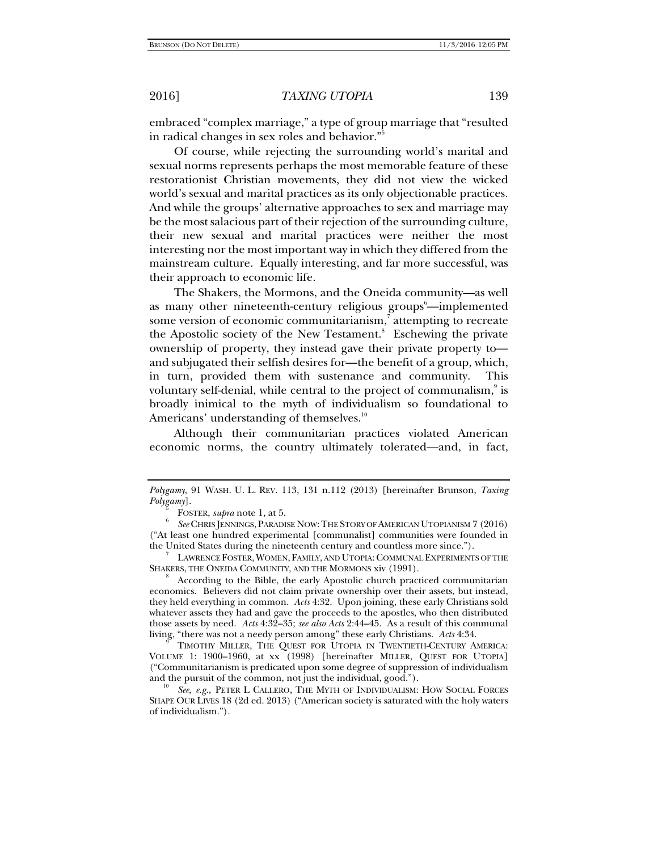embraced "complex marriage," a type of group marriage that "resulted in radical changes in sex roles and behavior."5

Of course, while rejecting the surrounding world's marital and sexual norms represents perhaps the most memorable feature of these restorationist Christian movements, they did not view the wicked world's sexual and marital practices as its only objectionable practices. And while the groups' alternative approaches to sex and marriage may be the most salacious part of their rejection of the surrounding culture, their new sexual and marital practices were neither the most interesting nor the most important way in which they differed from the mainstream culture. Equally interesting, and far more successful, was their approach to economic life.

The Shakers, the Mormons, and the Oneida community—as well as many other nineteenth-century religious groups<sup>6</sup>—implemented some version of economic communitarianism,<sup>7</sup> attempting to recreate the Apostolic society of the New Testament.<sup>8</sup> Eschewing the private ownership of property, they instead gave their private property to and subjugated their selfish desires for—the benefit of a group, which, in turn, provided them with sustenance and community. This voluntary self-denial, while central to the project of communalism, $^\circ$  is broadly inimical to the myth of individualism so foundational to Americans' understanding of themselves.<sup>10</sup>

Although their communitarian practices violated American economic norms, the country ultimately tolerated—and, in fact,

 LAWRENCE FOSTER, WOMEN, FAMILY, AND UTOPIA:COMMUNAL EXPERIMENTS OF THE SHAKERS, THE ONEIDA COMMUNITY, AND THE MORMONS xiv (1991).

 According to the Bible, the early Apostolic church practiced communitarian economics. Believers did not claim private ownership over their assets, but instead, they held everything in common. *Acts* 4:32. Upon joining, these early Christians sold whatever assets they had and gave the proceeds to the apostles, who then distributed those assets by need. *Acts* 4:32–35; *see also Acts* 2:44–45. As a result of this communal living, "there was not a needy person among" these early Christians. Acts 4:34.

 TIMOTHY MILLER, THE QUEST FOR UTOPIA IN TWENTIETH-CENTURY AMERICA: VOLUME 1: 1900–1960, at xx (1998) [hereinafter MILLER, QUEST FOR UTOPIA] ("Communitarianism is predicated upon some degree of suppression of individualism

See, e.g., PETER L CALLERO, THE MYTH OF INDIVIDUALISM: HOW SOCIAL FORCES SHAPE OUR LIVES 18 (2d ed. 2013) ("American society is saturated with the holy waters of individualism.").

*Polygamy*, 91 WASH. U. L. REV. 113, 131 n.112 (2013) [hereinafter Brunson, *Taxing*   $Polygam$ ].

FOSTER, *supra* note 1, at 5.

*See* CHRIS JENNINGS, PARADISE NOW:THE STORY OF AMERICAN UTOPIANISM 7 (2016) ("At least one hundred experimental [communalist] communities were founded in the United States during the nineteenth century and countless more since."). 7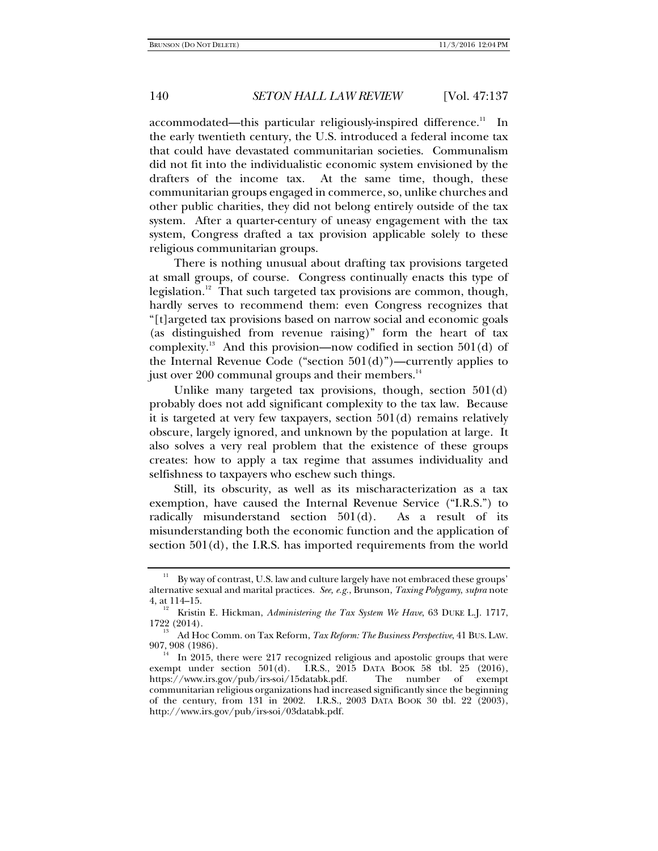$accommodated—this particular religiously-inspired difference.<sup>11</sup> In$ the early twentieth century, the U.S. introduced a federal income tax that could have devastated communitarian societies. Communalism did not fit into the individualistic economic system envisioned by the drafters of the income tax. At the same time, though, these communitarian groups engaged in commerce, so, unlike churches and other public charities, they did not belong entirely outside of the tax system. After a quarter-century of uneasy engagement with the tax system, Congress drafted a tax provision applicable solely to these religious communitarian groups.

There is nothing unusual about drafting tax provisions targeted at small groups, of course. Congress continually enacts this type of legislation.<sup>12</sup> That such targeted tax provisions are common, though, hardly serves to recommend them: even Congress recognizes that "[t]argeted tax provisions based on narrow social and economic goals (as distinguished from revenue raising)" form the heart of tax complexity.<sup>13</sup> And this provision—now codified in section  $501(d)$  of the Internal Revenue Code ("section  $501(d)$ ")—currently applies to just over 200 communal groups and their members.<sup>14</sup>

Unlike many targeted tax provisions, though, section 501(d) probably does not add significant complexity to the tax law. Because it is targeted at very few taxpayers, section 501(d) remains relatively obscure, largely ignored, and unknown by the population at large. It also solves a very real problem that the existence of these groups creates: how to apply a tax regime that assumes individuality and selfishness to taxpayers who eschew such things.

Still, its obscurity, as well as its mischaracterization as a tax exemption, have caused the Internal Revenue Service ("I.R.S.") to radically misunderstand section 501(d). As a result of its misunderstanding both the economic function and the application of section 501(d), the I.R.S. has imported requirements from the world

By way of contrast, U.S. law and culture largely have not embraced these groups' alternative sexual and marital practices. *See, e.g.*, Brunson, *Taxing Polygamy*, *supra* note

<sup>&</sup>lt;sup>12</sup> Kristin E. Hickman, *Administering the Tax System We Have*, 63 DUKE L.J. 1717, 1722 (2014).

<sup>&</sup>lt;sup>13</sup> Ad Hoc Comm. on Tax Reform, *Tax Reform: The Business Perspective*, 41 BUS. LAW.<br>907, 908 (1986).

 $14$  In 2015, there were 217 recognized religious and apostolic groups that were exempt under section 501(d). I.R.S., 2015 DATA BOOK 58 tbl. 25 (2016), https://www.irs.gov/pub/irs-soi/15databk.pdf. The number of exempt communitarian religious organizations had increased significantly since the beginning of the century, from 131 in 2002. I.R.S., 2003 DATA BOOK 30 tbl. 22 (2003), http://www.irs.gov/pub/irs-soi/03databk.pdf.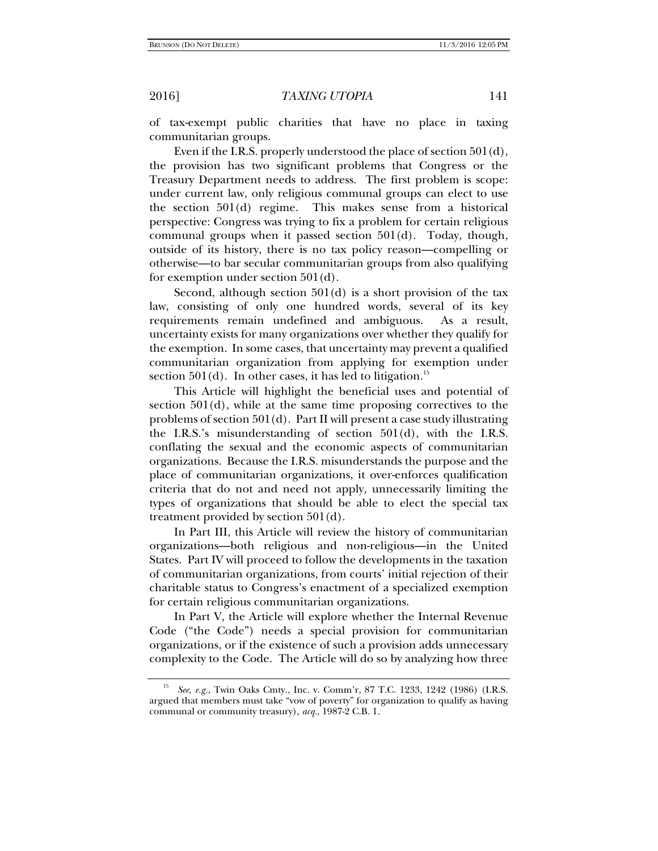of tax-exempt public charities that have no place in taxing communitarian groups.

Even if the I.R.S. properly understood the place of section 501(d), the provision has two significant problems that Congress or the Treasury Department needs to address. The first problem is scope: under current law, only religious communal groups can elect to use the section 501(d) regime. This makes sense from a historical perspective: Congress was trying to fix a problem for certain religious communal groups when it passed section 501(d). Today, though, outside of its history, there is no tax policy reason—compelling or otherwise—to bar secular communitarian groups from also qualifying for exemption under section 501(d).

Second, although section 501(d) is a short provision of the tax law, consisting of only one hundred words, several of its key requirements remain undefined and ambiguous. As a result, uncertainty exists for many organizations over whether they qualify for the exemption. In some cases, that uncertainty may prevent a qualified communitarian organization from applying for exemption under section  $501(d)$ . In other cases, it has led to litigation.<sup>15</sup>

This Article will highlight the beneficial uses and potential of section 501(d), while at the same time proposing correctives to the problems of section 501(d). Part II will present a case study illustrating the I.R.S.'s misunderstanding of section 501(d), with the I.R.S. conflating the sexual and the economic aspects of communitarian organizations. Because the I.R.S. misunderstands the purpose and the place of communitarian organizations, it over-enforces qualification criteria that do not and need not apply, unnecessarily limiting the types of organizations that should be able to elect the special tax treatment provided by section 501(d).

In Part III, this Article will review the history of communitarian organizations—both religious and non-religious—in the United States. Part IV will proceed to follow the developments in the taxation of communitarian organizations, from courts' initial rejection of their charitable status to Congress's enactment of a specialized exemption for certain religious communitarian organizations.

In Part V, the Article will explore whether the Internal Revenue Code ("the Code") needs a special provision for communitarian organizations, or if the existence of such a provision adds unnecessary complexity to the Code. The Article will do so by analyzing how three

<sup>15</sup> *See, e.g.*, Twin Oaks Cmty., Inc. v. Comm'r, 87 T.C. 1233, 1242 (1986) (I.R.S. argued that members must take "vow of poverty" for organization to qualify as having communal or community treasury), *acq.*, 1987-2 C.B. 1.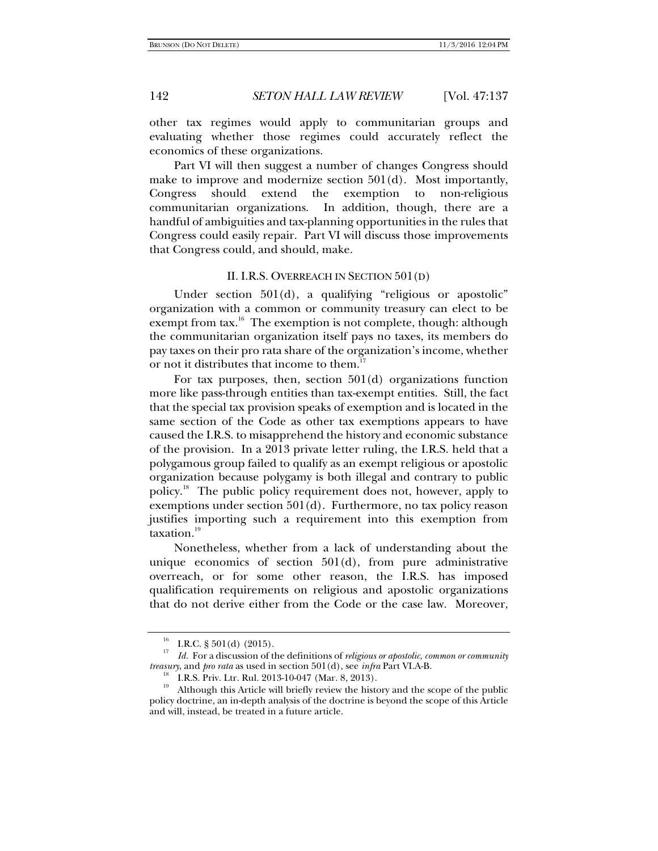other tax regimes would apply to communitarian groups and evaluating whether those regimes could accurately reflect the economics of these organizations.

Part VI will then suggest a number of changes Congress should make to improve and modernize section 501(d). Most importantly, Congress should extend the exemption to non-religious communitarian organizations. In addition, though, there are a handful of ambiguities and tax-planning opportunities in the rules that Congress could easily repair. Part VI will discuss those improvements that Congress could, and should, make.

# II. I.R.S. OVERREACH IN SECTION 501(D)

Under section 501(d), a qualifying "religious or apostolic" organization with a common or community treasury can elect to be exempt from tax.<sup>16</sup> The exemption is not complete, though: although the communitarian organization itself pays no taxes, its members do pay taxes on their pro rata share of the organization's income, whether or not it distributes that income to them.<sup>1</sup>

For tax purposes, then, section 501(d) organizations function more like pass-through entities than tax-exempt entities. Still, the fact that the special tax provision speaks of exemption and is located in the same section of the Code as other tax exemptions appears to have caused the I.R.S. to misapprehend the history and economic substance of the provision. In a 2013 private letter ruling, the I.R.S. held that a polygamous group failed to qualify as an exempt religious or apostolic organization because polygamy is both illegal and contrary to public policy.18 The public policy requirement does not, however, apply to exemptions under section 501(d). Furthermore, no tax policy reason justifies importing such a requirement into this exemption from taxation.<sup>19</sup>

Nonetheless, whether from a lack of understanding about the unique economics of section  $501(d)$ , from pure administrative overreach, or for some other reason, the I.R.S. has imposed qualification requirements on religious and apostolic organizations that do not derive either from the Code or the case law. Moreover,

I.R.C.  $\S 501(d)$  (2015).

<sup>17</sup> *Id.* For a discussion of the definitions of *religious or apostolic*, *common or community treasury*, and *pro rata* as used in section 501(d), see *infra* Part VI.A-B.<br><sup>18</sup> I.R.S. Priv. Ltr. Rul. 2013-10-047 (Mar. 8, 2013).<br><sup>19</sup> Although this Article will briefly review the history and the se

Although this Article will briefly review the history and the scope of the public policy doctrine, an in-depth analysis of the doctrine is beyond the scope of this Article and will, instead, be treated in a future article.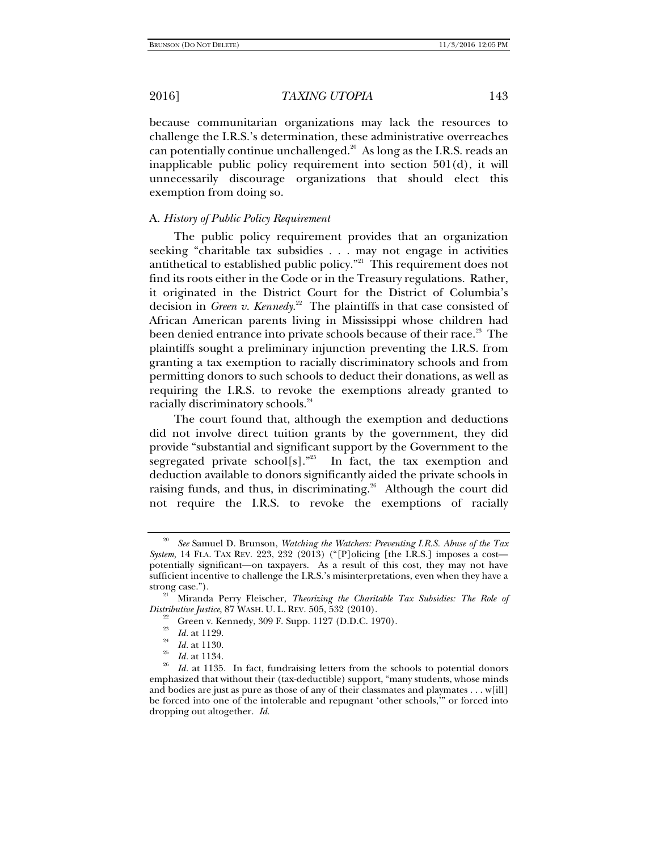because communitarian organizations may lack the resources to challenge the I.R.S.'s determination, these administrative overreaches can potentially continue unchallenged. $20$  As long as the I.R.S. reads an inapplicable public policy requirement into section 501(d), it will unnecessarily discourage organizations that should elect this exemption from doing so.

# A. *History of Public Policy Requirement*

The public policy requirement provides that an organization seeking "charitable tax subsidies . . . may not engage in activities antithetical to established public policy."<sup>21</sup> This requirement does not find its roots either in the Code or in the Treasury regulations. Rather, it originated in the District Court for the District of Columbia's decision in *Green v. Kennedy*. 22 The plaintiffs in that case consisted of African American parents living in Mississippi whose children had been denied entrance into private schools because of their race.<sup>23</sup> The plaintiffs sought a preliminary injunction preventing the I.R.S. from granting a tax exemption to racially discriminatory schools and from permitting donors to such schools to deduct their donations, as well as requiring the I.R.S. to revoke the exemptions already granted to racially discriminatory schools.<sup>24</sup>

The court found that, although the exemption and deductions did not involve direct tuition grants by the government, they did provide "substantial and significant support by the Government to the segregated private school[s]."<sup>25</sup> In fact, the tax exemption and deduction available to donors significantly aided the private schools in raising funds, and thus, in discriminating.<sup>26</sup> Although the court did not require the I.R.S. to revoke the exemptions of racially

<sup>20</sup> *See* Samuel D. Brunson, *Watching the Watchers: Preventing I.R.S. Abuse of the Tax System*, 14 FLA. TAX REV. 223, 232 (2013) ("[P]olicing [the I.R.S.] imposes a cost potentially significant—on taxpayers. As a result of this cost, they may not have sufficient incentive to challenge the I.R.S.'s misinterpretations, even when they have a

strong case.").<br><sup>21</sup> Miranda Perry Fleischer, *Theorizing the Charitable Tax Subsidies: The Role of Distributive Justice, 87 WASH. U. L. REV. 505, 532 (2010).* 

<sup>&</sup>lt;sup>22</sup> Green v. Kennedy, 309 F. Supp. 1127 (D.D.C. 1970).<br><sup>23</sup> Id. at 1129.

<sup>&</sup>lt;sup>24</sup> *Id.* at 1130.<br><sup>25</sup> *Id.* at 1134.<br><sup>26</sup> *Id.* at 1135. In fact, fundraising letters from the schools to potential donors emphasized that without their (tax-deductible) support, "many students, whose minds and bodies are just as pure as those of any of their classmates and playmates . . . w[ill] be forced into one of the intolerable and repugnant 'other schools,'" or forced into dropping out altogether. *Id.*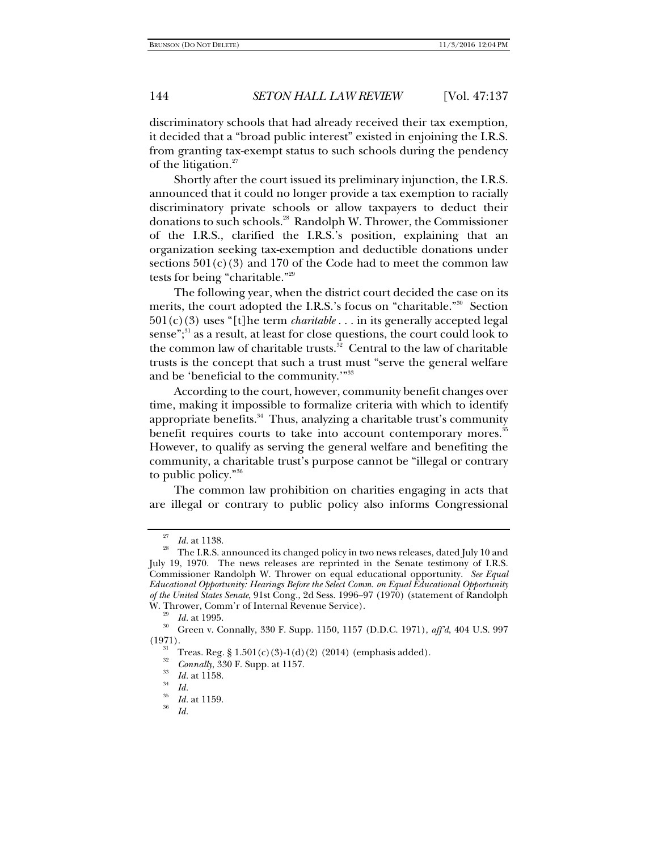discriminatory schools that had already received their tax exemption, it decided that a "broad public interest" existed in enjoining the I.R.S. from granting tax-exempt status to such schools during the pendency of the litigation.<sup>27</sup>

Shortly after the court issued its preliminary injunction, the I.R.S. announced that it could no longer provide a tax exemption to racially discriminatory private schools or allow taxpayers to deduct their donations to such schools.28 Randolph W. Thrower, the Commissioner of the I.R.S., clarified the I.R.S.'s position, explaining that an organization seeking tax-exemption and deductible donations under sections  $501(c)(3)$  and 170 of the Code had to meet the common law tests for being "charitable."29

The following year, when the district court decided the case on its merits, the court adopted the I.R.S.'s focus on "charitable."<sup>30</sup> Section 501(c)(3) uses "[t]he term *charitable* . . . in its generally accepted legal sense"; $31$  as a result, at least for close questions, the court could look to the common law of charitable trusts. $32$  Central to the law of charitable trusts is the concept that such a trust must "serve the general welfare and be 'beneficial to the community.'"33

According to the court, however, community benefit changes over time, making it impossible to formalize criteria with which to identify appropriate benefits.<sup>34</sup> Thus, analyzing a charitable trust's community benefit requires courts to take into account contemporary mores.<sup>35</sup> However, to qualify as serving the general welfare and benefiting the community, a charitable trust's purpose cannot be "illegal or contrary to public policy."36

The common law prohibition on charities engaging in acts that are illegal or contrary to public policy also informs Congressional

<sup>&</sup>lt;sup>27</sup> *Id.* at 1138.<br><sup>28</sup> The I.R.S. announced its changed policy in two news releases, dated July 10 and July 19, 1970. The news releases are reprinted in the Senate testimony of I.R.S. Commissioner Randolph W. Thrower on equal educational opportunity. *See Equal Educational Opportunity: Hearings Before the Select Comm. on Equal Educational Opportunity of the United States Senate*, 91st Cong., 2d Sess. 1996–97 (1970) (statement of Randolph W. Thrower, Comm'r of Internal Revenue Service).<br><sup>29</sup> *Id.* at 1995.<br><sup>30</sup> Green v. Connally, 330 F. Supp. 1150, 1157 (D.D.C. 1971), *aff'd*, 404 U.S. 997

<sup>(1971).&</sup>lt;br><sup>31</sup> Treas. Reg. § 1.501(c)(3)-1(d)(2) (2014) (emphasis added).

<sup>32</sup> *Connally*, 330 F. Supp. at 1157.<br>*Id.* at 1158.<br>*Id.* 

<sup>35</sup> *Id.* at 1159. 36 *Id.*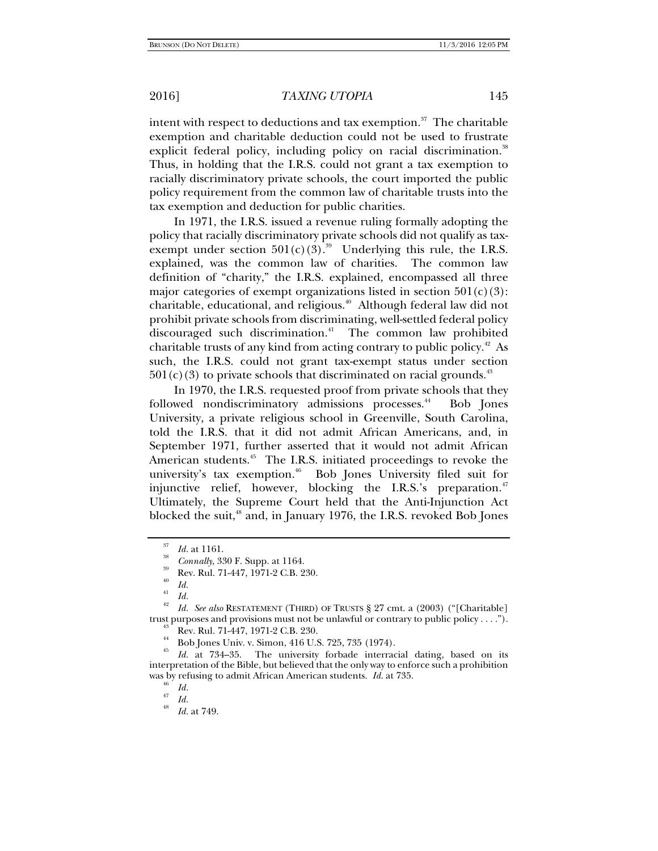intent with respect to deductions and tax exemption. $37$  The charitable exemption and charitable deduction could not be used to frustrate explicit federal policy, including policy on racial discrimination.<sup>38</sup> Thus, in holding that the I.R.S. could not grant a tax exemption to racially discriminatory private schools, the court imported the public policy requirement from the common law of charitable trusts into the tax exemption and deduction for public charities.

In 1971, the I.R.S. issued a revenue ruling formally adopting the policy that racially discriminatory private schools did not qualify as taxexempt under section  $501(c)(3).^{39}$  Underlying this rule, the I.R.S. explained, was the common law of charities. The common law definition of "charity," the I.R.S. explained, encompassed all three major categories of exempt organizations listed in section  $501(c)(3)$ : charitable, educational, and religious.<sup>40</sup> Although federal law did not prohibit private schools from discriminating, well-settled federal policy discouraged such discrimination.<sup>41</sup> The common law prohibited charitable trusts of any kind from acting contrary to public policy.42 As such, the I.R.S. could not grant tax-exempt status under section  $501(c)(3)$  to private schools that discriminated on racial grounds.<sup>43</sup>

In 1970, the I.R.S. requested proof from private schools that they followed nondiscriminatory admissions processes.<sup>44</sup> Bob Jones University, a private religious school in Greenville, South Carolina, told the I.R.S. that it did not admit African Americans, and, in September 1971, further asserted that it would not admit African American students.<sup>45</sup> The I.R.S. initiated proceedings to revoke the university's tax exemption.<sup>46</sup> Bob Jones University filed suit for injunctive relief, however, blocking the I.R.S.'s preparation.<sup>47</sup> Ultimately, the Supreme Court held that the Anti-Injunction Act blocked the suit,<sup>48</sup> and, in January 1976, the I.R.S. revoked Bob Jones

<sup>&</sup>lt;sup>37</sup> *Id.* at 1161.<br><sup>38</sup> *Connally*, 330 F. Supp. at 1164.<br><sup>39</sup> Rev. Rul. 71-447, 1971-2 C.B. 230.

 $\begin{array}{cc} ^{40} & Id. \\ ^{41} & Id. \end{array}$ 

*Id.* 42 *Id. See also* RESTATEMENT (THIRD) OF TRUSTS § 27 cmt. a (2003) ("[Charitable] trust purposes and provisions must not be unlawful or contrary to public policy . . . .").<br><sup>43</sup> Rev. Rul. 71-447, 1971-2 C.B. 230.<br><sup>44</sup> R. L. L. L. L. C. 116 U.S. 795, 785 (1974)

<sup>44</sup> Bob Jones Univ. v. Simon, 416 U.S. 725, 735 (1974).

<sup>45</sup> *Id.* at 734–35. The university forbade interracial dating, based on its interpretation of the Bible, but believed that the only way to enforce such a prohibition was by refusing to admit African American students. *Id.* at 735.

 $\begin{array}{cc} \n^{46} & \n\frac{1}{47} & \n\frac{1}{48} & \n\frac{1}{48} & \n\end{array}$ 

*Id.* at 749.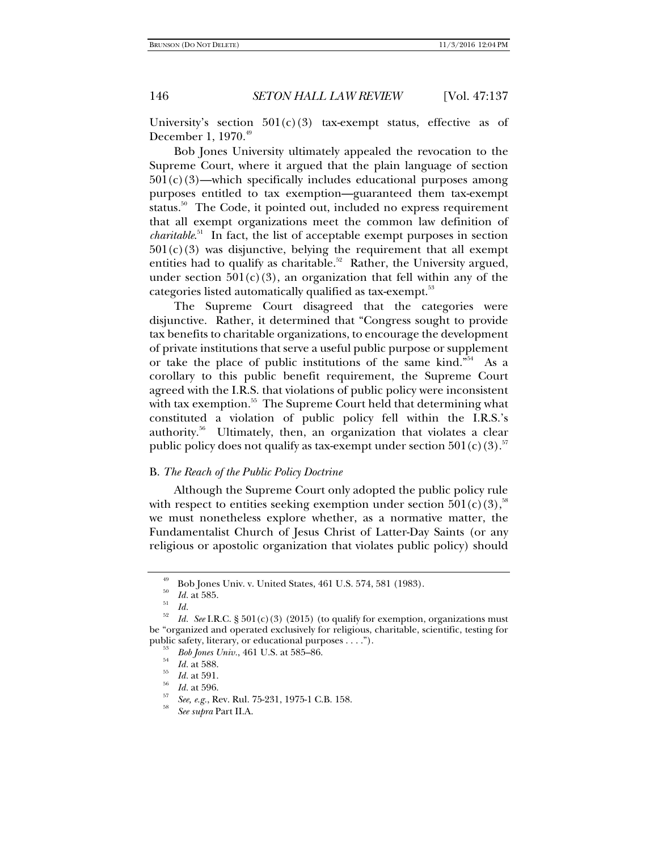University's section  $501(c)(3)$  tax-exempt status, effective as of December 1, 1970.<sup>49</sup>

Bob Jones University ultimately appealed the revocation to the Supreme Court, where it argued that the plain language of section  $501(c)(3)$ —which specifically includes educational purposes among purposes entitled to tax exemption—guaranteed them tax-exempt status.<sup>50</sup> The Code, it pointed out, included no express requirement that all exempt organizations meet the common law definition of *charitable*. 51 In fact, the list of acceptable exempt purposes in section  $501(c)(3)$  was disjunctive, belying the requirement that all exempt entities had to qualify as charitable.<sup>52</sup> Rather, the University argued, under section  $501(c)(3)$ , an organization that fell within any of the categories listed automatically qualified as tax-exempt.<sup>53</sup>

The Supreme Court disagreed that the categories were disjunctive. Rather, it determined that "Congress sought to provide tax benefits to charitable organizations, to encourage the development of private institutions that serve a useful public purpose or supplement or take the place of public institutions of the same kind."54 As a corollary to this public benefit requirement, the Supreme Court agreed with the I.R.S. that violations of public policy were inconsistent with tax exemption.<sup>55</sup> The Supreme Court held that determining what constituted a violation of public policy fell within the I.R.S.'s authority.<sup>56</sup> Ultimately, then, an organization that violates a clear public policy does not qualify as tax-exempt under section  $501(c)(3)$ .<sup>57</sup>

# B. *The Reach of the Public Policy Doctrine*

Although the Supreme Court only adopted the public policy rule with respect to entities seeking exemption under section  $501(c)(3)$ ,<sup>58</sup> we must nonetheless explore whether, as a normative matter, the Fundamentalist Church of Jesus Christ of Latter-Day Saints (or any religious or apostolic organization that violates public policy) should

 $^{49}$  Bob Jones Univ. v. United States, 461 U.S. 574, 581 (1983).

 $\frac{50}{51}$  *Id.* at 585.

 $\frac{1}{52}$  *Id.* 

*Id. See* I.R.C. § 501(c)(3) (2015) (to qualify for exemption, organizations must be "organized and operated exclusively for religious, charitable, scientific, testing for public safety, literary, or educational purposes . . . .").<br>
<sup>53</sup> *Bob Jones Univ.*, 461 U.S. at 585–86.<br> *Id.* at 588.

<sup>&</sup>lt;sup>55</sup> *Id.* at 591.<br><sup>56</sup> *Id.* at 596.

*See, e.g.*, Rev. Rul. 75-231, 1975-1 C.B. 158.

*See supra* Part II.A.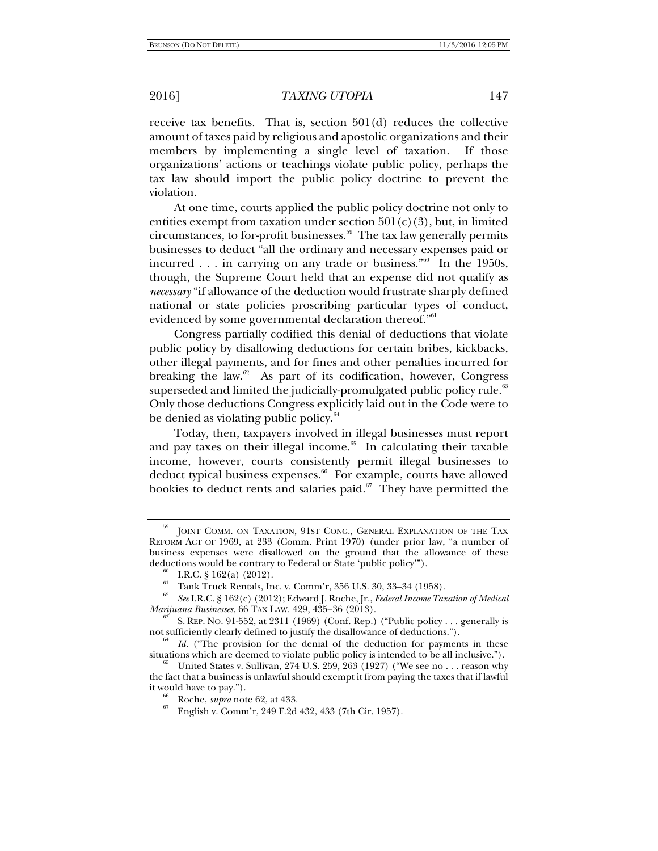receive tax benefits. That is, section 501(d) reduces the collective amount of taxes paid by religious and apostolic organizations and their members by implementing a single level of taxation. If those organizations' actions or teachings violate public policy, perhaps the tax law should import the public policy doctrine to prevent the violation.

At one time, courts applied the public policy doctrine not only to entities exempt from taxation under section  $501(c)(3)$ , but, in limited circumstances, to for-profit businesses. $59$  The tax law generally permits businesses to deduct "all the ordinary and necessary expenses paid or incurred  $\ldots$  in carrying on any trade or business."<sup>60</sup> In the 1950s, though, the Supreme Court held that an expense did not qualify as *necessary* "if allowance of the deduction would frustrate sharply defined national or state policies proscribing particular types of conduct, evidenced by some governmental declaration thereof."<sup>61</sup>

Congress partially codified this denial of deductions that violate public policy by disallowing deductions for certain bribes, kickbacks, other illegal payments, and for fines and other penalties incurred for breaking the law. $62$  As part of its codification, however, Congress superseded and limited the judicially-promulgated public policy rule.<sup>63</sup> Only those deductions Congress explicitly laid out in the Code were to be denied as violating public policy.<sup>64</sup>

Today, then, taxpayers involved in illegal businesses must report and pay taxes on their illegal income. $65$  In calculating their taxable income, however, courts consistently permit illegal businesses to deduct typical business expenses.<sup>66</sup> For example, courts have allowed bookies to deduct rents and salaries paid. $67$  They have permitted the

JOINT COMM. ON TAXATION, 91ST CONG., GENERAL EXPLANATION OF THE TAX REFORM ACT OF 1969, at 233 (Comm. Print 1970) (under prior law, "a number of business expenses were disallowed on the ground that the allowance of these deductions would be contrary to Federal or State 'public policy'").<br>  $\frac{60}{61}$  I.R.C. § 162(a) (2012).

<sup>61</sup> Tank Truck Rentals, Inc. v. Comm'r, 356 U.S. 30, 33–34 (1958).

<sup>62</sup> *See* I.R.C. § 162(c) (2012); Edward J. Roche, Jr., *Federal Income Taxation of Medical* 

<sup>&</sup>lt;sup>63</sup> S. REP. NO. 91-552, at 2311 (1969) (Conf. Rep.) ("Public policy . . . generally is not sufficiently clearly defined to justify the disallowance of deductions.").

<sup>&</sup>lt;sup>64</sup> *Id.* ("The provision for the denial of the deduction for payments in these situations which are deemed to violate public policy is intended to be all inclusive.").

United States v. Sullivan, 274 U.S. 259, 263 (1927) ("We see no . . . reason why the fact that a business is unlawful should exempt it from paying the taxes that if lawful it would have to pay."). 66 Roche, *supra* note 62, at 433. 67 English v. Comm'r, 249 F.2d 432, 433 (7th Cir. 1957).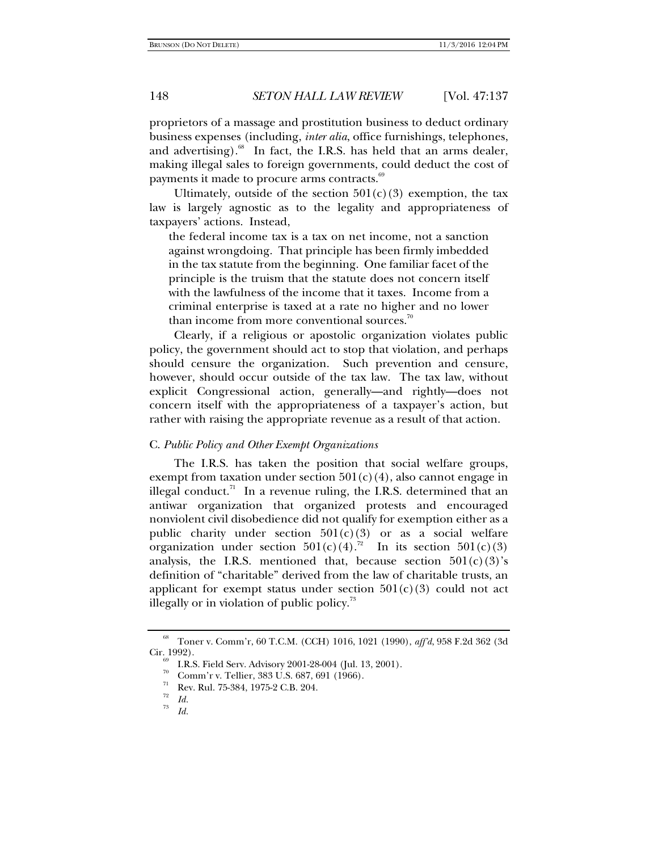proprietors of a massage and prostitution business to deduct ordinary business expenses (including, *inter alia*, office furnishings, telephones, and advertising). $68$  In fact, the I.R.S. has held that an arms dealer, making illegal sales to foreign governments, could deduct the cost of payments it made to procure arms contracts.<sup>69</sup>

Ultimately, outside of the section  $501(c)(3)$  exemption, the tax law is largely agnostic as to the legality and appropriateness of taxpayers' actions. Instead,

the federal income tax is a tax on net income, not a sanction against wrongdoing. That principle has been firmly imbedded in the tax statute from the beginning. One familiar facet of the principle is the truism that the statute does not concern itself with the lawfulness of the income that it taxes. Income from a criminal enterprise is taxed at a rate no higher and no lower than income from more conventional sources.<sup>70</sup>

Clearly, if a religious or apostolic organization violates public policy, the government should act to stop that violation, and perhaps should censure the organization. Such prevention and censure, however, should occur outside of the tax law. The tax law, without explicit Congressional action, generally—and rightly—does not concern itself with the appropriateness of a taxpayer's action, but rather with raising the appropriate revenue as a result of that action.

### C. *Public Policy and Other Exempt Organizations*

The I.R.S. has taken the position that social welfare groups, exempt from taxation under section  $501(c)(4)$ , also cannot engage in illegal conduct.<sup>71</sup> In a revenue ruling, the I.R.S. determined that an antiwar organization that organized protests and encouraged nonviolent civil disobedience did not qualify for exemption either as a public charity under section  $501(c)(3)$  or as a social welfare organization under section  $501(c)(4)$ .<sup>72</sup> In its section  $501(c)(3)$ analysis, the I.R.S. mentioned that, because section  $501(c)(3)$ 's definition of "charitable" derived from the law of charitable trusts, an applicant for exempt status under section  $501(c)(3)$  could not act illegally or in violation of public policy.<sup>73</sup>

<sup>68</sup> Toner v. Comm'r, 60 T.C.M. (CCH) 1016, 1021 (1990), *aff'd*, 958 F.2d 362 (3d

<sup>&</sup>lt;sup>69</sup> I.R.S. Field Serv. Advisory 2001-28-004 (Jul. 13, 2001).

Comm'r v. Tellier, 383 U.S. 687, 691 (1966).

Rev. Rul. 75-384, 1975-2 C.B. 204.

 $\frac{72}{73}$  *Id.* 

*Id.*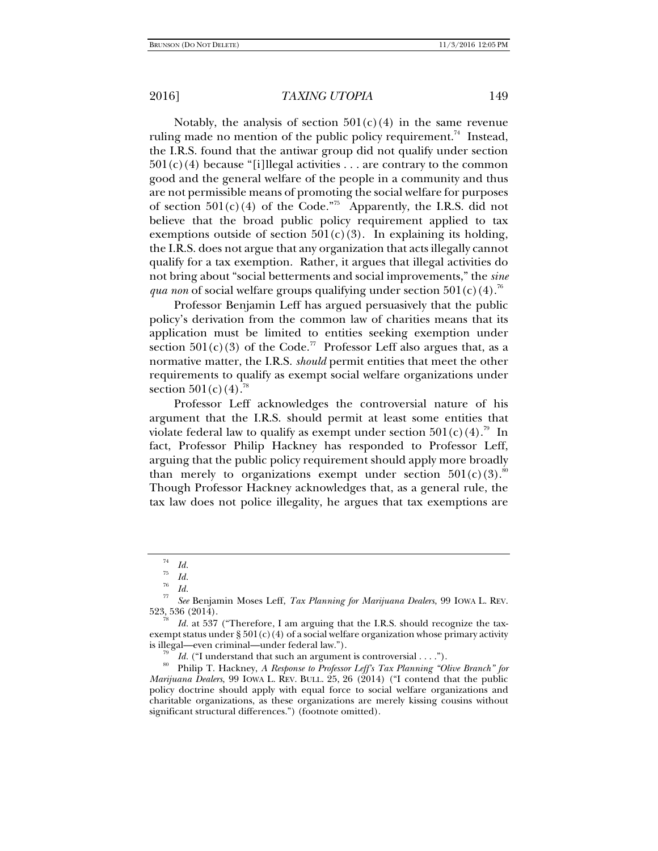Notably, the analysis of section  $501(c)(4)$  in the same revenue ruling made no mention of the public policy requirement.<sup>74</sup> Instead, the I.R.S. found that the antiwar group did not qualify under section  $501(c)(4)$  because "[i]llegal activities . . . are contrary to the common good and the general welfare of the people in a community and thus are not permissible means of promoting the social welfare for purposes of section  $501(c)(4)$  of the Code.<sup>75</sup> Apparently, the I.R.S. did not believe that the broad public policy requirement applied to tax exemptions outside of section  $501(c)(3)$ . In explaining its holding, the I.R.S. does not argue that any organization that acts illegally cannot qualify for a tax exemption. Rather, it argues that illegal activities do not bring about "social betterments and social improvements," the *sine qua non* of social welfare groups qualifying under section  $501(c)(4)$ .<sup>76</sup>

Professor Benjamin Leff has argued persuasively that the public policy's derivation from the common law of charities means that its application must be limited to entities seeking exemption under section  $501(c)(3)$  of the Code.<sup>77</sup> Professor Leff also argues that, as a normative matter, the I.R.S. *should* permit entities that meet the other requirements to qualify as exempt social welfare organizations under section  $501(c)(4)$ .<sup>78</sup>

Professor Leff acknowledges the controversial nature of his argument that the I.R.S. should permit at least some entities that violate federal law to qualify as exempt under section  $501(c)(4)$ .<sup>79</sup> In fact, Professor Philip Hackney has responded to Professor Leff, arguing that the public policy requirement should apply more broadly than merely to organizations exempt under section  $501(c)(3)$ .<sup>80</sup> Though Professor Hackney acknowledges that, as a general rule, the tax law does not police illegality, he argues that tax exemptions are

<sup>74</sup>

 $\begin{array}{ccc} \n\frac{75}{75} & \n\frac{75}{76} & \n\frac{76}{77} & \n\frac{77}{8} & \n\end{array}$ 

*See* Benjamin Moses Leff, *Tax Planning for Marijuana Dealers*, 99 IOWA L. REV.  $523, 536$  (2014).<br><sup>78</sup> *Id.* at 537 ("Therefore, I am arguing that the I.R.S. should recognize the tax-

exempt status under § 501(c)(4) of a social welfare organization whose primary activity

is illegal—even criminal—under federal law.").<br><sup>79</sup> *Id.* ("I understand that such an argument is controversial . . . .").<br><sup>80</sup> Philip T. Hackney, *A Response to Professor Leff's Tax Planning "Olive Branch" for Marijuana Dealers*, 99 IOWA L. REV. BULL. 25, 26 (2014) ("I contend that the public policy doctrine should apply with equal force to social welfare organizations and charitable organizations, as these organizations are merely kissing cousins without significant structural differences.") (footnote omitted).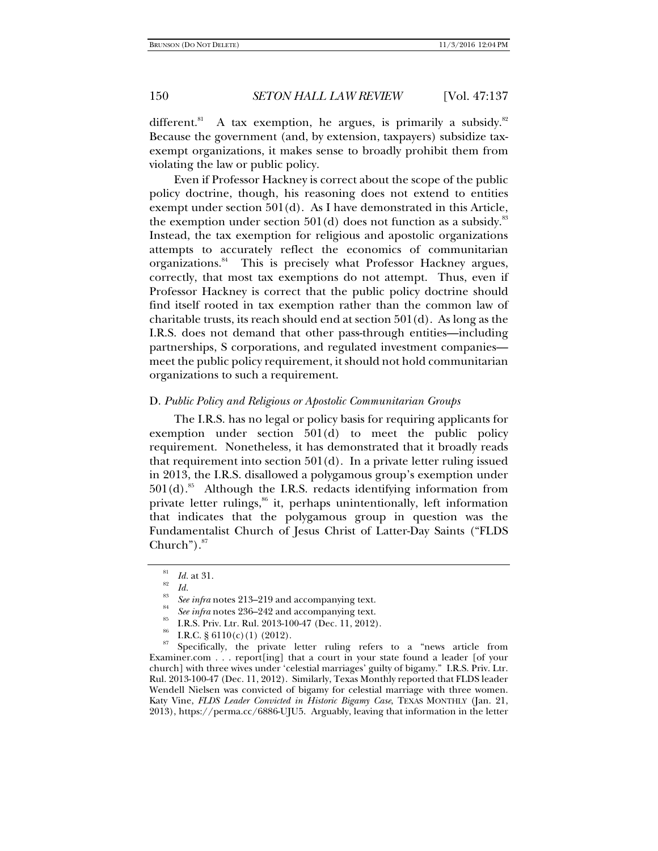different.<sup>81</sup> A tax exemption, he argues, is primarily a subsidy.<sup>82</sup> Because the government (and, by extension, taxpayers) subsidize taxexempt organizations, it makes sense to broadly prohibit them from violating the law or public policy.

Even if Professor Hackney is correct about the scope of the public policy doctrine, though, his reasoning does not extend to entities exempt under section 501(d). As I have demonstrated in this Article, the exemption under section  $501(d)$  does not function as a subsidy.<sup>83</sup> Instead, the tax exemption for religious and apostolic organizations attempts to accurately reflect the economics of communitarian organizations.<sup>84</sup> This is precisely what Professor Hackney argues, correctly, that most tax exemptions do not attempt. Thus, even if Professor Hackney is correct that the public policy doctrine should find itself rooted in tax exemption rather than the common law of charitable trusts, its reach should end at section 501(d). As long as the I.R.S. does not demand that other pass-through entities—including partnerships, S corporations, and regulated investment companies meet the public policy requirement, it should not hold communitarian organizations to such a requirement.

# D. *Public Policy and Religious or Apostolic Communitarian Groups*

The I.R.S. has no legal or policy basis for requiring applicants for exemption under section 501(d) to meet the public policy requirement. Nonetheless, it has demonstrated that it broadly reads that requirement into section  $501(d)$ . In a private letter ruling issued in 2013, the I.R.S. disallowed a polygamous group's exemption under  $501(d).$ <sup>85</sup> Although the I.R.S. redacts identifying information from private letter rulings,<sup>86</sup> it, perhaps unintentionally, left information that indicates that the polygamous group in question was the Fundamentalist Church of Jesus Christ of Latter-Day Saints ("FLDS Church"). $87$ 

 $1d.$  at 31.<br><sup>82</sup> *Id. See infra* notes 213–219 and accompanying text.

<sup>&</sup>lt;sup>84</sup> *See infra* notes 236–242 and accompanying text.<br><sup>85</sup> I.R.S. Priv. Ltr. Rul. 2013-100-47 (Dec. 11, 2012).

<sup>&</sup>lt;sup>86</sup> I.R.C. § 6110(c)(1) (2012).

<sup>87</sup> Specifically, the private letter ruling refers to a "news article from Examiner.com . . . report[ing] that a court in your state found a leader [of your church] with three wives under 'celestial marriages' guilty of bigamy." I.R.S. Priv. Ltr. Rul. 2013-100-47 (Dec. 11, 2012). Similarly, Texas Monthly reported that FLDS leader Wendell Nielsen was convicted of bigamy for celestial marriage with three women. Katy Vine, *FLDS Leader Convicted in Historic Bigamy Case*, TEXAS MONTHLY (Jan. 21, 2013), https://perma.cc/6886-UJU5. Arguably, leaving that information in the letter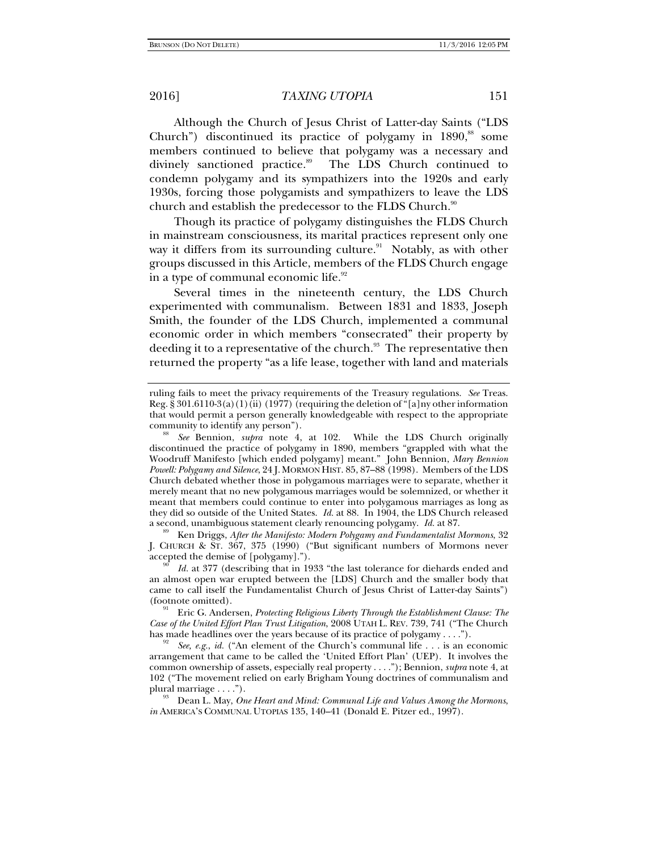Although the Church of Jesus Christ of Latter-day Saints ("LDS Church") discontinued its practice of polygamy in  $1890$ ,<sup>88</sup> some members continued to believe that polygamy was a necessary and divinely sanctioned practice.<sup>89</sup> The LDS Church continued to condemn polygamy and its sympathizers into the 1920s and early 1930s, forcing those polygamists and sympathizers to leave the LDS church and establish the predecessor to the FLDS Church.<sup>90</sup>

Though its practice of polygamy distinguishes the FLDS Church in mainstream consciousness, its marital practices represent only one way it differs from its surrounding culture. $91$  Notably, as with other groups discussed in this Article, members of the FLDS Church engage in a type of communal economic life. $92$ 

Several times in the nineteenth century, the LDS Church experimented with communalism. Between 1831 and 1833, Joseph Smith, the founder of the LDS Church, implemented a communal economic order in which members "consecrated" their property by deeding it to a representative of the church.<sup>93</sup> The representative then returned the property "as a life lease, together with land and materials

Ken Driggs, After the Manifesto: Modern Polygamy and Fundamentalist Mormons, 32 J. CHURCH & ST. 367, 375 (1990) ("But significant numbers of Mormons never accepted the demise of [polygamy].").

ruling fails to meet the privacy requirements of the Treasury regulations. *See* Treas. Reg. § 301.6110-3(a)(1)(ii) (1977) (requiring the deletion of "[a]ny other information that would permit a person generally knowledgeable with respect to the appropriate community to identify any person").

*See* Bennion, *supra* note 4, at 102. While the LDS Church originally discontinued the practice of polygamy in 1890, members "grappled with what the Woodruff Manifesto [which ended polygamy] meant." John Bennion, *Mary Bennion Powell: Polygamy and Silence*, 24 J. MORMON HIST. 85, 87–88 (1998). Members of the LDS Church debated whether those in polygamous marriages were to separate, whether it merely meant that no new polygamous marriages would be solemnized, or whether it meant that members could continue to enter into polygamous marriages as long as they did so outside of the United States. *Id.* at 88. In 1904, the LDS Church released a second, unambiguous statement clearly renouncing polygamy. *Id.* at 87.

*Id.* at 377 (describing that in 1933 "the last tolerance for diehards ended and an almost open war erupted between the [LDS] Church and the smaller body that came to call itself the Fundamentalist Church of Jesus Christ of Latter-day Saints")

<sup>(</sup>footnote omitted). 91 Eric G. Andersen, *Protecting Religious Liberty Through the Establishment Clause: The Case of the United Effort Plan Trust Litigation*, 2008 UTAH L. REV. 739, 741 ("The Church has made headlines over the years because of its practice of polygamy . . . .").

<sup>&</sup>lt;sup>92</sup> *See, e.g., id.* ("An element of the Church's communal life ... is an economic arrangement that came to be called the 'United Effort Plan' (UEP). It involves the common ownership of assets, especially real property . . . ."); Bennion, *supra* note 4, at 102 ("The movement relied on early Brigham Young doctrines of communalism and plural marriage . . . .").<br><sup>93</sup> Dean L. May, *One Heart and Mind: Communal Life and Values Among the Mormons*,

*in* AMERICA'S COMMUNAL UTOPIAS 135, 140–41 (Donald E. Pitzer ed., 1997).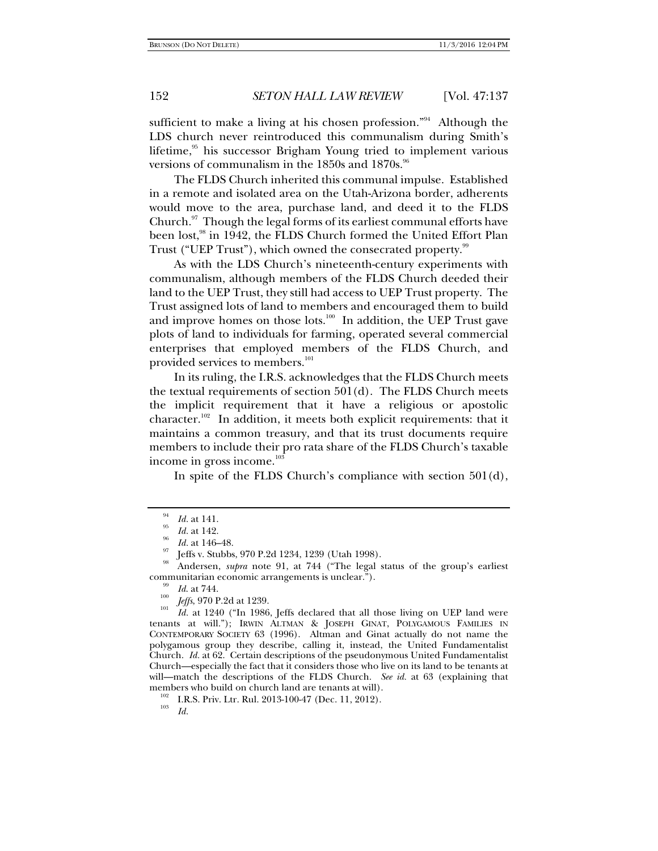sufficient to make a living at his chosen profession."<sup>94</sup> Although the LDS church never reintroduced this communalism during Smith's lifetime, $95$  his successor Brigham Young tried to implement various versions of communalism in the  $1850s$  and  $1870s$ .<sup>96</sup>

The FLDS Church inherited this communal impulse. Established in a remote and isolated area on the Utah-Arizona border, adherents would move to the area, purchase land, and deed it to the FLDS Church. $97$  Though the legal forms of its earliest communal efforts have been lost,<sup>98</sup> in 1942, the FLDS Church formed the United Effort Plan Trust ("UEP Trust"), which owned the consecrated property.<sup>99</sup>

As with the LDS Church's nineteenth-century experiments with communalism, although members of the FLDS Church deeded their land to the UEP Trust, they still had access to UEP Trust property. The Trust assigned lots of land to members and encouraged them to build and improve homes on those lots. $100 \text{ In addition, the UEP Trust gave}$ plots of land to individuals for farming, operated several commercial enterprises that employed members of the FLDS Church, and provided services to members.<sup>101</sup>

In its ruling, the I.R.S. acknowledges that the FLDS Church meets the textual requirements of section  $501(d)$ . The FLDS Church meets the implicit requirement that it have a religious or apostolic character.<sup>102</sup> In addition, it meets both explicit requirements: that it maintains a common treasury, and that its trust documents require members to include their pro rata share of the FLDS Church's taxable income in gross income. $103$ 

In spite of the FLDS Church's compliance with section 501(d),

 $\frac{94}{95}$  *Id.* at 141.

*Id.* at 142.<br>*Id.* at 146–48.

Jeffs v. Stubbs, 970 P.2d 1234, 1239 (Utah 1998).

<sup>98</sup> Andersen, *supra* note 91, at 744 ("The legal status of the group's earliest communitarian economic arrangements is unclear.").<br>
<sup>99</sup> *Id.* at 744.<br>
<sup>100</sup> *I*  $\alpha$  676.000 *L* 

<sup>&</sup>lt;sup>100</sup> *Jeffs*, 970 P.2d at 1239.

*Id.* at 1240 ("In 1986, Jeffs declared that all those living on UEP land were tenants at will."); IRWIN ALTMAN & JOSEPH GINAT, POLYGAMOUS FAMILIES IN CONTEMPORARY SOCIETY 63 (1996). Altman and Ginat actually do not name the polygamous group they describe, calling it, instead, the United Fundamentalist Church. *Id.* at 62. Certain descriptions of the pseudonymous United Fundamentalist Church—especially the fact that it considers those who live on its land to be tenants at will—match the descriptions of the FLDS Church. *See id.* at 63 (explaining that members who build on church land are tenants at will).<br><sup>102</sup> I.R.S. Priv. Ltr. Rul. 2013-100-47 (Dec. 11, 2012).

*Id.*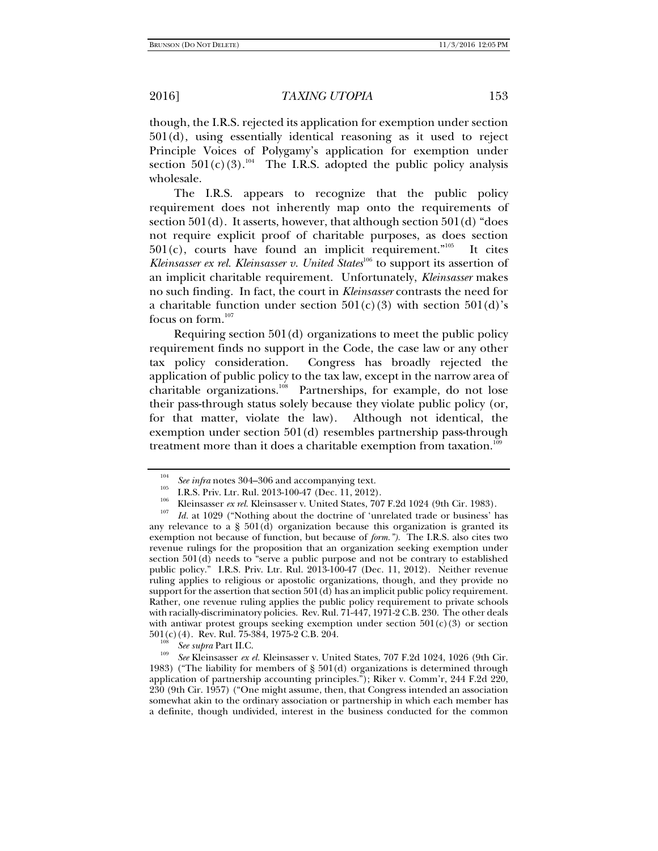though, the I.R.S. rejected its application for exemption under section 501(d), using essentially identical reasoning as it used to reject Principle Voices of Polygamy's application for exemption under section  $501(c)(3)$ .<sup>104</sup> The I.R.S. adopted the public policy analysis wholesale.

The I.R.S. appears to recognize that the public policy requirement does not inherently map onto the requirements of section 501(d). It asserts, however, that although section 501(d) "does not require explicit proof of charitable purposes, as does section  $501(c)$ , courts have found an implicit requirement.<sup>"105</sup> It cites *Kleinsasser ex rel. Kleinsasser v. United States*<sup>106</sup> to support its assertion of an implicit charitable requirement. Unfortunately, *Kleinsasser* makes no such finding. In fact, the court in *Kleinsasser* contrasts the need for a charitable function under section  $501(c)(3)$  with section  $501(d)$ 's focus on form.<sup>107</sup>

Requiring section 501(d) organizations to meet the public policy requirement finds no support in the Code, the case law or any other tax policy consideration. Congress has broadly rejected the application of public policy to the tax law, except in the narrow area of charitable organizations.<sup>108</sup> Partnerships, for example, do not lose their pass-through status solely because they violate public policy (or, for that matter, violate the law). Although not identical, the exemption under section 501(d) resembles partnership pass-through treatment more than it does a charitable exemption from taxation.<sup>109</sup>

<sup>104</sup>

<sup>&</sup>lt;sup>104</sup> See infra notes 304–306 and accompanying text.<br>
I.R.S. Priv. Ltr. Rul. 2013-100-47 (Dec. 11, 2012).<br>
<sup>105</sup> I.R.S. Priv. Ltr. Rul. 2013-100-47 (Dec. 11, 2012).<br>
<sup>106</sup> Kleinsasser *ex rel*. Kleinsasser v. United State

any relevance to a  $\S$  501(d) organization because this organization is granted its exemption not because of function, but because of *form.").* The I.R.S. also cites two revenue rulings for the proposition that an organization seeking exemption under section 501(d) needs to "serve a public purpose and not be contrary to established public policy."I.R.S. Priv. Ltr. Rul. 2013-100-47 (Dec. 11, 2012). Neither revenue ruling applies to religious or apostolic organizations, though, and they provide no support for the assertion that section 501(d) has an implicit public policy requirement. Rather, one revenue ruling applies the public policy requirement to private schools with racially-discriminatory policies. Rev. Rul. 71-447, 1971-2 C.B. 230. The other deals with antiwar protest groups seeking exemption under section  $501(c)(3)$  or section  $501(c)(4)$ . Rev. Rul. 75-384, 1975-2 C.B. 204.

 $\frac{108}{109}$  *See supra* Part II.C.

*See* Kleinsasser *ex el.* Kleinsasser v. United States, 707 F.2d 1024, 1026 (9th Cir. 1983) ("The liability for members of § 501(d) organizations is determined through application of partnership accounting principles."); Riker v. Comm'r, 244 F.2d 220, 230 (9th Cir. 1957) ("One might assume, then, that Congress intended an association somewhat akin to the ordinary association or partnership in which each member has a definite, though undivided, interest in the business conducted for the common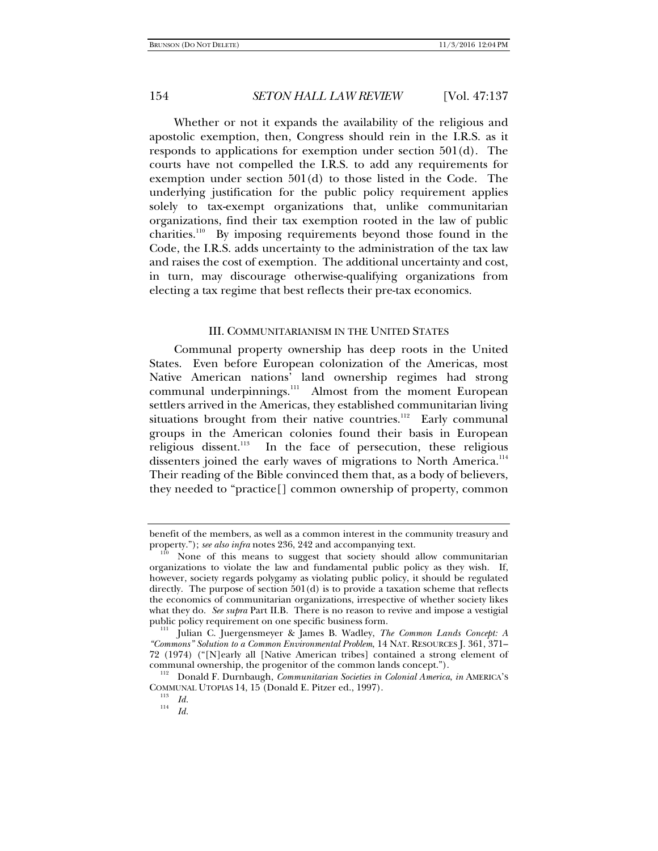Whether or not it expands the availability of the religious and apostolic exemption, then, Congress should rein in the I.R.S. as it responds to applications for exemption under section 501(d). The courts have not compelled the I.R.S. to add any requirements for exemption under section 501(d) to those listed in the Code. The underlying justification for the public policy requirement applies solely to tax-exempt organizations that, unlike communitarian organizations, find their tax exemption rooted in the law of public charities.<sup>110</sup> By imposing requirements beyond those found in the Code, the I.R.S. adds uncertainty to the administration of the tax law and raises the cost of exemption. The additional uncertainty and cost, in turn, may discourage otherwise-qualifying organizations from electing a tax regime that best reflects their pre-tax economics.

### III. COMMUNITARIANISM IN THE UNITED STATES

Communal property ownership has deep roots in the United States. Even before European colonization of the Americas, most Native American nations' land ownership regimes had strong communal underpinnings.<sup>111</sup> Almost from the moment European settlers arrived in the Americas, they established communitarian living situations brought from their native countries.<sup>112</sup> Early communal groups in the American colonies found their basis in European religious dissent.<sup>113</sup> In the face of persecution, these religious dissenters joined the early waves of migrations to North America.<sup>114</sup> Their reading of the Bible convinced them that, as a body of believers, they needed to "practice[] common ownership of property, common

benefit of the members, as well as a common interest in the community treasury and property."); *see also infra* notes 236, 242 and accompanying text.

None of this means to suggest that society should allow communitarian organizations to violate the law and fundamental public policy as they wish. If, however, society regards polygamy as violating public policy, it should be regulated directly. The purpose of section  $501(d)$  is to provide a taxation scheme that reflects the economics of communitarian organizations, irrespective of whether society likes what they do. *See supra* Part II.B. There is no reason to revive and impose a vestigial public policy requirement on one specific business form.

Julian C. Juergensmeyer & James B. Wadley, *The Common Lands Concept: A "Commons" Solution to a Common Environmental Problem*, 14 NAT. RESOURCES J. 361, 371– 72 (1974) ("[N]early all [Native American tribes] contained a strong element of

communal ownership, the progenitor of the common lands concept."). 112 Donald F. Durnbaugh, *Communitarian Societies in Colonial America*, *in* AMERICA'S COMMUNAL UTOPIAS 14, 15 (Donald E. Pitzer ed., 1997).<br><sup>113</sup> *Id.*<br><sup>114</sup> *IJ* 

*Id.*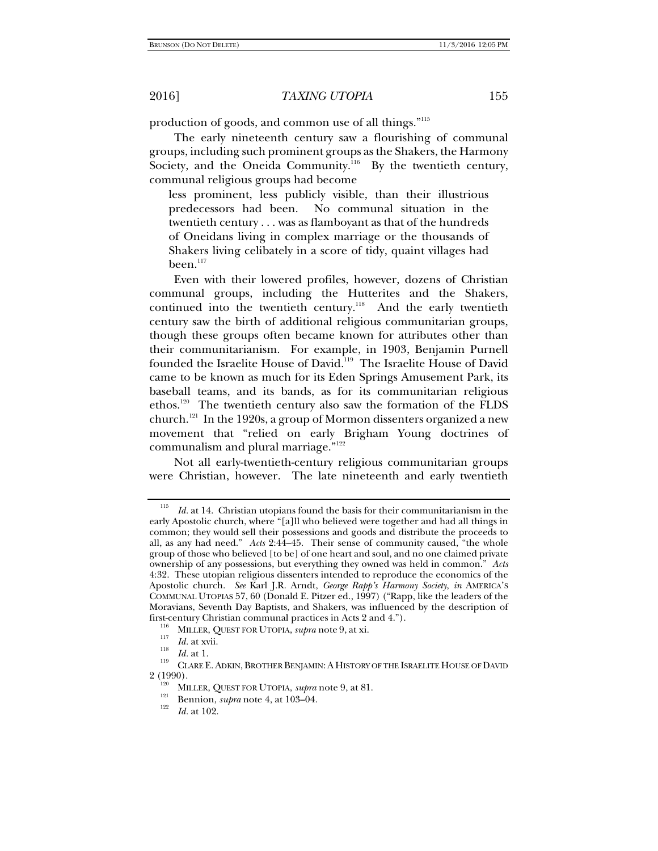production of goods, and common use of all things."115

The early nineteenth century saw a flourishing of communal groups, including such prominent groups as the Shakers, the Harmony Society, and the Oneida Community.<sup>116</sup> By the twentieth century, communal religious groups had become

less prominent, less publicly visible, than their illustrious predecessors had been. No communal situation in the twentieth century . . . was as flamboyant as that of the hundreds of Oneidans living in complex marriage or the thousands of Shakers living celibately in a score of tidy, quaint villages had been.<sup>117</sup>

Even with their lowered profiles, however, dozens of Christian communal groups, including the Hutterites and the Shakers, continued into the twentieth century.<sup>118</sup> And the early twentieth century saw the birth of additional religious communitarian groups, though these groups often became known for attributes other than their communitarianism. For example, in 1903, Benjamin Purnell founded the Israelite House of David.<sup>119</sup> The Israelite House of David came to be known as much for its Eden Springs Amusement Park, its baseball teams, and its bands, as for its communitarian religious ethos.<sup>120</sup> The twentieth century also saw the formation of the FLDS church.<sup>121</sup> In the 1920s, a group of Mormon dissenters organized a new movement that "relied on early Brigham Young doctrines of communalism and plural marriage."<sup>122</sup>

Not all early-twentieth-century religious communitarian groups were Christian, however. The late nineteenth and early twentieth

<sup>115</sup> *Id.* at 14. Christian utopians found the basis for their communitarianism in the early Apostolic church, where "[a]ll who believed were together and had all things in common; they would sell their possessions and goods and distribute the proceeds to all, as any had need." *Acts* 2:44–45. Their sense of community caused, "the whole group of those who believed [to be] of one heart and soul, and no one claimed private ownership of any possessions, but everything they owned was held in common." *Acts* 4:32. These utopian religious dissenters intended to reproduce the economics of the Apostolic church. *See* Karl J.R. Arndt, *George Rapp's Harmony Society*, *in* AMERICA'S COMMUNAL UTOPIAS 57, 60 (Donald E. Pitzer ed., 1997) ("Rapp, like the leaders of the Moravians, Seventh Day Baptists, and Shakers, was influenced by the description of first-century Christian communal practices in Acts 2 and 4.").<br><sup>116</sup> MILLER, QUEST FOR UTOPIA, *supra* note 9, at xi.<br><sup>117</sup> Id. at xvii.

<sup>&</sup>lt;sup>118</sup> *Id.* at 1. CLARE E. ADKIN, BROTHER BENJAMIN: A HISTORY OF THE ISRAELITE HOUSE OF DAVID 2 (1990).

<sup>&</sup>lt;sup>120</sup> MILLER, QUEST FOR UTOPIA, *supra* note 9, at 81.<br>
<sup>121</sup> Bennion, *supra* note 4, at 103–04.

*Id.* at 102.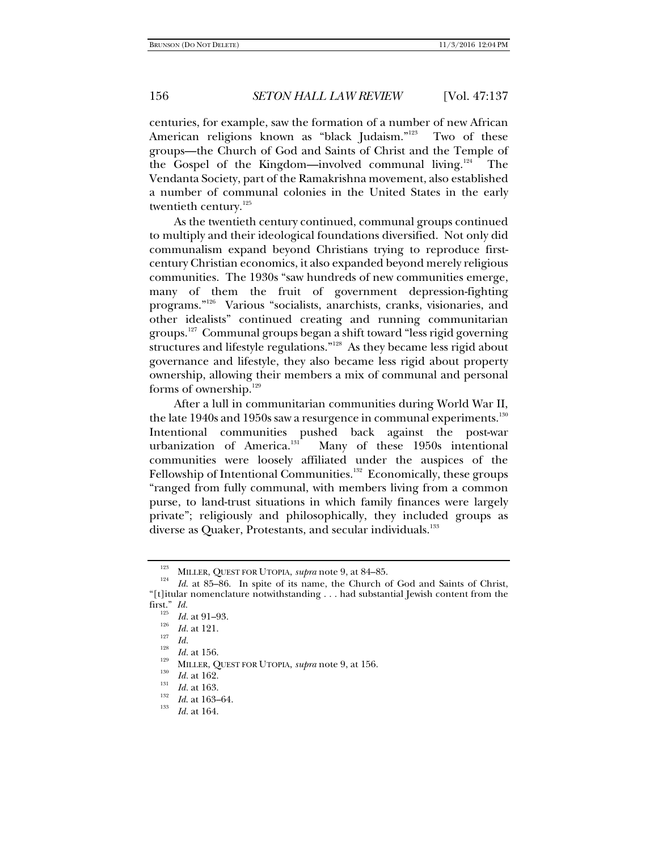centuries, for example, saw the formation of a number of new African American religions known as "black Judaism."<sup>123</sup> Two of these groups—the Church of God and Saints of Christ and the Temple of the Gospel of the Kingdom—involved communal living.<sup>124</sup> The Vendanta Society, part of the Ramakrishna movement, also established a number of communal colonies in the United States in the early twentieth century.<sup>125</sup>

As the twentieth century continued, communal groups continued to multiply and their ideological foundations diversified. Not only did communalism expand beyond Christians trying to reproduce firstcentury Christian economics, it also expanded beyond merely religious communities. The 1930s "saw hundreds of new communities emerge, many of them the fruit of government depression-fighting programs."126 Various "socialists, anarchists, cranks, visionaries, and other idealists" continued creating and running communitarian groups.<sup>127</sup> Communal groups began a shift toward "less rigid governing structures and lifestyle regulations."<sup>128</sup> As they became less rigid about governance and lifestyle, they also became less rigid about property ownership, allowing their members a mix of communal and personal forms of ownership.<sup>129</sup>

After a lull in communitarian communities during World War II, the late 1940s and 1950s saw a resurgence in communal experiments.<sup>130</sup> Intentional communities pushed back against the post-war urbanization of America.<sup>131</sup> Many of these 1950s intentional Many of these 1950s intentional communities were loosely affiliated under the auspices of the Fellowship of Intentional Communities.<sup>132</sup> Economically, these groups "ranged from fully communal, with members living from a common purse, to land-trust situations in which family finances were largely private"; religiously and philosophically, they included groups as diverse as Quaker, Protestants, and secular individuals.<sup>133</sup>

<sup>&</sup>lt;sup>123</sup> MILLER, QUEST FOR UTOPIA, *supra* note 9, at 84–85.

*Id*. at 85–86. In spite of its name, the Church of God and Saints of Christ, "[t]itular nomenclature notwithstanding . . . had substantial Jewish content from the first." Id.

 $\frac{125}{126}$  *Id.* at 91–93.<br>*Id.* at 121.

*Ia. Id. Id. Id.* at 156. *Ia.* **III. Id.** at 156. *Ia.* **III. Id.** at 162. *Id.* at 163. *Id.* at 163.

<sup>&</sup>lt;sup>132</sup> *Id.* at 163–64.

*Id.* at 164.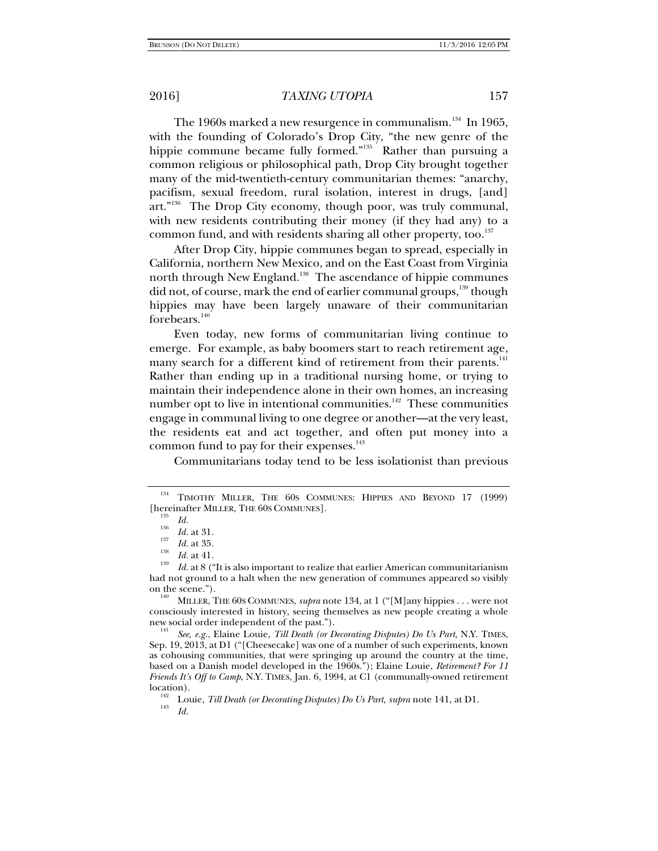The 1960s marked a new resurgence in communalism.<sup>134</sup> In 1965, with the founding of Colorado's Drop City, "the new genre of the hippie commune became fully formed."<sup>135</sup> Rather than pursuing a common religious or philosophical path, Drop City brought together many of the mid-twentieth-century communitarian themes: "anarchy, pacifism, sexual freedom, rural isolation, interest in drugs, [and]  $art.^{136}$  The Drop City economy, though poor, was truly communal, with new residents contributing their money (if they had any) to a common fund, and with residents sharing all other property, too.<sup>137</sup>

After Drop City, hippie communes began to spread, especially in California, northern New Mexico, and on the East Coast from Virginia north through New England.<sup>138</sup> The ascendance of hippie communes did not, of course, mark the end of earlier communal groups,<sup>139</sup> though hippies may have been largely unaware of their communitarian forebears.<sup>140</sup>

Even today, new forms of communitarian living continue to emerge. For example, as baby boomers start to reach retirement age, many search for a different kind of retirement from their parents.<sup>141</sup> Rather than ending up in a traditional nursing home, or trying to maintain their independence alone in their own homes, an increasing number opt to live in intentional communities.<sup>142</sup> These communities engage in communal living to one degree or another—at the very least, the residents eat and act together, and often put money into a common fund to pay for their expenses.<sup>143</sup>

Communitarians today tend to be less isolationist than previous

consciously interested in history, seeing themselves as new people creating a whole<br>new social order independent of the past.").<br> $\frac{141}{5}$ 

See, e.g., Elaine Louie, *Till Death (or Decorating Disputes) Do Us Part*, N.Y. TIMES, Sep. 19, 2013, at D1 ("[Cheesecake] was one of a number of such experiments, known as cohousing communities, that were springing up around the country at the time, based on a Danish model developed in the 1960s."); Elaine Louie, *Retirement? For 11 Friends It's Off to Camp*, N.Y. TIMES, Jan. 6, 1994, at C1 (communally-owned retirement location).<br><sup>142</sup> Louie, *Till Death (or Decorating Disputes) Do Us Part, supra* note 141, at D1.<br><sup>143</sup> Victorian

<sup>&</sup>lt;sup>134</sup> TIMOTHY MILLER, THE 60S COMMUNES: HIPPIES AND BEYOND 17 (1999) [hereinafter MILLER, THE 60s COMMUNES].<br><sup>135</sup> *Id.*<br><sup>136</sup> *Id.* at 31.<br><sup>137</sup> *Id.* at <sup>31</sup>.

 $\frac{137}{138}$  *Id.* at 35.

 $I^{139}$  *Id.* at 8 ("It is also important to realize that earlier American communitarianism had not ground to a halt when the new generation of communes appeared so visibly on the scene.").<br><sup>140</sup> MILLER, THE 60S COMMUNES, *supra* note 134, at 1 ("[M]any hippies . . . were not

*Id.*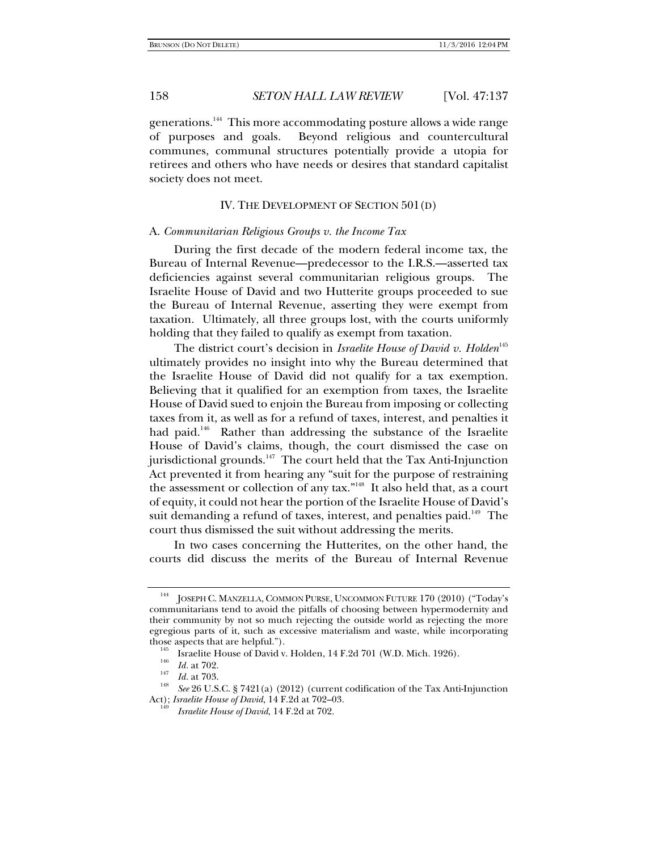generations.<sup>144</sup> This more accommodating posture allows a wide range of purposes and goals. Beyond religious and countercultural communes, communal structures potentially provide a utopia for retirees and others who have needs or desires that standard capitalist society does not meet.

## IV. THE DEVELOPMENT OF SECTION 501(D)

### A. *Communitarian Religious Groups v. the Income Tax*

During the first decade of the modern federal income tax, the Bureau of Internal Revenue—predecessor to the I.R.S.—asserted tax deficiencies against several communitarian religious groups. The Israelite House of David and two Hutterite groups proceeded to sue the Bureau of Internal Revenue, asserting they were exempt from taxation. Ultimately, all three groups lost, with the courts uniformly holding that they failed to qualify as exempt from taxation.

The district court's decision in *Israelite House of David v. Holden*<sup>145</sup> ultimately provides no insight into why the Bureau determined that the Israelite House of David did not qualify for a tax exemption. Believing that it qualified for an exemption from taxes, the Israelite House of David sued to enjoin the Bureau from imposing or collecting taxes from it, as well as for a refund of taxes, interest, and penalties it had paid.<sup>146</sup> Rather than addressing the substance of the Israelite House of David's claims, though, the court dismissed the case on jurisdictional grounds.<sup>147</sup> The court held that the Tax Anti-Injunction Act prevented it from hearing any "suit for the purpose of restraining the assessment or collection of any tax."<sup>148</sup> It also held that, as a court of equity, it could not hear the portion of the Israelite House of David's suit demanding a refund of taxes, interest, and penalties paid.<sup>149</sup> The court thus dismissed the suit without addressing the merits.

In two cases concerning the Hutterites, on the other hand, the courts did discuss the merits of the Bureau of Internal Revenue

<sup>&</sup>lt;sup>144</sup> JOSEPH C. MANZELLA, COMMON PURSE, UNCOMMON FUTURE 170 (2010) ("Today's communitarians tend to avoid the pitfalls of choosing between hypermodernity and their community by not so much rejecting the outside world as rejecting the more egregious parts of it, such as excessive materialism and waste, while incorporating those aspects that are helpful.").<br>
<sup>145</sup> Israelite House of David v. Holden, 14 F.2d 701 (W.D. Mich. 1926).<br>
<sup>146</sup> *Id.* at 702.<br>
<sup>147</sup> *Id.* at 703.

<sup>&</sup>lt;sup>148</sup> *See* 26 U.S.C. § 7421(a) (2012) (current codification of the Tax Anti-Injunction Act); *Israelite House of David*, 14 F.2d at 702–03.

*Israelite House of David*, 14 F.2d at 702.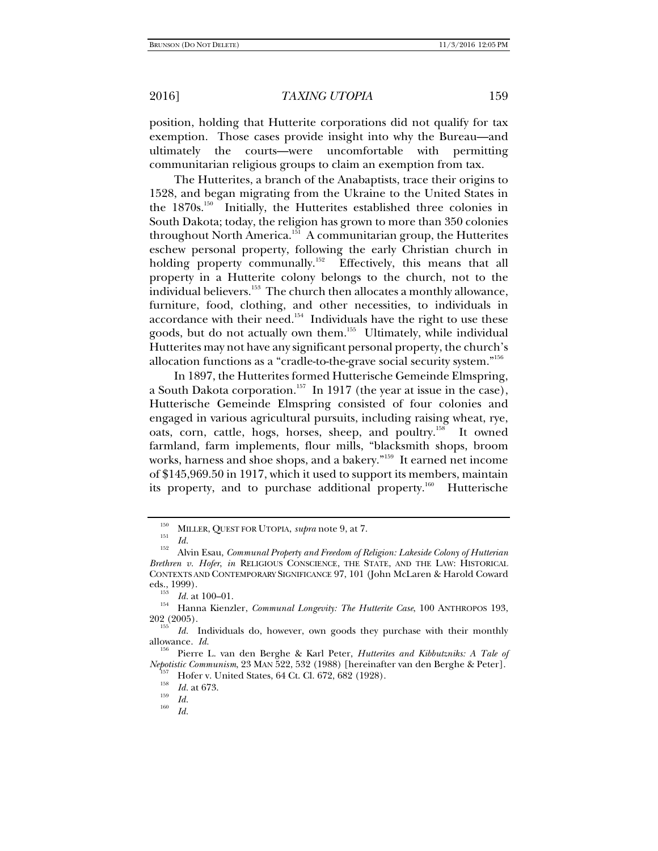position, holding that Hutterite corporations did not qualify for tax exemption. Those cases provide insight into why the Bureau—and ultimately the courts—were uncomfortable with permitting communitarian religious groups to claim an exemption from tax.

The Hutterites, a branch of the Anabaptists, trace their origins to 1528, and began migrating from the Ukraine to the United States in the 1870s.150 Initially, the Hutterites established three colonies in South Dakota; today, the religion has grown to more than 350 colonies throughout North America.<sup>151</sup> A communitarian group, the Hutterites eschew personal property, following the early Christian church in holding property communally.<sup>152</sup> Effectively, this means that all property in a Hutterite colony belongs to the church, not to the individual believers.<sup>153</sup> The church then allocates a monthly allowance, furniture, food, clothing, and other necessities, to individuals in accordance with their need.<sup>154</sup> Individuals have the right to use these goods, but do not actually own them.<sup>155</sup> Ultimately, while individual Hutterites may not have any significant personal property, the church's allocation functions as a "cradle-to-the-grave social security system."156

In 1897, the Hutterites formed Hutterische Gemeinde Elmspring, a South Dakota corporation.<sup>157</sup> In 1917 (the year at issue in the case), Hutterische Gemeinde Elmspring consisted of four colonies and engaged in various agricultural pursuits, including raising wheat, rye, oats, corn, cattle, hogs, horses, sheep, and poultry.<sup>158</sup> It owned farmland, farm implements, flour mills, "blacksmith shops, broom works, harness and shoe shops, and a bakery."159 It earned net income of \$145,969.50 in 1917, which it used to support its members, maintain its property, and to purchase additional property.<sup>160</sup> Hutterische

<sup>&</sup>lt;sup>150</sup> MILLER, QUEST FOR UTOPIA, *supra* note 9, at 7.<br> *Id.* 

*Id.* 152 Alvin Esau, *Communal Property and Freedom of Religion: Lakeside Colony of Hutterian Brethren v. Hofer*, *in* RELIGIOUS CONSCIENCE, THE STATE, AND THE LAW: HISTORICAL CONTEXTS AND CONTEMPORARY SIGNIFICANCE 97, 101 (John McLaren & Harold Coward eds., 1999).<br> $Id.$  at 100–01.

<sup>&</sup>lt;sup>154</sup> Hanna Kienzler, *Communal Longevity: The Hutterite Case*, 100 ANTHROPOS 193, 202 (2005).

Id. Individuals do, however, own goods they purchase with their monthly allowance. *Id.* 156 Pierre L. van den Berghe & Karl Peter, *Hutterites and Kibbutzniks: A Tale of* 

*Nepotistic Communism*, 23 MAN 522, 532 (1988) [hereinafter van den Berghe & Peter].<br><sup>157</sup> Hofer v. United States, 64 Ct. Cl. 672, 682 (1928).

<sup>&</sup>lt;sup>159</sup> *Id.* at 673.<br><sup>159</sup> *Id.* 

*Id.*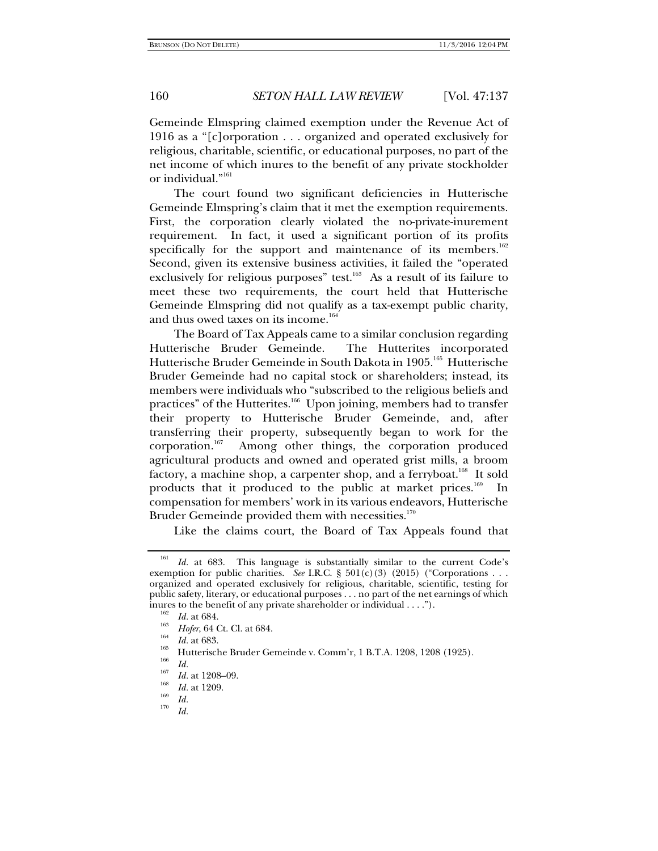Gemeinde Elmspring claimed exemption under the Revenue Act of 1916 as a "[c]orporation . . . organized and operated exclusively for religious, charitable, scientific, or educational purposes, no part of the net income of which inures to the benefit of any private stockholder or individual."161

The court found two significant deficiencies in Hutterische Gemeinde Elmspring's claim that it met the exemption requirements. First, the corporation clearly violated the no-private-inurement requirement. In fact, it used a significant portion of its profits specifically for the support and maintenance of its members.<sup>162</sup> Second, given its extensive business activities, it failed the "operated exclusively for religious purposes" test.<sup>163</sup> As a result of its failure to meet these two requirements, the court held that Hutterische Gemeinde Elmspring did not qualify as a tax-exempt public charity, and thus owed taxes on its income.<sup>164</sup>

The Board of Tax Appeals came to a similar conclusion regarding Hutterische Bruder Gemeinde. The Hutterites incorporated Hutterische Bruder Gemeinde in South Dakota in 1905.165 Hutterische Bruder Gemeinde had no capital stock or shareholders; instead, its members were individuals who "subscribed to the religious beliefs and practices" of the Hutterites.<sup>166</sup> Upon joining, members had to transfer their property to Hutterische Bruder Gemeinde, and, after transferring their property, subsequently began to work for the corporation.167 Among other things, the corporation produced agricultural products and owned and operated grist mills, a broom factory, a machine shop, a carpenter shop, and a ferryboat.<sup>168</sup> It sold products that it produced to the public at market prices.<sup>169</sup> In compensation for members' work in its various endeavors, Hutterische Bruder Gemeinde provided them with necessities.<sup>170</sup>

Like the claims court, the Board of Tax Appeals found that

<sup>161</sup> *Id.* at 683. This language is substantially similar to the current Code's exemption for public charities. *See* I.R.C. §  $501(c)(3)$  (2015) ("Corporations . . . organized and operated exclusively for religious, charitable, scientific, testing for public safety, literary, or educational purposes . . . no part of the net earnings of which inures to the benefit of any private shareholder or individual . . . .").<br><sup>162</sup> *Id.* at 684. *Hofer*, 64 Ct. Cl. at 684.

*Hoferra, 165 Id.* at 683. 165 Hutterische Bruder Gemeinde v. Comm'r, 1 B.T.A. 1208, 1208 (1925).<br> *Hoferra, 166 Id.* 

<sup>&</sup>lt;sup>167</sup> *Id.* at 1208–09.

<sup>&</sup>lt;sup>168</sup> *Id.* at 1209.<br><sup>169</sup> *Id.* 

*Id.*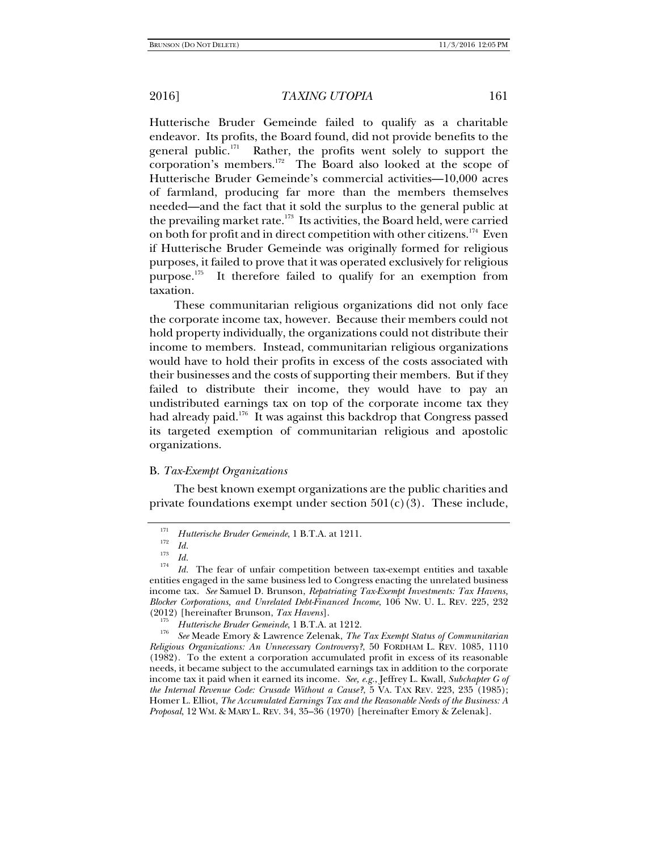Hutterische Bruder Gemeinde failed to qualify as a charitable endeavor. Its profits, the Board found, did not provide benefits to the general public.<sup>171</sup> Rather, the profits went solely to support the corporation's members.<sup>172</sup> The Board also looked at the scope of Hutterische Bruder Gemeinde's commercial activities—10,000 acres of farmland, producing far more than the members themselves needed—and the fact that it sold the surplus to the general public at the prevailing market rate.<sup>173</sup> Its activities, the Board held, were carried on both for profit and in direct competition with other citizens.<sup>174</sup> Even if Hutterische Bruder Gemeinde was originally formed for religious purposes, it failed to prove that it was operated exclusively for religious purpose. $175$  It therefore failed to qualify for an exemption from taxation.

These communitarian religious organizations did not only face the corporate income tax, however. Because their members could not hold property individually, the organizations could not distribute their income to members. Instead, communitarian religious organizations would have to hold their profits in excess of the costs associated with their businesses and the costs of supporting their members. But if they failed to distribute their income, they would have to pay an undistributed earnings tax on top of the corporate income tax they had already paid.<sup>176</sup> It was against this backdrop that Congress passed its targeted exemption of communitarian religious and apostolic organizations.

## B. *Tax-Exempt Organizations*

The best known exempt organizations are the public charities and private foundations exempt under section  $501(c)(3)$ . These include,

<sup>171</sup> <sup>111</sup> Hutterische Bruder Gemeinde, 1 B.T.A. at 1211.<br><sup>172</sup> Id

*Id.* 173 *Id.* <sup>174</sup>

*Id.* The fear of unfair competition between tax-exempt entities and taxable entities engaged in the same business led to Congress enacting the unrelated business income tax. *See* Samuel D. Brunson, *Repatriating Tax-Exempt Investments: Tax Havens, Blocker Corporations, and Unrelated Debt-Financed Income*, 106 NW. U. L. REV. 225, 232

<sup>&</sup>lt;sup>175</sup> Hutterische Bruder Gemeinde, 1 B.T.A. at 1212.

*See* Meade Emory & Lawrence Zelenak, *The Tax Exempt Status of Communitarian Religious Organizations: An Unnecessary Controversy?*, 50 FORDHAM L. REV. 1085, 1110 (1982). To the extent a corporation accumulated profit in excess of its reasonable needs, it became subject to the accumulated earnings tax in addition to the corporate income tax it paid when it earned its income. *See, e.g.*, Jeffrey L. Kwall, *Subchapter G of the Internal Revenue Code: Crusade Without a Cause?*, 5 VA. TAX REV. 223, 235 (1985); Homer L. Elliot, *The Accumulated Earnings Tax and the Reasonable Needs of the Business: A Proposal*, 12 WM. & MARY L. REV. 34, 35–36 (1970) [hereinafter Emory & Zelenak].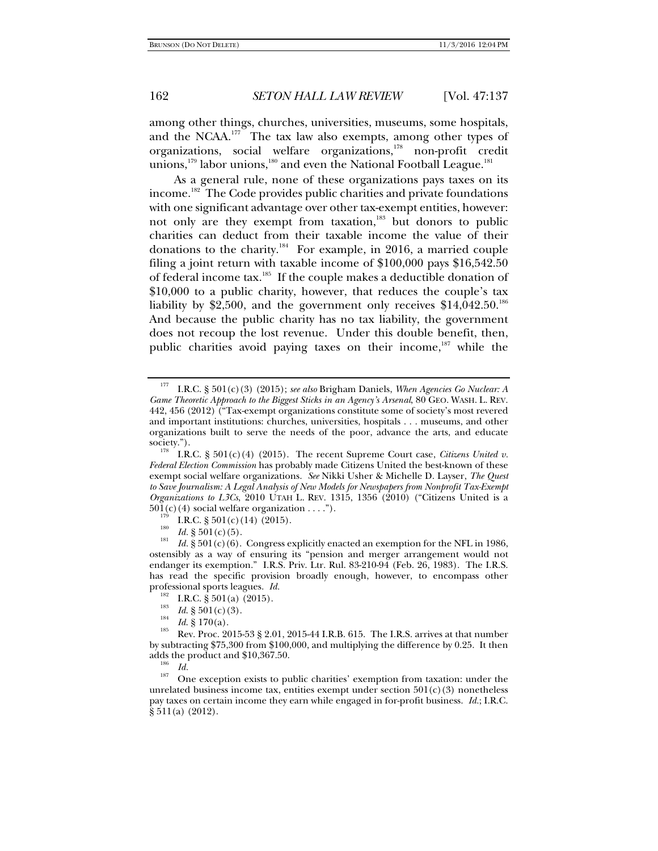among other things, churches, universities, museums, some hospitals, and the NCAA. $177$  The tax law also exempts, among other types of organizations, social welfare organizations,<sup>178</sup> non-profit credit unions,<sup>179</sup> labor unions,<sup>180</sup> and even the National Football League.<sup>181</sup>

As a general rule, none of these organizations pays taxes on its income.<sup>182</sup> The Code provides public charities and private foundations with one significant advantage over other tax-exempt entities, however: not only are they exempt from taxation,<sup>183</sup> but donors to public charities can deduct from their taxable income the value of their donations to the charity.<sup>184</sup> For example, in 2016, a married couple filing a joint return with taxable income of \$100,000 pays \$16,542.50 of federal income tax.<sup>185</sup> If the couple makes a deductible donation of \$10,000 to a public charity, however, that reduces the couple's tax liability by \$2,500, and the government only receives  $$14,042.50$ <sup>186</sup> And because the public charity has no tax liability, the government does not recoup the lost revenue. Under this double benefit, then, public charities avoid paying taxes on their income,<sup>187</sup> while the

<sup>185</sup> Rev. Proc. 2015-53 § 2.01, 2015-44 I.R.B. 615. The I.R.S. arrives at that number by subtracting \$75,300 from \$100,000, and multiplying the difference by 0.25. It then adds the product and \$10,367.50.<br> $\frac{186}{Id}$ .

<sup>177</sup> I.R.C. § 501(c)(3) (2015); *see also* Brigham Daniels, *When Agencies Go Nuclear: A Game Theoretic Approach to the Biggest Sticks in an Agency's Arsenal*, 80 GEO. WASH. L. REV. 442, 456 (2012) ("Tax-exempt organizations constitute some of society's most revered and important institutions: churches, universities, hospitals . . . museums, and other organizations built to serve the needs of the poor, advance the arts, and educate society.").

I.R.C.  $\S 501(c)(4)$  (2015). The recent Supreme Court case, *Citizens United v. Federal Election Commission* has probably made Citizens United the best-known of these exempt social welfare organizations. *See* Nikki Usher & Michelle D. Layser, *The Quest to Save Journalism: A Legal Analysis of New Models for Newspapers from Nonprofit Tax-Exempt Organizations to L3Cs*, 2010 UTAH L. REV. 1315, 1356 (2010) ("Citizens United is a 501(c)(4) social welfare organization . . . .").<br><sup>179</sup> I.R.C. § 501(c)(14) (2015).<br><sup>180</sup> *Id.* § 501(c)(5).

*Id.* § 501(c)(6). Congress explicitly enacted an exemption for the NFL in 1986, ostensibly as a way of ensuring its "pension and merger arrangement would not endanger its exemption." I.R.S. Priv. Ltr. Rul. 83-210-94 (Feb. 26, 1983). The I.R.S. has read the specific provision broadly enough, however, to encompass other professional sports leagues. *Id.* <sup>182</sup> I.R.C. § 501(a) (2015).<br><sup>183</sup> *Id.* § 501(c)(3). <sup>184</sup> *Id.* § 170(a).

<sup>&</sup>lt;sup>187</sup> One exception exists to public charities' exemption from taxation: under the unrelated business income tax, entities exempt under section  $501(c)(3)$  nonetheless pay taxes on certain income they earn while engaged in for-profit business. *Id.*; I.R.C. § 511(a) (2012).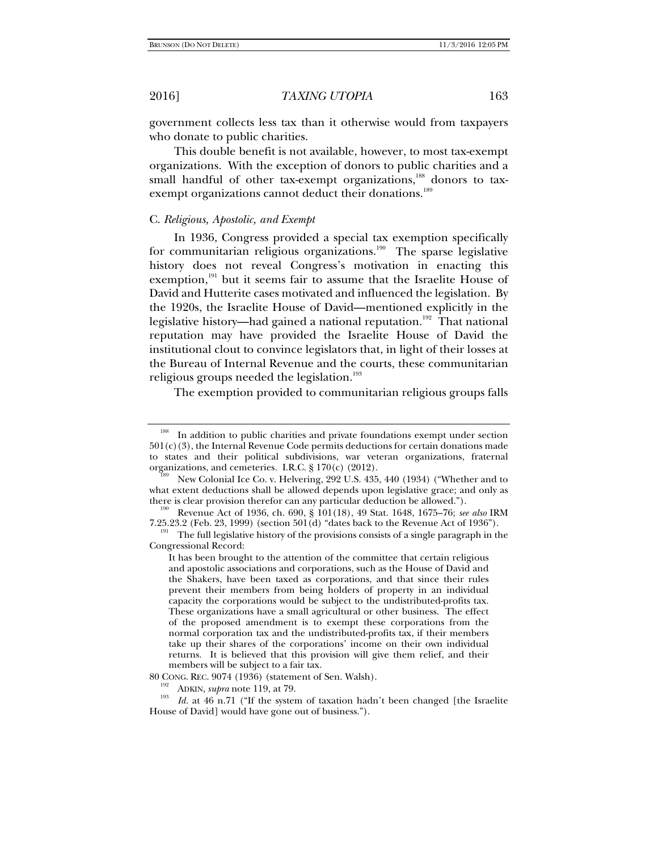government collects less tax than it otherwise would from taxpayers who donate to public charities.

This double benefit is not available, however, to most tax-exempt organizations. With the exception of donors to public charities and a small handful of other tax-exempt organizations,<sup>188</sup> donors to taxexempt organizations cannot deduct their donations.<sup>189</sup>

### C. *Religious, Apostolic, and Exempt*

In 1936, Congress provided a special tax exemption specifically for communitarian religious organizations.<sup>190</sup> The sparse legislative history does not reveal Congress's motivation in enacting this exemption, $191$  but it seems fair to assume that the Israelite House of David and Hutterite cases motivated and influenced the legislation. By the 1920s, the Israelite House of David—mentioned explicitly in the legislative history—had gained a national reputation.<sup>192</sup> That national reputation may have provided the Israelite House of David the institutional clout to convince legislators that, in light of their losses at the Bureau of Internal Revenue and the courts, these communitarian religious groups needed the legislation.<sup>193</sup>

The exemption provided to communitarian religious groups falls

<sup>&</sup>lt;sup>188</sup> In addition to public charities and private foundations exempt under section 501(c)(3), the Internal Revenue Code permits deductions for certain donations made to states and their political subdivisions, war veteran organizations, fraternal organizations, and cemeteries. I.R.C. § 170(c) (2012).

New Colonial Ice Co. v. Helvering, 292 U.S. 435, 440 (1934) ("Whether and to what extent deductions shall be allowed depends upon legislative grace; and only as there is clear provision therefor can any particular deduction be allowed."). 190 Revenue Act of 1936, ch. 690, § 101(18), 49 Stat. 1648, 1675–76; *see also* IRM

<sup>7.25.23.2 (</sup>Feb. 23, 1999) (section 501(d) "dates back to the Revenue Act of 1936").<br><sup>191</sup> The full legislative history of the provisions consists of a single paragraph in the Congressional Record:

It has been brought to the attention of the committee that certain religious and apostolic associations and corporations, such as the House of David and the Shakers, have been taxed as corporations, and that since their rules prevent their members from being holders of property in an individual capacity the corporations would be subject to the undistributed-profits tax. These organizations have a small agricultural or other business. The effect of the proposed amendment is to exempt these corporations from the normal corporation tax and the undistributed-profits tax, if their members take up their shares of the corporations' income on their own individual returns. It is believed that this provision will give them relief, and their members will be subject to a fair tax.

<sup>80</sup> CONG. REC. 9074 (1936) (statement of Sen. Walsh).<br><sup>192</sup> ADKIN, *supra* note 119, at 79.

<sup>&</sup>lt;sup>193</sup> *Id.* at 46 n.71 ("If the system of taxation hadn't been changed [the Israelite House of David] would have gone out of business.").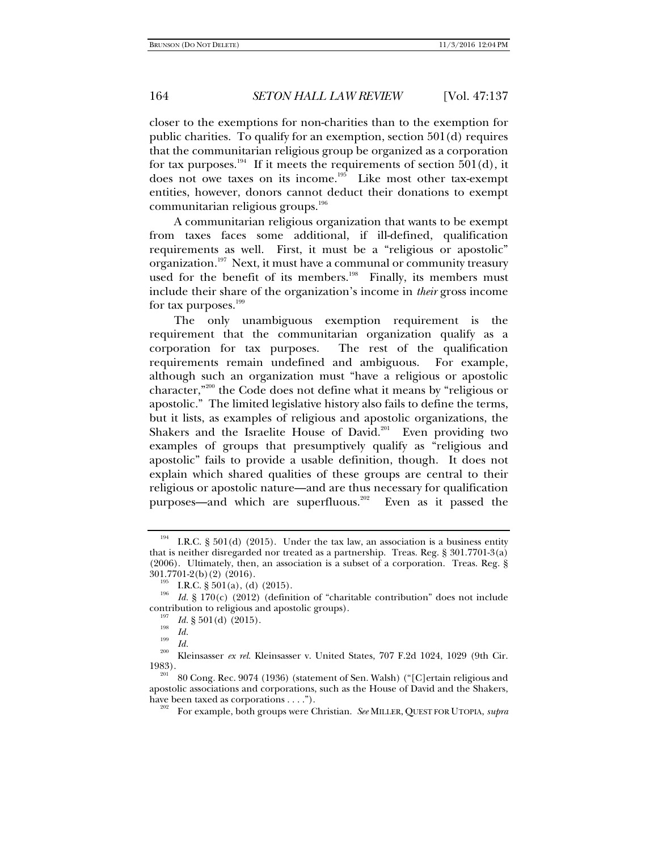closer to the exemptions for non-charities than to the exemption for public charities. To qualify for an exemption, section 501(d) requires that the communitarian religious group be organized as a corporation for tax purposes.<sup>194</sup> If it meets the requirements of section 501(d), it does not owe taxes on its income.<sup>195</sup> Like most other tax-exempt entities, however, donors cannot deduct their donations to exempt communitarian religious groups.<sup>196</sup>

A communitarian religious organization that wants to be exempt from taxes faces some additional, if ill-defined, qualification requirements as well. First, it must be a "religious or apostolic" organization.<sup>197</sup> Next, it must have a communal or community treasury used for the benefit of its members.<sup>198</sup> Finally, its members must include their share of the organization's income in *their* gross income for tax purposes.<sup>199</sup>

The only unambiguous exemption requirement is the requirement that the communitarian organization qualify as a corporation for tax purposes. The rest of the qualification requirements remain undefined and ambiguous. For example, although such an organization must "have a religious or apostolic character,"200 the Code does not define what it means by "religious or apostolic." The limited legislative history also fails to define the terms, but it lists, as examples of religious and apostolic organizations, the Shakers and the Israelite House of David.<sup>201</sup> Even providing two examples of groups that presumptively qualify as "religious and apostolic" fails to provide a usable definition, though. It does not explain which shared qualities of these groups are central to their religious or apostolic nature—and are thus necessary for qualification purposes—and which are superfluous.<sup>202</sup> Even as it passed the

I.R.C.  $\S 501(d)$  (2015). Under the tax law, an association is a business entity that is neither disregarded nor treated as a partnership. Treas. Reg. § 301.7701-3(a) (2006). Ultimately, then, an association is a subset of a corporation. Treas. Reg. §  $301.7701-2(b)(2)$  (2016).

<sup>&</sup>lt;sup>195</sup> I.R.C. § 501(a), (d) (2015).<br><sup>196</sup> *Id.* § 170(c) (2012) (definition of "charitable contribution" does not include contribution to religious and apostolic groups).<br><sup>197</sup> *Id.* § 501(d) (2015).<br>*Id.* 

*Id.* <sup>199</sup>*Id.* 200 Kleinsasser *ex rel.* Kleinsasser v. United States, 707 F.2d 1024, 1029 (9th Cir. 1983).<br><sup>201</sup> 80 Cong. Rec. 9074 (1936) (statement of Sen. Walsh) ("[C]ertain religious and

apostolic associations and corporations, such as the House of David and the Shakers, have been taxed as corporations . . . .").<br><sup>202</sup> For example, both groups were Christian. *See* MILLER, QUEST FOR UTOPIA, *supra*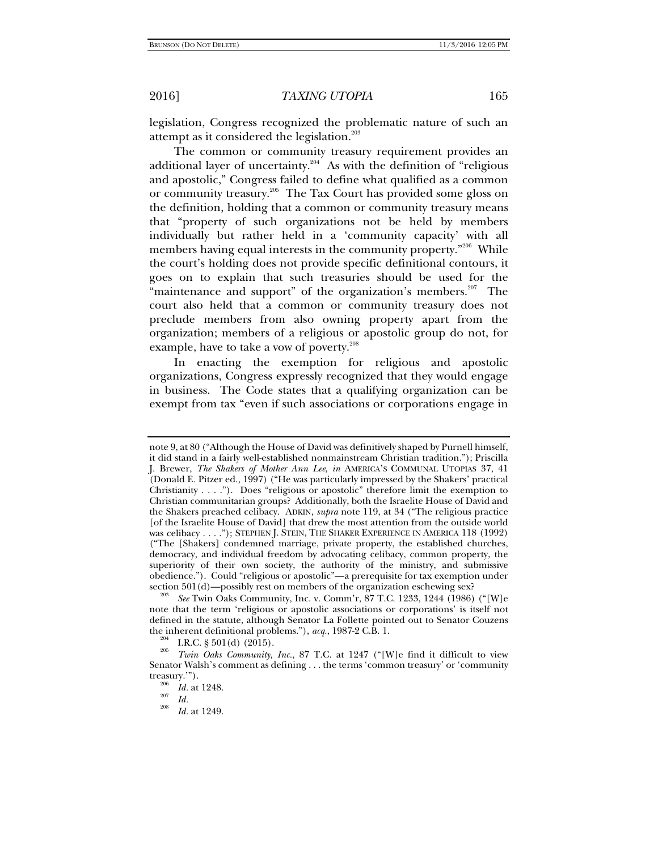legislation, Congress recognized the problematic nature of such an attempt as it considered the legislation.<sup>203</sup>

The common or community treasury requirement provides an additional layer of uncertainty. $204$  As with the definition of "religious" and apostolic," Congress failed to define what qualified as a common or community treasury.<sup>205</sup> The Tax Court has provided some gloss on the definition, holding that a common or community treasury means that "property of such organizations not be held by members individually but rather held in a 'community capacity' with all members having equal interests in the community property."<sup>206</sup> While the court's holding does not provide specific definitional contours, it goes on to explain that such treasuries should be used for the "maintenance and support" of the organization's members.<sup>207</sup> The court also held that a common or community treasury does not preclude members from also owning property apart from the organization; members of a religious or apostolic group do not, for example, have to take a vow of poverty.<sup>208</sup>

In enacting the exemption for religious and apostolic organizations, Congress expressly recognized that they would engage in business. The Code states that a qualifying organization can be exempt from tax "even if such associations or corporations engage in

note 9, at 80 ("Although the House of David was definitively shaped by Purnell himself, it did stand in a fairly well-established nonmainstream Christian tradition."); Priscilla J. Brewer, *The Shakers of Mother Ann Lee*, *in* AMERICA'S COMMUNAL UTOPIAS 37, 41 (Donald E. Pitzer ed., 1997) ("He was particularly impressed by the Shakers' practical Christianity . . . ."). Does "religious or apostolic" therefore limit the exemption to Christian communitarian groups? Additionally, both the Israelite House of David and the Shakers preached celibacy. ADKIN, *supra* note 119, at 34 ("The religious practice [of the Israelite House of David] that drew the most attention from the outside world was celibacy . . . ."); STEPHEN J. STEIN, THE SHAKER EXPERIENCE IN AMERICA 118 (1992) ("The [Shakers] condemned marriage, private property, the established churches, democracy, and individual freedom by advocating celibacy, common property, the superiority of their own society, the authority of the ministry, and submissive obedience."). Could "religious or apostolic"—a prerequisite for tax exemption under section  $501(d)$ —possibly rest on members of the organization eschewing sex?

See Twin Oaks Community, Inc. v. Comm'r, 87 T.C. 1233, 1244 (1986) ("[W]e note that the term 'religious or apostolic associations or corporations' is itself not defined in the statute, although Senator La Follette pointed out to Senator Couzens the inherent definitional problems."), *acq.*, 1987-2 C.B. 1.<br><sup>204</sup> I.R.C. § 501(d) (2015).

*Twin Oaks Community, Inc.*, 87 T.C. at 1247 ("[W]e find it difficult to view Senator Walsh's comment as defining . . . the terms 'common treasury' or 'community treasury."").

<sup>&</sup>lt;sup>206</sup> *Id.* at 1248.<br><sup>207</sup> *Id.* 208

*Id.* at 1249.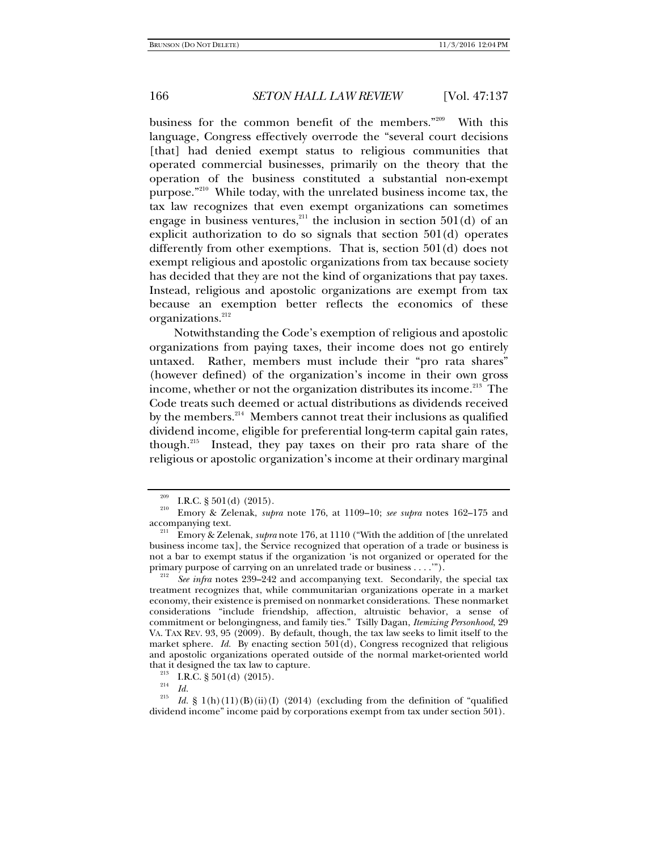business for the common benefit of the members."<sup>209</sup> With this language, Congress effectively overrode the "several court decisions [that] had denied exempt status to religious communities that operated commercial businesses, primarily on the theory that the operation of the business constituted a substantial non-exempt purpose."210 While today, with the unrelated business income tax, the tax law recognizes that even exempt organizations can sometimes engage in business ventures,<sup>211</sup> the inclusion in section  $501(d)$  of an explicit authorization to do so signals that section 501(d) operates differently from other exemptions. That is, section 501(d) does not exempt religious and apostolic organizations from tax because society has decided that they are not the kind of organizations that pay taxes. Instead, religious and apostolic organizations are exempt from tax because an exemption better reflects the economics of these organizations.<sup>212</sup>

Notwithstanding the Code's exemption of religious and apostolic organizations from paying taxes, their income does not go entirely untaxed. Rather, members must include their "pro rata shares" (however defined) of the organization's income in their own gross income, whether or not the organization distributes its income.<sup>213</sup> The Code treats such deemed or actual distributions as dividends received by the members.<sup>214</sup> Members cannot treat their inclusions as qualified dividend income, eligible for preferential long-term capital gain rates, though.215 Instead, they pay taxes on their pro rata share of the religious or apostolic organization's income at their ordinary marginal

<sup>209</sup> I.R.C. § 501(d) (2015). 210 Emory & Zelenak, *supra* note 176, at 1109–10; *see supra* notes 162–175 and

accompanying text. 211 Emory & Zelenak, *supra* note 176, at 1110 ("With the addition of [the unrelated business income tax], the Service recognized that operation of a trade or business is not a bar to exempt status if the organization 'is not organized or operated for the primary purpose of carrying on an unrelated trade or business . . . .").

 $\frac{p}{212}$  *See infra* notes 239–242 and accompanying text. Secondarily, the special tax treatment recognizes that, while communitarian organizations operate in a market economy, their existence is premised on nonmarket considerations. These nonmarket considerations "include friendship, affection, altruistic behavior, a sense of commitment or belongingness, and family ties." Tsilly Dagan, *Itemizing Personhood*, 29 VA. TAX REV. 93, 95 (2009). By default, though, the tax law seeks to limit itself to the market sphere. *Id.* By enacting section 501(d), Congress recognized that religious and apostolic organizations operated outside of the normal market-oriented world that it designed the tax law to capture.<br><sup>213</sup> I.R.C. § 501(d) (2015).<br><sup>214</sup> *Id.* 215 *Id.* 8.1(b) (11) (P) (ii) (1) (2014).

*Id.*  $\S 1(h)(11)(B)(ii)(I) (2014)$  (excluding from the definition of "qualified") dividend income" income paid by corporations exempt from tax under section 501).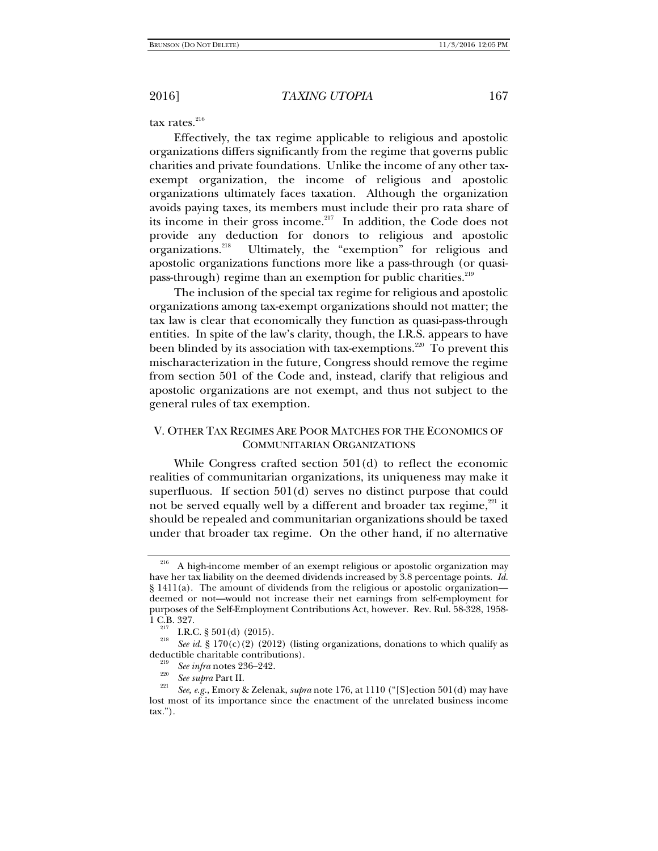tax rates.<sup>216</sup>

Effectively, the tax regime applicable to religious and apostolic organizations differs significantly from the regime that governs public charities and private foundations. Unlike the income of any other taxexempt organization, the income of religious and apostolic organizations ultimately faces taxation. Although the organization avoids paying taxes, its members must include their pro rata share of its income in their gross income.<sup>217</sup> In addition, the Code does not provide any deduction for donors to religious and apostolic organizations.218 Ultimately, the "exemption" for religious and apostolic organizations functions more like a pass-through (or quasipass-through) regime than an exemption for public charities.<sup>219</sup>

The inclusion of the special tax regime for religious and apostolic organizations among tax-exempt organizations should not matter; the tax law is clear that economically they function as quasi-pass-through entities. In spite of the law's clarity, though, the I.R.S. appears to have been blinded by its association with tax-exemptions.<sup>220</sup> To prevent this mischaracterization in the future, Congress should remove the regime from section 501 of the Code and, instead, clarify that religious and apostolic organizations are not exempt, and thus not subject to the general rules of tax exemption.

# V. OTHER TAX REGIMES ARE POOR MATCHES FOR THE ECONOMICS OF COMMUNITARIAN ORGANIZATIONS

While Congress crafted section 501(d) to reflect the economic realities of communitarian organizations, its uniqueness may make it superfluous. If section 501(d) serves no distinct purpose that could not be served equally well by a different and broader tax regime, $221$  it should be repealed and communitarian organizations should be taxed under that broader tax regime. On the other hand, if no alternative

<sup>&</sup>lt;sup>216</sup> A high-income member of an exempt religious or apostolic organization may have her tax liability on the deemed dividends increased by 3.8 percentage points. *Id.*  $\S$  1411(a). The amount of dividends from the religious or apostolic organization deemed or not—would not increase their net earnings from self-employment for purposes of the Self-Employment Contributions Act, however. Rev. Rul. 58-328, 1958-

<sup>1.</sup>B.C. § 501(d) (2015).<br><sup>218</sup> *See id.* § 170(c)(2) (2012) (listing organizations, donations to which qualify as deductible charitable contributions).

deductible charitable contributions). 219 *See infra* notes 236**–**242. 220 *See supra* Part II. 221 *See, e.g.*, Emory & Zelenak, *supra* note 176, at 1110 ("[S]ection 501(d) may have lost most of its importance since the enactment of the unrelated business income tax.").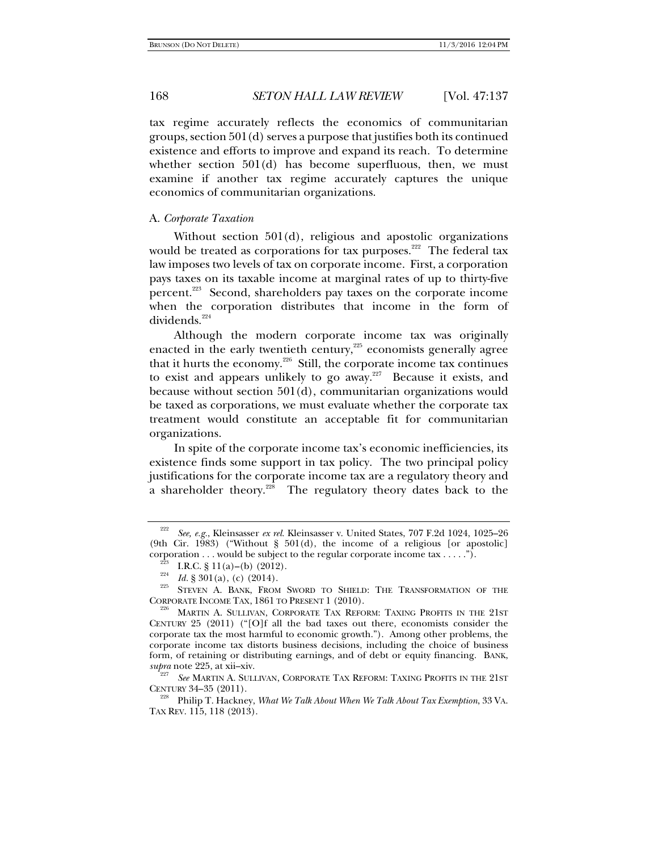tax regime accurately reflects the economics of communitarian groups, section 501(d) serves a purpose that justifies both its continued existence and efforts to improve and expand its reach. To determine whether section 501(d) has become superfluous, then, we must examine if another tax regime accurately captures the unique economics of communitarian organizations.

### A. *Corporate Taxation*

Without section 501(d), religious and apostolic organizations would be treated as corporations for tax purposes.<sup>222</sup> The federal tax law imposes two levels of tax on corporate income. First, a corporation pays taxes on its taxable income at marginal rates of up to thirty-five percent.223 Second, shareholders pay taxes on the corporate income when the corporation distributes that income in the form of dividends.<sup>224</sup>

Although the modern corporate income tax was originally enacted in the early twentieth century, $225$  economists generally agree that it hurts the economy.<sup>226</sup> Still, the corporate income tax continues to exist and appears unlikely to go away.<sup>227</sup> Because it exists, and because without section 501(d), communitarian organizations would be taxed as corporations, we must evaluate whether the corporate tax treatment would constitute an acceptable fit for communitarian organizations.

In spite of the corporate income tax's economic inefficiencies, its existence finds some support in tax policy. The two principal policy justifications for the corporate income tax are a regulatory theory and a shareholder theory.<sup>228</sup> The regulatory theory dates back to the

*See* MARTIN A. SULLIVAN, CORPORATE TAX REFORM: TAXING PROFITS IN THE 21ST

<sup>222</sup> *See, e.g.*, Kleinsasser *ex rel.* Kleinsasser v. United States, 707 F.2d 1024, 1025–26 (9th Cir. 1983) ("Without § 501(d), the income of a religious [or apostolic] corporation . . . would be subject to the regular corporate income tax . . . . .").

<sup>&</sup>lt;sup>223</sup> I.R.C. § 11(a)–(b) (2012).<br><sup>224</sup> Id. § 301(a), (c) (2014).<br><sup>225</sup> STEVEN A. BANK, FROM SWORD TO SHIELD: THE TRANSFORMATION OF THE CORPORATE INCOME TAX, 1861 TO PRESENT 1 (2010).

<sup>&</sup>lt;sup>226</sup> MARTIN A. SULLIVAN, CORPORATE TAX REFORM: TAXING PROFITS IN THE 21ST CENTURY 25 (2011) ("[O]f all the bad taxes out there, economists consider the corporate tax the most harmful to economic growth."). Among other problems, the corporate income tax distorts business decisions, including the choice of business form, of retaining or distributing earnings, and of debt or equity financing. BANK, supra note 225, at xii-xiv.

CENTURY 34–35 (2011). 228 Philip T. Hackney, *What We Talk About When We Talk About Tax Exemption*, 33 VA. TAX REV. 115, 118 (2013).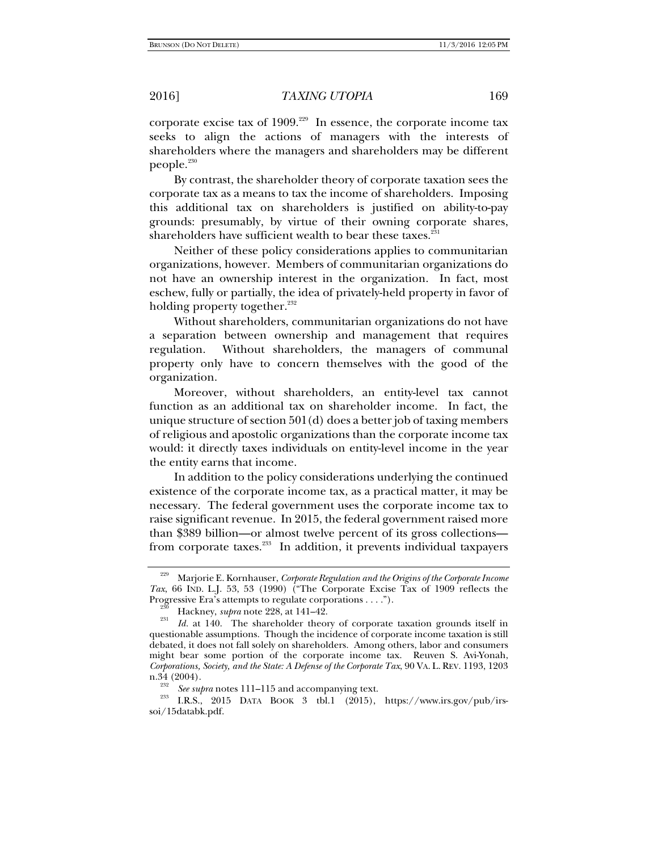corporate excise tax of  $1909$ .<sup>229</sup> In essence, the corporate income tax seeks to align the actions of managers with the interests of shareholders where the managers and shareholders may be different  $people.<sup>230</sup>$ 

By contrast, the shareholder theory of corporate taxation sees the corporate tax as a means to tax the income of shareholders. Imposing this additional tax on shareholders is justified on ability-to-pay grounds: presumably, by virtue of their owning corporate shares, shareholders have sufficient wealth to bear these taxes.<sup>231</sup>

Neither of these policy considerations applies to communitarian organizations, however. Members of communitarian organizations do not have an ownership interest in the organization. In fact, most eschew, fully or partially, the idea of privately-held property in favor of holding property together. $^{232}$ 

Without shareholders, communitarian organizations do not have a separation between ownership and management that requires regulation. Without shareholders, the managers of communal property only have to concern themselves with the good of the organization.

Moreover, without shareholders, an entity-level tax cannot function as an additional tax on shareholder income. In fact, the unique structure of section 501(d) does a better job of taxing members of religious and apostolic organizations than the corporate income tax would: it directly taxes individuals on entity-level income in the year the entity earns that income.

In addition to the policy considerations underlying the continued existence of the corporate income tax, as a practical matter, it may be necessary. The federal government uses the corporate income tax to raise significant revenue. In 2015, the federal government raised more than \$389 billion—or almost twelve percent of its gross collections from corporate taxes.<sup>233</sup> In addition, it prevents individual taxpayers

<sup>229</sup> Marjorie E. Kornhauser, *Corporate Regulation and the Origins of the Corporate Income Tax*, 66 IND. L.J. 53, 53 (1990) ("The Corporate Excise Tax of 1909 reflects the

Progressive Era's attempts to regulate corporations . . . .").<br><sup>230</sup> Hackney, *supra* note 228, at 141–42.<br><sup>231</sup> *Id.* at 140. The shareholder theory of corporate taxation grounds itself in questionable assumptions. Though the incidence of corporate income taxation is still debated, it does not fall solely on shareholders. Among others, labor and consumers might bear some portion of the corporate income tax. Reuven S. Avi-Yonah, *Corporations, Society, and the State: A Defense of the Corporate Tax*, 90 VA. L. REV. 1193, 1203 n.34 (2004).<br><sup>232</sup> *See supra* notes 111–115 and accompanying text.<br><sup>233</sup> I.R.S., 2015 DATA BOOK 3 tbl.1 (2015), https://www.irs.gov/pub/irs-

soi/15databk.pdf.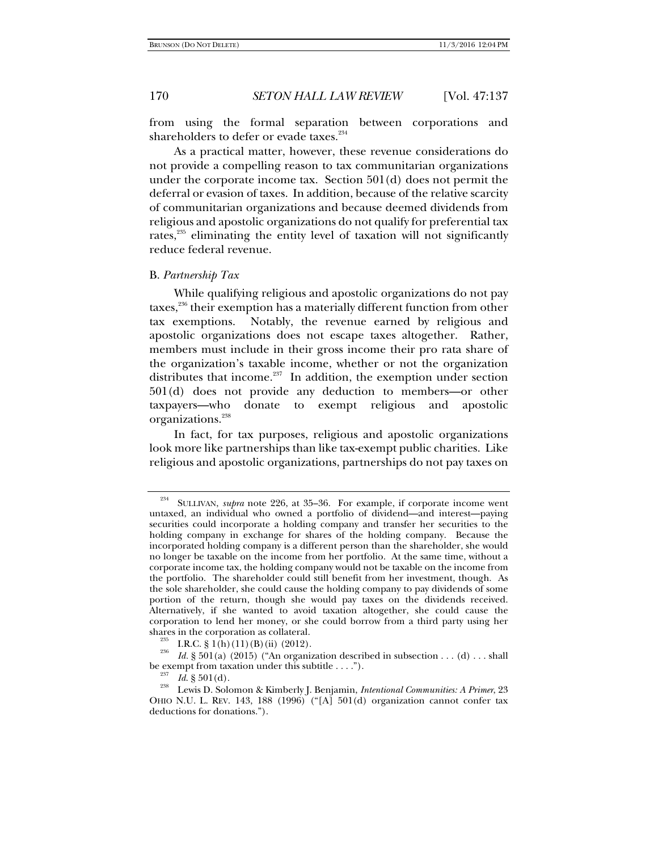from using the formal separation between corporations and shareholders to defer or evade taxes.<sup>234</sup>

As a practical matter, however, these revenue considerations do not provide a compelling reason to tax communitarian organizations under the corporate income tax. Section 501(d) does not permit the deferral or evasion of taxes. In addition, because of the relative scarcity of communitarian organizations and because deemed dividends from religious and apostolic organizations do not qualify for preferential tax rates, $235$  eliminating the entity level of taxation will not significantly reduce federal revenue.

### B. *Partnership Tax*

While qualifying religious and apostolic organizations do not pay taxes,<sup>236</sup> their exemption has a materially different function from other tax exemptions. Notably, the revenue earned by religious and apostolic organizations does not escape taxes altogether. Rather, members must include in their gross income their pro rata share of the organization's taxable income, whether or not the organization distributes that income. $237$  In addition, the exemption under section 501(d) does not provide any deduction to members—or other taxpayers—who donate to exempt religious and apostolic organizations.<sup>238</sup>

In fact, for tax purposes, religious and apostolic organizations look more like partnerships than like tax-exempt public charities. Like religious and apostolic organizations, partnerships do not pay taxes on

<sup>234</sup> SULLIVAN, *supra* note 226, at 35–36. For example, if corporate income went untaxed, an individual who owned a portfolio of dividend—and interest—paying securities could incorporate a holding company and transfer her securities to the holding company in exchange for shares of the holding company. Because the incorporated holding company is a different person than the shareholder, she would no longer be taxable on the income from her portfolio. At the same time, without a corporate income tax, the holding company would not be taxable on the income from the portfolio. The shareholder could still benefit from her investment, though. As the sole shareholder, she could cause the holding company to pay dividends of some portion of the return, though she would pay taxes on the dividends received. Alternatively, if she wanted to avoid taxation altogether, she could cause the corporation to lend her money, or she could borrow from a third party using her

<sup>&</sup>lt;sup>235</sup> I.R.C. § 1(h)(11)(B)(ii) (2012).<br><sup>236</sup> *Id.* § 501(a) (2015) ("An organization described in subsection . . . (d) . . . shall be exempt from taxation under this subtitle . . . .").

<sup>&</sup>lt;sup>237</sup> *Id.* § 501(d).<br><sup>238</sup> Lewis D. Solomon & Kimberly J. Benjamin, *Intentional Communities: A Primer*, 23 OHIO N.U. L. REV. 143, 188 (1996) ("[A] 501(d) organization cannot confer tax deductions for donations.").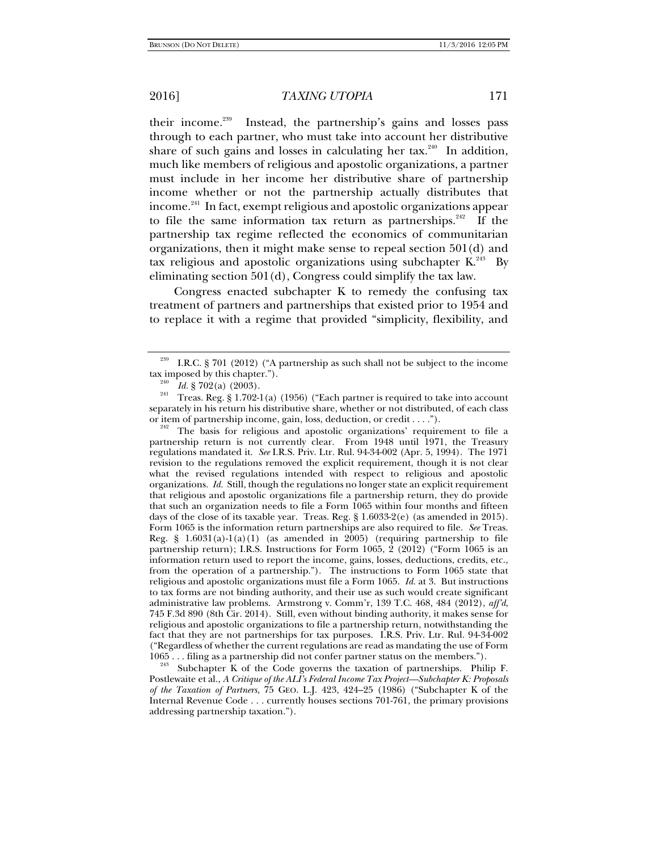their income.239 Instead, the partnership's gains and losses pass through to each partner, who must take into account her distributive share of such gains and losses in calculating her tax.<sup>240</sup> In addition, much like members of religious and apostolic organizations, a partner must include in her income her distributive share of partnership income whether or not the partnership actually distributes that income.<sup>241</sup> In fact, exempt religious and apostolic organizations appear to file the same information tax return as partnerships. $242$  If the partnership tax regime reflected the economics of communitarian organizations, then it might make sense to repeal section 501(d) and tax religious and apostolic organizations using subchapter  $K^{243}$  By eliminating section 501(d), Congress could simplify the tax law.

Congress enacted subchapter K to remedy the confusing tax treatment of partners and partnerships that existed prior to 1954 and to replace it with a regime that provided "simplicity, flexibility, and

<sup>242</sup> The basis for religious and apostolic organizations' requirement to file a partnership return is not currently clear. From 1948 until 1971, the Treasury regulations mandated it. *See* I.R.S. Priv. Ltr. Rul. 94-34-002 (Apr. 5, 1994). The 1971 revision to the regulations removed the explicit requirement, though it is not clear what the revised regulations intended with respect to religious and apostolic organizations. *Id.* Still, though the regulations no longer state an explicit requirement that religious and apostolic organizations file a partnership return, they do provide that such an organization needs to file a Form 1065 within four months and fifteen days of the close of its taxable year. Treas. Reg. § 1.6033-2(e) (as amended in 2015). Form 1065 is the information return partnerships are also required to file. *See* Treas. Reg. §  $1.6031(a)-1(a)(1)$  (as amended in 2005) (requiring partnership to file partnership return); I.R.S. Instructions for Form 1065, 2 (2012) ("Form 1065 is an information return used to report the income, gains, losses, deductions, credits, etc., from the operation of a partnership."). The instructions to Form 1065 state that religious and apostolic organizations must file a Form 1065. *Id.* at 3. But instructions to tax forms are not binding authority, and their use as such would create significant administrative law problems. Armstrong v. Comm'r, 139 T.C. 468, 484 (2012), *aff'd*, 745 F.3d 890 (8th Cir. 2014). Still, even without binding authority, it makes sense for religious and apostolic organizations to file a partnership return, notwithstanding the fact that they are not partnerships for tax purposes. I.R.S. Priv. Ltr. Rul. 94-34-002 ("Regardless of whether the current regulations are read as mandating the use of Form

1065 . . . filing as a partnership did not confer partner status on the members."). 243 Subchapter K of the Code governs the taxation of partnerships. Philip F. Postlewaite et al., *A Critique of the ALI's Federal Income Tax Project—Subchapter K: Proposals of the Taxation of Partners*, 75 GEO. L.J. 423, 424–25 (1986) ("Subchapter K of the Internal Revenue Code . . . currently houses sections 701-761, the primary provisions addressing partnership taxation.").

I.R.C. § 701 (2012) ("A partnership as such shall not be subject to the income tax imposed by this chapter.").<br> $^{240}$  *Id.* § 702(a) (2003).

<sup>&</sup>lt;sup>241</sup> Treas. Reg. § 1.702-1(a) (1956) ("Each partner is required to take into account separately in his return his distributive share, whether or not distributed, of each class or item of partnership income, gain, loss, deduction, or credit . . . . ").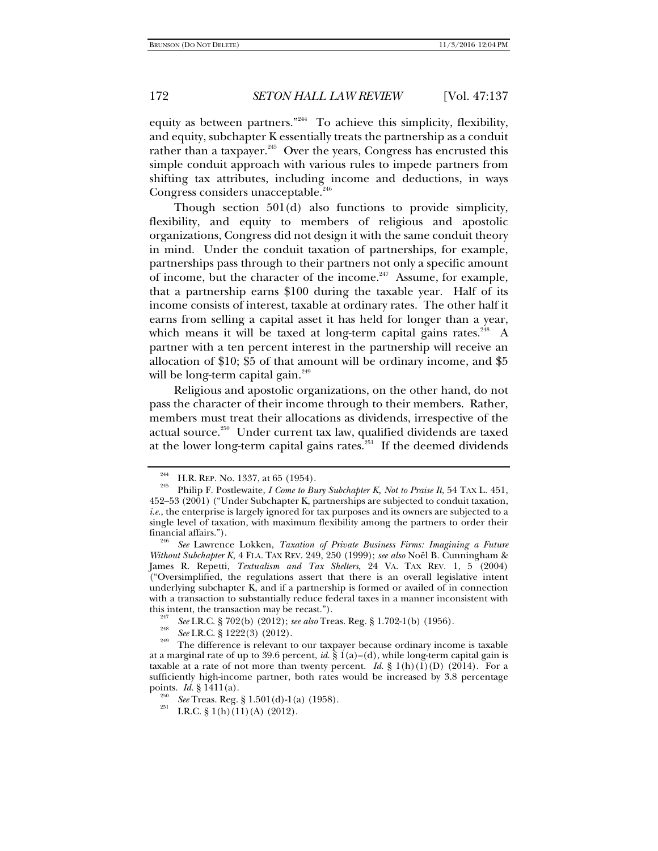equity as between partners."<sup>244</sup> To achieve this simplicity, flexibility, and equity, subchapter K essentially treats the partnership as a conduit rather than a taxpayer.<sup>245</sup> Over the years, Congress has encrusted this simple conduit approach with various rules to impede partners from shifting tax attributes, including income and deductions, in ways Congress considers unacceptable.<sup>246</sup>

Though section 501(d) also functions to provide simplicity, flexibility, and equity to members of religious and apostolic organizations, Congress did not design it with the same conduit theory in mind. Under the conduit taxation of partnerships, for example, partnerships pass through to their partners not only a specific amount of income, but the character of the income.<sup>247</sup> Assume, for example, that a partnership earns \$100 during the taxable year. Half of its income consists of interest, taxable at ordinary rates. The other half it earns from selling a capital asset it has held for longer than a year, which means it will be taxed at long-term capital gains rates.<sup>248</sup> A partner with a ten percent interest in the partnership will receive an allocation of \$10; \$5 of that amount will be ordinary income, and \$5 will be long-term capital gain. $249$ 

Religious and apostolic organizations, on the other hand, do not pass the character of their income through to their members. Rather, members must treat their allocations as dividends, irrespective of the actual source.<sup>250</sup> Under current tax law, qualified dividends are taxed at the lower long-term capital gains rates.<sup>251</sup> If the deemed dividends

<sup>244</sup> H.R. REP. No. 1337, at 65 (1954). 245 Philip F. Postlewaite, *I Come to Bury Subchapter K, Not to Praise It*, 54 TAX L. 451, 452–53 (2001) ("Under Subchapter K, partnerships are subjected to conduit taxation, *i.e.*, the enterprise is largely ignored for tax purposes and its owners are subjected to a single level of taxation, with maximum flexibility among the partners to order their

financial affairs."). 246 *See* Lawrence Lokken, *Taxation of Private Business Firms: Imagining a Future Without Subchapter K*, 4 FLA. TAX REV. 249, 250 (1999); *see also* Noël B. Cunningham & James R. Repetti, *Textualism and Tax Shelters*, 24 VA. TAX REV. 1, 5 (2004) ("Oversimplified, the regulations assert that there is an overall legislative intent underlying subchapter K, and if a partnership is formed or availed of in connection with a transaction to substantially reduce federal taxes in a manner inconsistent with this intent, the transaction may be recast.").

this intention may be I.R.C. § 702(b) (2012); *see also* Treas. Reg. § 1.702-1(b) (1956). <sup>248</sup> *See* I.R.C. § 1222(3) (2012).

<sup>&</sup>lt;sup>249</sup> The difference is relevant to our taxpayer because ordinary income is taxable at a marginal rate of up to 39.6 percent, *id.* § 1(a)**–**(d), while long-term capital gain is taxable at a rate of not more than twenty percent. *Id.* §  $1(h)(1)(D)$  (2014). For a sufficiently high-income partner, both rates would be increased by 3.8 percentage points.  $Id. \S 1411(a)$ .

<sup>&</sup>lt;sup>250</sup> *See* Treas. Reg. § 1.501(d)-1(a) (1958).<br><sup>251</sup> I.R.C. § 1(h)(11)(A) (2012).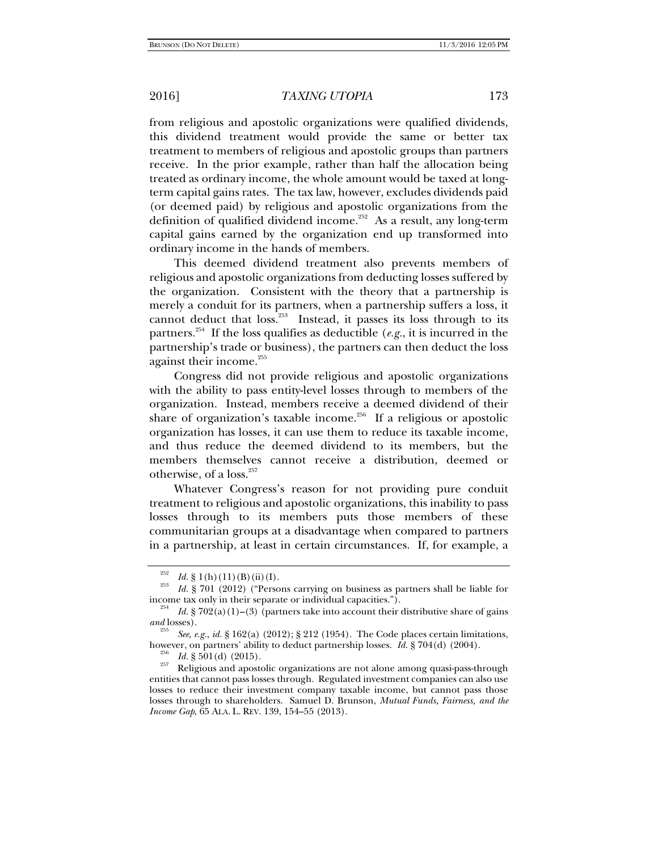from religious and apostolic organizations were qualified dividends, this dividend treatment would provide the same or better tax treatment to members of religious and apostolic groups than partners receive. In the prior example, rather than half the allocation being treated as ordinary income, the whole amount would be taxed at longterm capital gains rates. The tax law, however, excludes dividends paid (or deemed paid) by religious and apostolic organizations from the definition of qualified dividend income.<sup>252</sup> As a result, any long-term capital gains earned by the organization end up transformed into ordinary income in the hands of members.

This deemed dividend treatment also prevents members of religious and apostolic organizations from deducting losses suffered by the organization. Consistent with the theory that a partnership is merely a conduit for its partners, when a partnership suffers a loss, it cannot deduct that loss.<sup>253</sup> Instead, it passes its loss through to its partners.<sup>254</sup> If the loss qualifies as deductible (*e.g.*, it is incurred in the partnership's trade or business), the partners can then deduct the loss against their income.<sup>255</sup>

Congress did not provide religious and apostolic organizations with the ability to pass entity-level losses through to members of the organization. Instead, members receive a deemed dividend of their share of organization's taxable income.<sup>256</sup> If a religious or apostolic organization has losses, it can use them to reduce its taxable income, and thus reduce the deemed dividend to its members, but the members themselves cannot receive a distribution, deemed or otherwise, of a loss. $257$ 

Whatever Congress's reason for not providing pure conduit treatment to religious and apostolic organizations, this inability to pass losses through to its members puts those members of these communitarian groups at a disadvantage when compared to partners in a partnership, at least in certain circumstances. If, for example, a

<sup>&</sup>lt;sup>252</sup>*Id.* § 1(h)(11)(B)(ii)(I). <sup>253</sup> *Id.* § 701 (2012) ("Persons carrying on business as partners shall be liable for

income tax only in their separate or individual capacities."). 254 *Id.* § 702(a)(1)**–**(3) (partners take into account their distributive share of gains *and* losses).

<sup>&</sup>lt;sup>255</sup> *See, e.g., id.* § 162(a) (2012); § 212 (1954). The Code places certain limitations, however, on partners' ability to deduct partnership losses. *Id.* § 704(d) (2004).

however, on partners' ability to deduct partnership losses. *Id.* § 704(d) (2004). 256 *Id.* § 501(d) (2015). 257 Religious and apostolic organizations are not alone among quasi-pass-through entities that cannot pass losses through. Regulated investment companies can also use losses to reduce their investment company taxable income, but cannot pass those losses through to shareholders. Samuel D. Brunson, *Mutual Funds, Fairness, and the Income Gap*, 65 ALA. L. REV. 139, 154–55 (2013).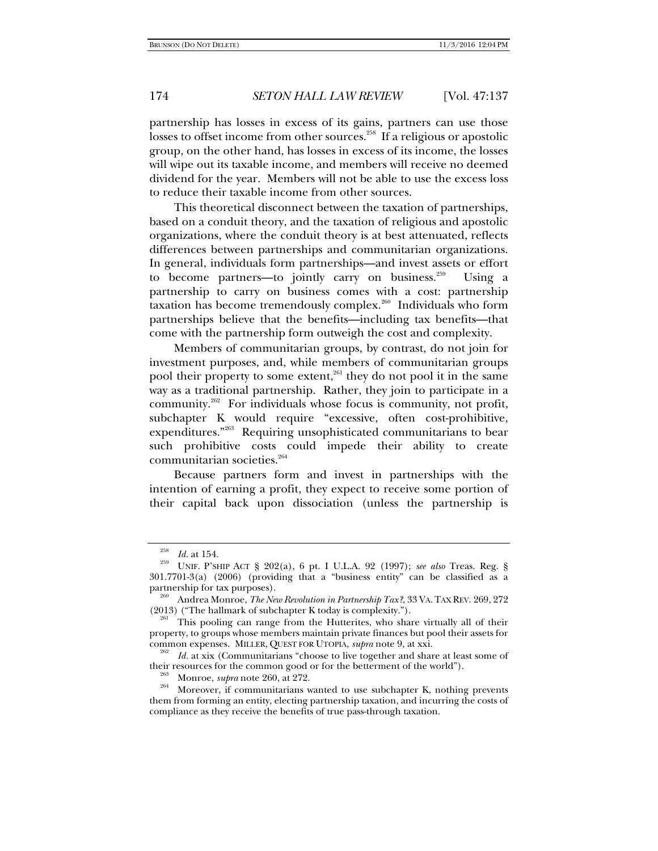partnership has losses in excess of its gains, partners can use those losses to offset income from other sources.<sup>258</sup> If a religious or apostolic group, on the other hand, has losses in excess of its income, the losses will wipe out its taxable income, and members will receive no deemed dividend for the year. Members will not be able to use the excess loss to reduce their taxable income from other sources.

This theoretical disconnect between the taxation of partnerships, based on a conduit theory, and the taxation of religious and apostolic organizations, where the conduit theory is at best attenuated, reflects differences between partnerships and communitarian organizations. In general, individuals form partnerships—and invest assets or effort to become partners—to jointly carry on business.<sup>259</sup> Using a partnership to carry on business comes with a cost: partnership taxation has become tremendously complex.260 Individuals who form partnerships believe that the benefits—including tax benefits—that come with the partnership form outweigh the cost and complexity.

Members of communitarian groups, by contrast, do not join for investment purposes, and, while members of communitarian groups pool their property to some extent,<sup>261</sup> they do not pool it in the same way as a traditional partnership. Rather, they join to participate in a community.262 For individuals whose focus is community, not profit, subchapter K would require "excessive, often cost-prohibitive, expenditures."263 Requiring unsophisticated communitarians to bear such prohibitive costs could impede their ability to create communitarian societies.<sup>264</sup>

Because partners form and invest in partnerships with the intention of earning a profit, they expect to receive some portion of their capital back upon dissociation (unless the partnership is

<sup>258</sup>*Id.* at 154. 259 UNIF. P'SHIP ACT § 202(a), 6 pt. I U.L.A. 92 (1997); *see also* Treas. Reg. § 301.7701-3(a) (2006) (providing that a "business entity" can be classified as a

partnership for tax purposes).<br><sup>260</sup> Andrea Monroe, *The New Revolution in Partnership Tax?*, 33 VA. TAX REV. 269, 272<br>(2013) ("The hallmark of subchapter K today is complexity.").

<sup>&</sup>lt;sup>261</sup> This pooling can range from the Hutterites, who share virtually all of their property, to groups whose members maintain private finances but pool their assets for common expenses. MILLER, QUEST FOR UTOPIA, *supra* note 9, at xxi.<br><sup>262</sup> *Id.* at xix (Communitarians "choose to live together and share at least some of

their resources for the common good or for the betterment of the world").<br><sup>263</sup> Monroe, *supra* note 260, at 272.<br><sup>264</sup> Moreover, if communitarians wanted to use subchapter K, nothing prevents

them from forming an entity, electing partnership taxation, and incurring the costs of compliance as they receive the benefits of true pass-through taxation.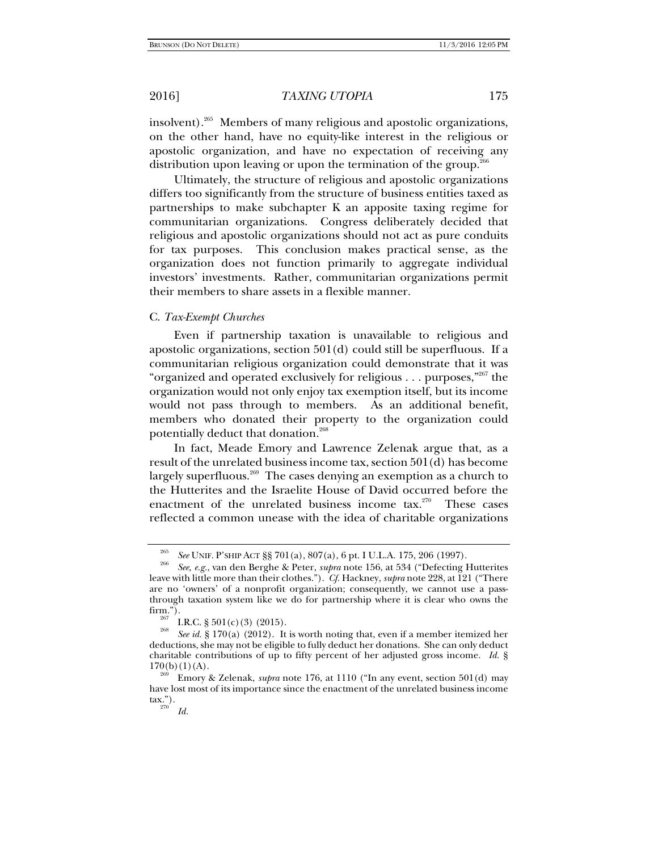insolvent).265 Members of many religious and apostolic organizations, on the other hand, have no equity-like interest in the religious or apostolic organization, and have no expectation of receiving any distribution upon leaving or upon the termination of the group.<sup>26</sup>

Ultimately, the structure of religious and apostolic organizations differs too significantly from the structure of business entities taxed as partnerships to make subchapter K an apposite taxing regime for communitarian organizations. Congress deliberately decided that religious and apostolic organizations should not act as pure conduits for tax purposes. This conclusion makes practical sense, as the organization does not function primarily to aggregate individual investors' investments. Rather, communitarian organizations permit their members to share assets in a flexible manner.

## C. *Tax-Exempt Churches*

Even if partnership taxation is unavailable to religious and apostolic organizations, section 501(d) could still be superfluous. If a communitarian religious organization could demonstrate that it was "organized and operated exclusively for religious . . . purposes,"267 the organization would not only enjoy tax exemption itself, but its income would not pass through to members. As an additional benefit, members who donated their property to the organization could potentially deduct that donation.<sup>268</sup>

In fact, Meade Emory and Lawrence Zelenak argue that, as a result of the unrelated business income tax, section 501(d) has become largely superfluous.<sup>269</sup> The cases denying an exemption as a church to the Hutterites and the Israelite House of David occurred before the enactment of the unrelated business income tax.<sup>270</sup> These cases reflected a common unease with the idea of charitable organizations

<sup>265</sup>

*See* UNIF. P'SHIP ACT §§ 701(a), 807(a), 6 pt. I U.L.A. 175, 206 (1997). 266 *See, e.g.*, van den Berghe & Peter, *supra* note 156, at 534 ("Defecting Hutterites leave with little more than their clothes."). *Cf.* Hackney, *supra* note 228, at 121 ("There are no 'owners' of a nonprofit organization; consequently, we cannot use a passthrough taxation system like we do for partnership where it is clear who owns the firm.").

<sup>&</sup>lt;sup>267</sup> I.R.C. § 501(c)(3) (2015).<br><sup>268</sup> *See id.* § 170(a) (2012). It is worth noting that, even if a member itemized her deductions, she may not be eligible to fully deduct her donations. She can only deduct charitable contributions of up to fifty percent of her adjusted gross income. *Id.* §  $170(b)(1)(A)$ .<br><sup>269</sup> Emory & Zelenak, *supra* note 176, at 1110 ("In any event, section 501(d) may

have lost most of its importance since the enactment of the unrelated business income  $\text{tax."}$ ).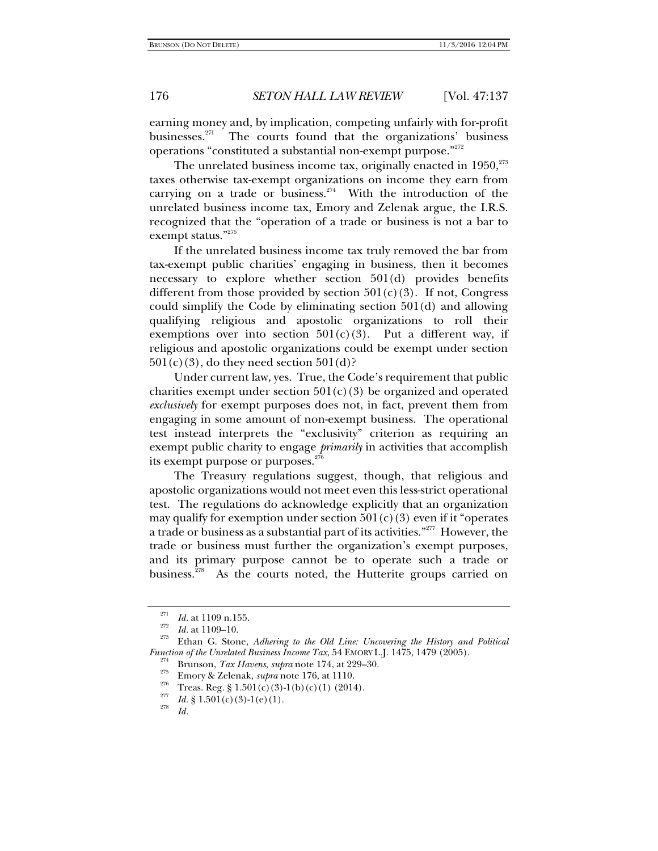earning money and, by implication, competing unfairly with for-profit businesses. $271$  The courts found that the organizations' business operations "constituted a substantial non-exempt purpose."272

The unrelated business income tax, originally enacted in  $1950$ ,  $273$ taxes otherwise tax-exempt organizations on income they earn from carrying on a trade or business.<sup>274</sup> With the introduction of the unrelated business income tax, Emory and Zelenak argue, the I.R.S. recognized that the "operation of a trade or business is not a bar to exempt status."<sup>275</sup>

If the unrelated business income tax truly removed the bar from tax-exempt public charities' engaging in business, then it becomes necessary to explore whether section 501(d) provides benefits different from those provided by section  $501(c)(3)$ . If not, Congress could simplify the Code by eliminating section 501(d) and allowing qualifying religious and apostolic organizations to roll their exemptions over into section  $501(c)(3)$ . Put a different way, if religious and apostolic organizations could be exempt under section  $501(c)(3)$ , do they need section  $501(d)$ ?

Under current law, yes. True, the Code's requirement that public charities exempt under section  $501(c)(3)$  be organized and operated *exclusively* for exempt purposes does not, in fact, prevent them from engaging in some amount of non-exempt business. The operational test instead interprets the "exclusivity" criterion as requiring an exempt public charity to engage *primarily* in activities that accomplish its exempt purpose or purposes. $276$ 

The Treasury regulations suggest, though, that religious and apostolic organizations would not meet even this less-strict operational test. The regulations do acknowledge explicitly that an organization may qualify for exemption under section  $501(c)(3)$  even if it "operates a trade or business as a substantial part of its activities."277 However, the trade or business must further the organization's exempt purposes, and its primary purpose cannot be to operate such a trade or business.<sup>278</sup> As the courts noted, the Hutterite groups carried on

<sup>&</sup>lt;sup>271</sup>*Id.* at 1109 n.155.<br><sup>272</sup>*Id.* at 1109–10.<br><sup>273</sup> Ethan G. Stone, *Adhering to the Old Line: Uncovering the History and Political <i>Function of the Unrelated Business Income Tax*, 54 EMORY L.J. 1475, 1479 (2005).

<sup>&</sup>lt;sup>274</sup> Brunson, *Tax Havens, supra* note 174, at 229–30.<br>
<sup>275</sup> Emory & Zelenak, *supra* note 176, at 1110.<br>
<sup>276</sup> Treas. Reg. § 1.501(c)(3)-1(b)(c)(1) (2014).<br>
<sup>277</sup> *Id*. § 1.501(c)(3)-1(e)(1).

*Id.*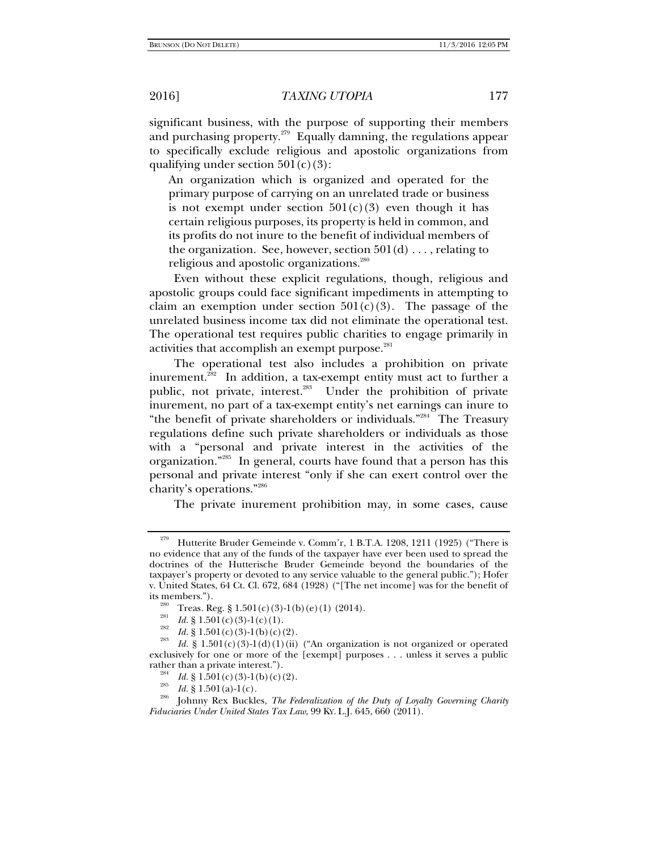significant business, with the purpose of supporting their members and purchasing property. $279$  Equally damning, the regulations appear to specifically exclude religious and apostolic organizations from qualifying under section  $501(c)(3)$ :

An organization which is organized and operated for the primary purpose of carrying on an unrelated trade or business is not exempt under section  $501(c)(3)$  even though it has certain religious purposes, its property is held in common, and its profits do not inure to the benefit of individual members of the organization. See, however, section  $501(d) \ldots$ , relating to religious and apostolic organizations.<sup>280</sup>

Even without these explicit regulations, though, religious and apostolic groups could face significant impediments in attempting to claim an exemption under section  $501(c)(3)$ . The passage of the unrelated business income tax did not eliminate the operational test. The operational test requires public charities to engage primarily in activities that accomplish an exempt purpose.<sup>281</sup>

The operational test also includes a prohibition on private inurement.<sup>282</sup> In addition, a tax-exempt entity must act to further a public, not private, interest.<sup>283</sup> Under the prohibition of private inurement, no part of a tax-exempt entity's net earnings can inure to "the benefit of private shareholders or individuals."284 The Treasury regulations define such private shareholders or individuals as those with a "personal and private interest in the activities of the organization."285 In general, courts have found that a person has this personal and private interest "only if she can exert control over the charity's operations."286

The private inurement prohibition may, in some cases, cause

<sup>&</sup>lt;sup>279</sup> Hutterite Bruder Gemeinde v. Comm'r, 1 B.T.A. 1208, 1211 (1925) ("There is no evidence that any of the funds of the taxpayer have ever been used to spread the doctrines of the Hutterische Bruder Gemeinde beyond the boundaries of the taxpayer's property or devoted to any service valuable to the general public."); Hofer v. United States, 64 Ct. Cl. 672, 684 (1928) ("[The net income] was for the benefit of

<sup>&</sup>lt;sup>280</sup> Treas. Reg. § 1.501(c)(3)-1(b)(e)(1) (2014).<br><sup>281</sup> *Id.* § 1.501(c)(3)-1(c)(1).<br><sup>282</sup> *Id.* § 1.501(c)(3)-1(b)(c)(2).

*Id.* § 1.501(c)(3)-1(d)(1)(ii) ("An organization is not organized or operated exclusively for one or more of the [exempt] purposes . . . unless it serves a public rather than a private interest.").<br>
<sup>284</sup> *Id.* § 1.501(c)(3)-1(b)(c)(2).

<sup>&</sup>lt;sup>285</sup> *Id.* § 1.501(a)-1(c).<br><sup>286</sup> *Id.* § 1.501(a)-1(c). <br><sup>286</sup> Johnny Rex Buckles, *The Federalization of the Duty of Loyalty Governing Charity Fiduciaries Under United States Tax Law*, 99 KY. L.J. 645, 660 (2011).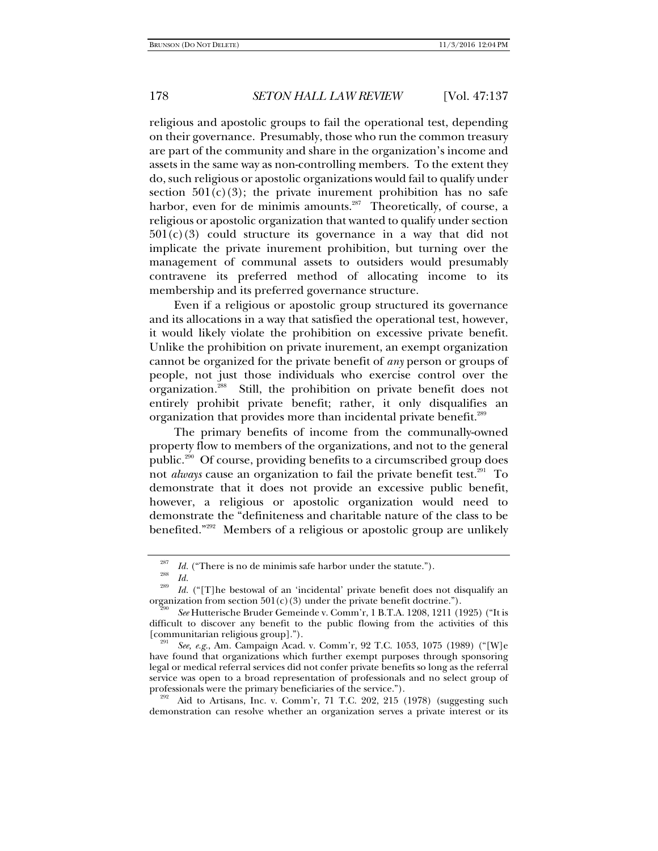religious and apostolic groups to fail the operational test, depending on their governance. Presumably, those who run the common treasury are part of the community and share in the organization's income and assets in the same way as non-controlling members. To the extent they do, such religious or apostolic organizations would fail to qualify under section  $501(c)(3)$ ; the private inurement prohibition has no safe harbor, even for de minimis amounts. $287$  Theoretically, of course, a religious or apostolic organization that wanted to qualify under section  $501(c)(3)$  could structure its governance in a way that did not implicate the private inurement prohibition, but turning over the management of communal assets to outsiders would presumably contravene its preferred method of allocating income to its membership and its preferred governance structure.

Even if a religious or apostolic group structured its governance and its allocations in a way that satisfied the operational test, however, it would likely violate the prohibition on excessive private benefit. Unlike the prohibition on private inurement, an exempt organization cannot be organized for the private benefit of *any* person or groups of people, not just those individuals who exercise control over the organization.<sup>288</sup> Still, the prohibition on private benefit does not entirely prohibit private benefit; rather, it only disqualifies an organization that provides more than incidental private benefit.<sup>289</sup>

The primary benefits of income from the communally-owned property flow to members of the organizations, and not to the general public.290 Of course, providing benefits to a circumscribed group does not *always* cause an organization to fail the private benefit test.<sup>291</sup> To demonstrate that it does not provide an excessive public benefit, however, a religious or apostolic organization would need to demonstrate the "definiteness and charitable nature of the class to be benefited."<sup>292</sup> Members of a religious or apostolic group are unlikely

Aid to Artisans, Inc. v. Comm'r, 71 T.C. 202, 215 (1978) (suggesting such demonstration can resolve whether an organization serves a private interest or its

<sup>287</sup> <sup>287</sup> *Id.* ("There is no de minimis safe harbor under the statute.").<br> *Id.* 289 *Id.* 289 289

Id. ("[T]he bestowal of an 'incidental' private benefit does not disqualify an organization from section  $501(c)(3)$  under the private benefit doctrine.").

*See* Hutterische Bruder Gemeinde v. Comm'r, 1 B.T.A. 1208, 1211 (1925) ("It is difficult to discover any benefit to the public flowing from the activities of this [communitarian religious group].").

*See, e.g.*, Am. Campaign Acad. v. Comm'r, 92 T.C. 1053, 1075 (1989) ("[W]e have found that organizations which further exempt purposes through sponsoring legal or medical referral services did not confer private benefits so long as the referral service was open to a broad representation of professionals and no select group of professionals were the primary beneficiaries of the service.").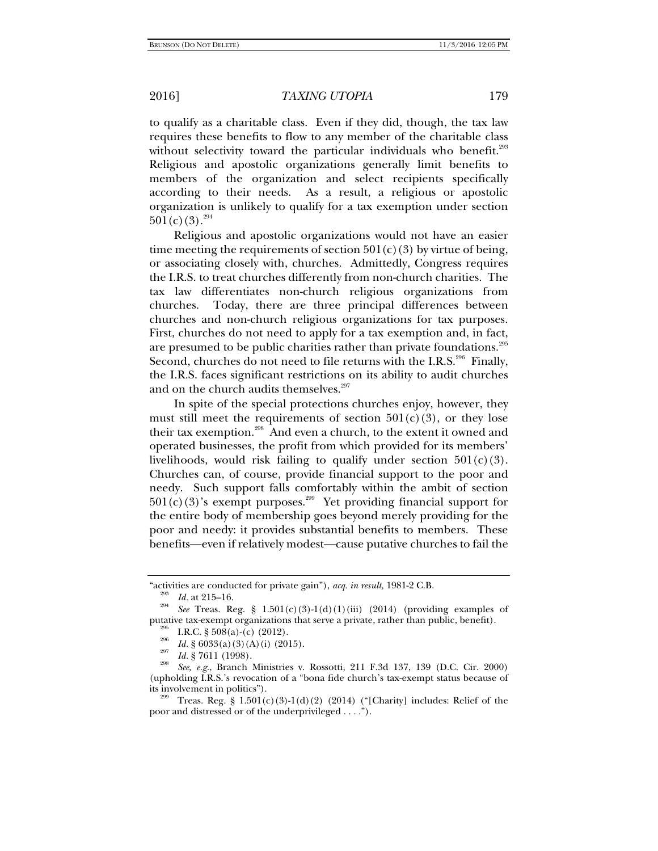to qualify as a charitable class. Even if they did, though, the tax law requires these benefits to flow to any member of the charitable class without selectivity toward the particular individuals who benefit. $293$ Religious and apostolic organizations generally limit benefits to members of the organization and select recipients specifically according to their needs. As a result, a religious or apostolic organization is unlikely to qualify for a tax exemption under section  $501(c)(3).^{294}$ 

Religious and apostolic organizations would not have an easier time meeting the requirements of section  $501(c)(3)$  by virtue of being, or associating closely with, churches. Admittedly, Congress requires the I.R.S. to treat churches differently from non-church charities. The tax law differentiates non-church religious organizations from churches. Today, there are three principal differences between churches and non-church religious organizations for tax purposes. First, churches do not need to apply for a tax exemption and, in fact, are presumed to be public charities rather than private foundations.<sup>295</sup> Second, churches do not need to file returns with the I.R.S.<sup>296</sup> Finally, the I.R.S. faces significant restrictions on its ability to audit churches and on the church audits themselves.<sup>297</sup>

In spite of the special protections churches enjoy, however, they must still meet the requirements of section  $501(c)(3)$ , or they lose their tax exemption.<sup>298</sup> And even a church, to the extent it owned and operated businesses, the profit from which provided for its members' livelihoods, would risk failing to qualify under section  $501(c)(3)$ . Churches can, of course, provide financial support to the poor and needy. Such support falls comfortably within the ambit of section  $501(c)(3)$ 's exempt purposes.<sup>299</sup> Yet providing financial support for the entire body of membership goes beyond merely providing for the poor and needy: it provides substantial benefits to members. These benefits—even if relatively modest—cause putative churches to fail the

<sup>&</sup>quot;activities are conducted for private gain"), *acq. in result*, 1981-2 C.B.<br><sup>293</sup> *Id.* at 215–16. 294 **Private and 2012** (2014) (2014) (2014)

*See* Treas. Reg. § 1.501(c)(3)-1(d)(1)(iii) (2014) (providing examples of putative tax-exempt organizations that serve a private, rather than public, benefit).<br><sup>295</sup> I.R.C. § 508(a)-(c) (2012).<br><sup>296</sup> *Id.* § 6033(a)(3)(A)(i) (2015).<br><sup>297</sup> *Id.* § 7611 (1998).

*See, e.g.*, Branch Ministries v. Rossotti, 211 F.3d 137, 139 (D.C. Cir. 2000) (upholding I.R.S.'s revocation of a "bona fide church's tax-exempt status because of its involvement in politics").<br><sup>299</sup> Treas. Reg. § 1.501(c)(3)-1(d)(2) (2014) ("[Charity] includes: Relief of the

poor and distressed or of the underprivileged . . . .").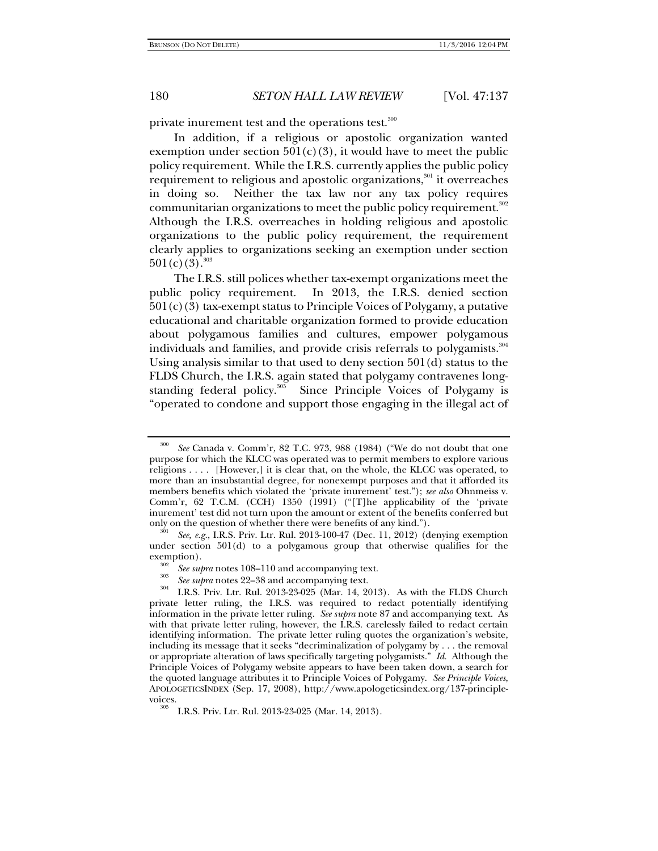private inurement test and the operations test.<sup>300</sup>

In addition, if a religious or apostolic organization wanted exemption under section  $501(c)(3)$ , it would have to meet the public policy requirement. While the I.R.S. currently applies the public policy requirement to religious and apostolic organizations,<sup>301</sup> it overreaches in doing so. Neither the tax law nor any tax policy requires communitarian organizations to meet the public policy requirement.<sup>302</sup> Although the I.R.S. overreaches in holding religious and apostolic organizations to the public policy requirement, the requirement clearly applies to organizations seeking an exemption under section  $501(c)(3).^{303}$ 

The I.R.S. still polices whether tax-exempt organizations meet the public policy requirement. In 2013, the I.R.S. denied section  $501(c)(3)$  tax-exempt status to Principle Voices of Polygamy, a putative educational and charitable organization formed to provide education about polygamous families and cultures, empower polygamous individuals and families, and provide crisis referrals to polygamists.<sup>304</sup> Using analysis similar to that used to deny section 501(d) status to the FLDS Church, the I.R.S. again stated that polygamy contravenes longstanding federal policy.<sup>305</sup> Since Principle Voices of Polygamy is "operated to condone and support those engaging in the illegal act of

<sup>300</sup> *See* Canada v. Comm'r, 82 T.C. 973, 988 (1984) ("We do not doubt that one purpose for which the KLCC was operated was to permit members to explore various religions . . . . [However,] it is clear that, on the whole, the KLCC was operated, to more than an insubstantial degree, for nonexempt purposes and that it afforded its members benefits which violated the 'private inurement' test."); *see also* Ohnmeiss v. Comm'r, 62 T.C.M. (CCH) 1350 (1991) ("[T]he applicability of the 'private inurement' test did not turn upon the amount or extent of the benefits conferred but only on the question of whether there were benefits of any kind.").

See, e.g., I.R.S. Priv. Ltr. Rul. 2013-100-47 (Dec. 11, 2012) (denying exemption under section 501(d) to a polygamous group that otherwise qualifies for the exemption).

<sup>&</sup>lt;sup>302</sup> *See supra* notes 108–110 and accompanying text.<br><sup>303</sup> *See supra* notes 22–38 and accompanying text.

<sup>&</sup>lt;sup>304</sup> I.R.S. Priv. Ltr. Rul. 2013-23-025 (Mar. 14, 2013). As with the FLDS Church private letter ruling, the I.R.S. was required to redact potentially identifying information in the private letter ruling. *See supra* note 87 and accompanying text. As with that private letter ruling, however, the I.R.S. carelessly failed to redact certain identifying information. The private letter ruling quotes the organization's website, including its message that it seeks "decriminalization of polygamy by . . . the removal or appropriate alteration of laws specifically targeting polygamists." *Id.* Although the Principle Voices of Polygamy website appears to have been taken down, a search for the quoted language attributes it to Principle Voices of Polygamy. *See Principle Voices*, APOLOGETICSINDEX (Sep. 17, 2008), http://www.apologeticsindex.org/137-principlevoices. 305 I.R.S. Priv. Ltr. Rul. 2013-23-025 (Mar. 14, 2013).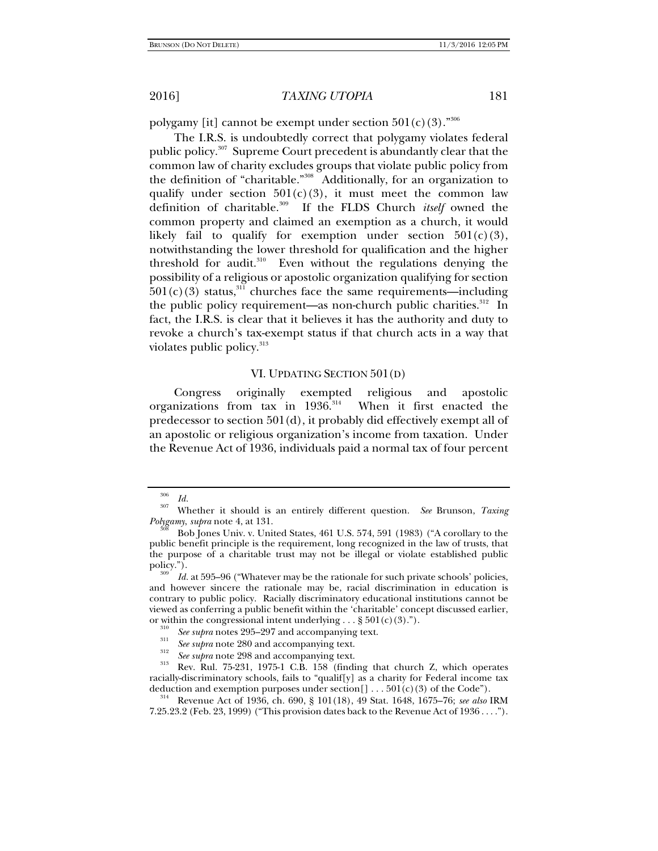polygamy [it] cannot be exempt under section  $501(c)(3)$ ."<sup>306</sup>

The I.R.S. is undoubtedly correct that polygamy violates federal public policy.<sup>307</sup> Supreme Court precedent is abundantly clear that the common law of charity excludes groups that violate public policy from the definition of "charitable."308 Additionally, for an organization to qualify under section  $501(c)(3)$ , it must meet the common law definition of charitable.309 If the FLDS Church *itself* owned the common property and claimed an exemption as a church, it would likely fail to qualify for exemption under section  $501(c)(3)$ , notwithstanding the lower threshold for qualification and the higher threshold for audit. $310$  Even without the regulations denying the possibility of a religious or apostolic organization qualifying for section  $501(c)(3)$  status,<sup>311</sup> churches face the same requirements—including the public policy requirement—as non-church public charities. $312$  In fact, the I.R.S. is clear that it believes it has the authority and duty to revoke a church's tax-exempt status if that church acts in a way that violates public policy.<sup>313</sup>

### VI. UPDATING SECTION 501(D)

Congress originally exempted religious and apostolic organizations from tax in  $1936$ .<sup>314</sup> When it first enacted the predecessor to section 501(d), it probably did effectively exempt all of an apostolic or religious organization's income from taxation. Under the Revenue Act of 1936, individuals paid a normal tax of four percent

<sup>306</sup>

*Id.* 307 Whether it should is an entirely different question. *See* Brunson, *Taxing Polygamy, supra* note 4, at 131.<br><sup>308</sup> Bob Jones Univ. v. United States, 461 U.S. 574, 591 (1983) ("A corollary to the

public benefit principle is the requirement, long recognized in the law of trusts, that the purpose of a charitable trust may not be illegal or violate established public

Id. at 595–96 ("Whatever may be the rationale for such private schools' policies, and however sincere the rationale may be, racial discrimination in education is contrary to public policy. Racially discriminatory educational institutions cannot be viewed as conferring a public benefit within the 'charitable' concept discussed earlier, or within the congressional intent underlying . . . § 501(c)(3).").<br><sup>310</sup> See supra notes 295–297 and accompanying text.

<sup>&</sup>lt;sup>311</sup> See supra note 280 and accompanying text.<br><sup>312</sup> See supra note 298 and accompanying text.<br><sup>313</sup> Rev. Rul. 75-231, 1975-1 C.B. 158 (finding that church Z, which operates racially-discriminatory schools, fails to "qualif[y] as a charity for Federal income tax deduction and exemption purposes under section[] . . . 501(c)(3) of the Code").

<sup>&</sup>lt;sup>314</sup> Revenue Act of 1936, ch. 690, § 101(18), 49 Stat. 1648, 1675–76; see also IRM 7.25.23.2 (Feb. 23, 1999) ("This provision dates back to the Revenue Act of 1936 . . . .").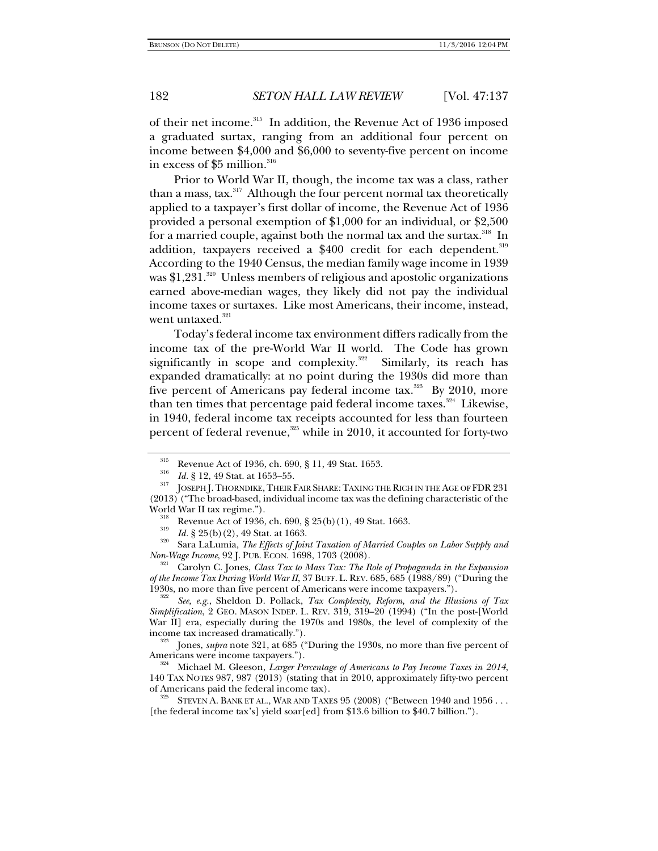of their net income.315 In addition, the Revenue Act of 1936 imposed a graduated surtax, ranging from an additional four percent on income between \$4,000 and \$6,000 to seventy-five percent on income in excess of \$5 million.<sup>316</sup>

Prior to World War II, though, the income tax was a class, rather than a mass, tax.<sup>317</sup> Although the four percent normal tax theoretically applied to a taxpayer's first dollar of income, the Revenue Act of 1936 provided a personal exemption of \$1,000 for an individual, or \$2,500 for a married couple, against both the normal tax and the surtax.<sup>318</sup> In addition, taxpayers received a \$400 credit for each dependent.<sup>319</sup> According to the 1940 Census, the median family wage income in 1939 was  $1,231$ <sup>320</sup> Unless members of religious and apostolic organizations earned above-median wages, they likely did not pay the individual income taxes or surtaxes. Like most Americans, their income, instead, went untaxed.<sup>321</sup>

Today's federal income tax environment differs radically from the income tax of the pre-World War II world. The Code has grown significantly in scope and complexity. $322$  Similarly, its reach has expanded dramatically: at no point during the 1930s did more than five percent of Americans pay federal income tax. $323$  By 2010, more than ten times that percentage paid federal income taxes.<sup>324</sup> Likewise, in 1940, federal income tax receipts accounted for less than fourteen percent of federal revenue, $325$  while in 2010, it accounted for forty-two

<sup>&</sup>lt;sup>315</sup> Revenue Act of 1936, ch. 690, § 11, 49 Stat. 1653.<br><sup>316</sup> *Id.* § 12, 49 Stat. at 1653–55.

<sup>&</sup>lt;sup>317</sup> JOSEPH J. THORNDIKE, THEIR FAIR SHARE: TAXING THE RICH IN THE AGE OF FDR 231 (2013) ("The broad-based, individual income tax was the defining characteristic of the

World War II tax regime.").<br><sup>318</sup> Revenue Act of 1936, ch. 690, § 25(b)(1), 49 Stat. 1663.<br><sup>319</sup> Id. § 25(b)(2), 49 Stat. at 1663.

<sup>&</sup>lt;sup>320</sup> Sara LaLumia, *The Effects of Joint Taxation of Married Couples on Labor Supply and Non-Wage Income, 92 J. PUB. ECON. 1698, 1703 (2008).* 

<sup>&</sup>lt;sup>321</sup> Carolyn C. Jones, *Class Tax to Mass Tax: The Role of Propaganda in the Expansion of the Income Tax During World War II*, 37 BUFF. L. REV. 685, 685 (1988/89) ("During the 1930s, no more than five percent of Americans were income taxpayers.").

*See, e.g.*, Sheldon D. Pollack, *Tax Complexity, Reform, and the Illusions of Tax Simplification*, 2 GEO. MASON INDEP. L. REV. 319, 319–20 (1994) ("In the post-[World War II] era, especially during the 1970s and 1980s, the level of complexity of the income tax increased dramatically.").

<sup>&</sup>lt;sup>323</sup> Jones, *supra* note 321, at 685 ("During the 1930s, no more than five percent of Americans were income taxpayers.").

<sup>&</sup>lt;sup>324</sup> Michael M. Gleeson, *Larger Percentage of Americans to Pay Income Taxes in 2014*, 140 TAX NOTES 987, 987 (2013) (stating that in 2010, approximately fifty-two percent of Americans paid the federal income tax).<br><sup>325</sup> STEVEN A. BANK ET AL., WAR AND TAXES  $95$  (2008) ("Between 1940 and 1956 . . .

<sup>[</sup>the federal income tax's] yield soar[ed] from \$13.6 billion to \$40.7 billion.").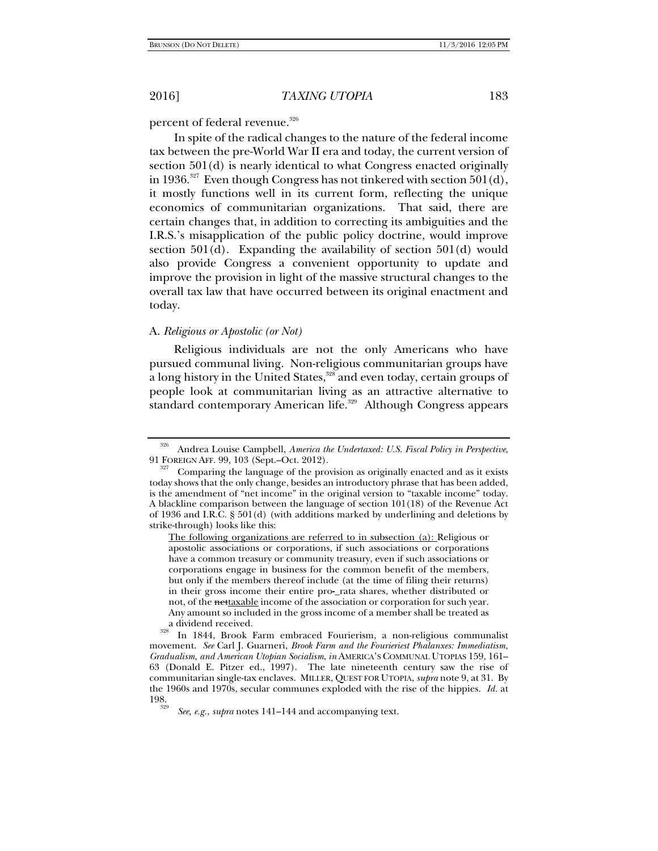percent of federal revenue.<sup>326</sup>

In spite of the radical changes to the nature of the federal income tax between the pre-World War II era and today, the current version of section 501(d) is nearly identical to what Congress enacted originally in 1936.<sup>327</sup> Even though Congress has not tinkered with section  $501(d)$ , it mostly functions well in its current form, reflecting the unique economics of communitarian organizations. That said, there are certain changes that, in addition to correcting its ambiguities and the I.R.S.'s misapplication of the public policy doctrine, would improve section  $501(d)$ . Expanding the availability of section  $501(d)$  would also provide Congress a convenient opportunity to update and improve the provision in light of the massive structural changes to the overall tax law that have occurred between its original enactment and today.

### A. *Religious or Apostolic (or Not)*

Religious individuals are not the only Americans who have pursued communal living. Non-religious communitarian groups have a long history in the United States,<sup>328</sup> and even today, certain groups of people look at communitarian living as an attractive alternative to standard contemporary American life.<sup>329</sup> Although Congress appears

<sup>326</sup> Andrea Louise Campbell, *America the Undertaxed: U.S. Fiscal Policy in Perspective*, 91 FOREIGN AFF. 99, 103 (Sept.–Oct. 2012).<br><sup>327</sup> Comparing the language of the provision as originally enacted and as it exists

today shows that the only change, besides an introductory phrase that has been added, is the amendment of "net income" in the original version to "taxable income" today. A blackline comparison between the language of section 101(18) of the Revenue Act of 1936 and I.R.C. § 501(d) (with additions marked by underlining and deletions by strike-through) looks like this:

The following organizations are referred to in subsection (a): Religious or apostolic associations or corporations, if such associations or corporations have a common treasury or community treasury, even if such associations or corporations engage in business for the common benefit of the members, but only if the members thereof include (at the time of filing their returns) in their gross income their entire pro-\_rata shares, whether distributed or not, of the nettaxable income of the association or corporation for such year. Any amount so included in the gross income of a member shall be treated as a dividend received. 328 In 1844, Brook Farm embraced Fourierism, a non-religious communalist

movement. *See* Carl J. Guarneri, *Brook Farm and the Fourieriest Phalanxes: Immediatism, Gradualism, and American Utopian Socialism*, *in* AMERICA'S COMMUNAL UTOPIAS 159, 161– 63 (Donald E. Pitzer ed., 1997). The late nineteenth century saw the rise of communitarian single-tax enclaves. MILLER, QUEST FOR UTOPIA, *supra* note 9, at 31. By the 1960s and 1970s, secular communes exploded with the rise of the hippies. *Id.* at 198.

*See, e.g.*, *supra* notes 141–144 and accompanying text.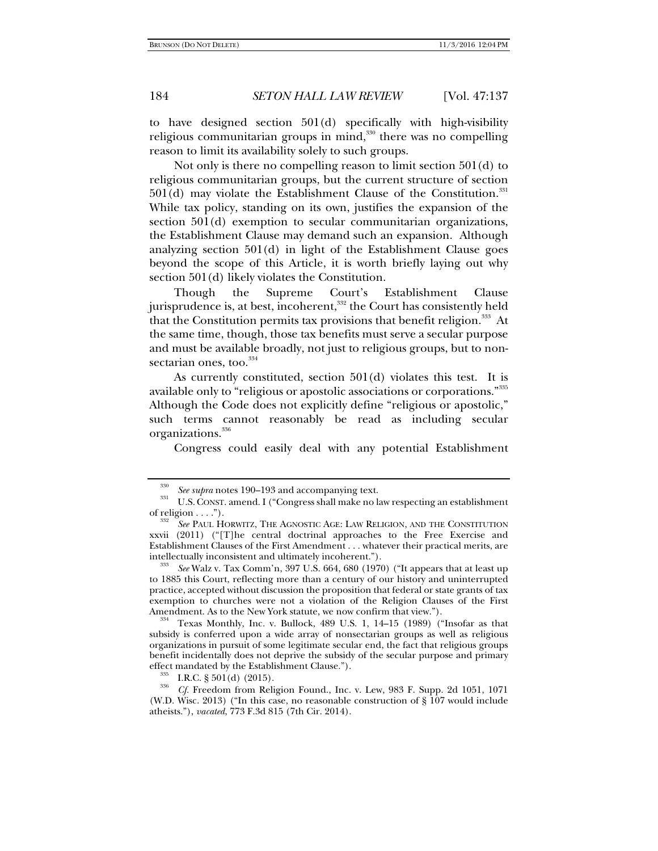to have designed section 501(d) specifically with high-visibility religious communitarian groups in mind,<sup>330</sup> there was no compelling reason to limit its availability solely to such groups.

Not only is there no compelling reason to limit section 501(d) to religious communitarian groups, but the current structure of section  $501(d)$  may violate the Establishment Clause of the Constitution.<sup>331</sup> While tax policy, standing on its own, justifies the expansion of the section 501(d) exemption to secular communitarian organizations, the Establishment Clause may demand such an expansion. Although analyzing section 501(d) in light of the Establishment Clause goes beyond the scope of this Article, it is worth briefly laying out why section 501(d) likely violates the Constitution.

Though the Supreme Court's Establishment Clause jurisprudence is, at best, incoherent,<sup>332</sup> the Court has consistently held that the Constitution permits tax provisions that benefit religion.<sup>333</sup> At the same time, though, those tax benefits must serve a secular purpose and must be available broadly, not just to religious groups, but to nonsectarian ones, too.<sup>334</sup>

As currently constituted, section 501(d) violates this test. It is available only to "religious or apostolic associations or corporations."335 Although the Code does not explicitly define "religious or apostolic," such terms cannot reasonably be read as including secular organizations.<sup>336</sup>

Congress could easily deal with any potential Establishment

<sup>&</sup>lt;sup>330</sup>See supra notes 190–193 and accompanying text.<br><sup>331</sup>U.S. CONST. amend. I ("Congress shall make no law respecting an establishment of religion  $\dots$ ").

*See* PAUL HORWITZ, THE AGNOSTIC AGE: LAW RELIGION, AND THE CONSTITUTION xxvii (2011) ("[T]he central doctrinal approaches to the Free Exercise and Establishment Clauses of the First Amendment . . . whatever their practical merits, are intellectually inconsistent and ultimately incoherent.").

*See* Walz v. Tax Comm'n, 397 U.S. 664, 680 (1970) ("It appears that at least up to 1885 this Court, reflecting more than a century of our history and uninterrupted practice, accepted without discussion the proposition that federal or state grants of tax exemption to churches were not a violation of the Religion Clauses of the First Amendment. As to the New York statute, we now confirm that view.").<br><sup>334</sup> Texas Monthly, Inc. v. Bullock, 489 U.S. 1, 14–15 (1989) ("Insofar as that

subsidy is conferred upon a wide array of nonsectarian groups as well as religious organizations in pursuit of some legitimate secular end, the fact that religious groups benefit incidentally does not deprive the subsidy of the secular purpose and primary effect mandated by the Establishment Clause.").

<sup>&</sup>lt;sup>335</sup> I.R.C. § 501(d) (2015).<br><sup>336</sup> *Cf.* Freedom from Religion Found., Inc. v. Lew, 983 F. Supp. 2d 1051, 1071 (W.D. Wisc. 2013) ("In this case, no reasonable construction of  $\S$  107 would include atheists."), *vacated*, 773 F.3d 815 (7th Cir. 2014).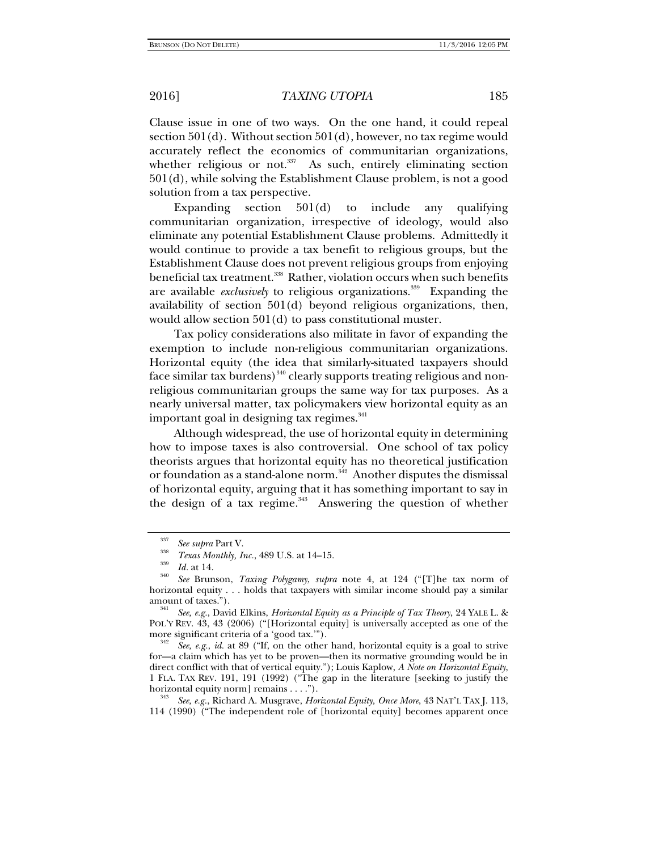Clause issue in one of two ways. On the one hand, it could repeal section 501(d). Without section 501(d), however, no tax regime would accurately reflect the economics of communitarian organizations, whether religious or not. $337$  As such, entirely eliminating section 501(d), while solving the Establishment Clause problem, is not a good solution from a tax perspective.

Expanding section 501(d) to include any qualifying communitarian organization, irrespective of ideology, would also eliminate any potential Establishment Clause problems. Admittedly it would continue to provide a tax benefit to religious groups, but the Establishment Clause does not prevent religious groups from enjoying beneficial tax treatment.<sup>338</sup> Rather, violation occurs when such benefits are available *exclusively* to religious organizations.<sup>339</sup> Expanding the availability of section 501(d) beyond religious organizations, then, would allow section 501(d) to pass constitutional muster.

Tax policy considerations also militate in favor of expanding the exemption to include non-religious communitarian organizations. Horizontal equity (the idea that similarly-situated taxpayers should face similar tax burdens)<sup>340</sup> clearly supports treating religious and nonreligious communitarian groups the same way for tax purposes. As a nearly universal matter, tax policymakers view horizontal equity as an important goal in designing tax regimes.<sup>341</sup>

Although widespread, the use of horizontal equity in determining how to impose taxes is also controversial. One school of tax policy theorists argues that horizontal equity has no theoretical justification or foundation as a stand-alone norm.<sup>342</sup> Another disputes the dismissal of horizontal equity, arguing that it has something important to say in the design of a tax regime. $343$  Answering the question of whether

<sup>337</sup>

<sup>&</sup>lt;sup>337</sup> *See supra* Part V.<br><sup>338</sup> *Texas Monthly, Inc.*, 489 U.S. at 14–15.

*Texas Monthly, Inc.*, 489 U.S. at 14–15. 339 *Id.* at 14. 340 *See* Brunson, *Taxing Polygamy*, *supra* note 4, at 124 ("[T]he tax norm of horizontal equity . . . holds that taxpayers with similar income should pay a similar amount of taxes.").

*See, e.g.*, David Elkins, *Horizontal Equity as a Principle of Tax Theory*, 24 YALE L. & POL'Y REV. 43, 43 (2006) ("[Horizontal equity] is universally accepted as one of the more significant criteria of a 'good tax."").

*See, e.g.*, *id.* at 89 ("If, on the other hand, horizontal equity is a goal to strive for—a claim which has yet to be proven—then its normative grounding would be in direct conflict with that of vertical equity."); Louis Kaplow, *A Note on Horizontal Equity*, 1 FLA. TAX REV. 191, 191 (1992) ("The gap in the literature [seeking to justify the horizontal equity norm] remains . . . .").

*See, e.g.*, Richard A. Musgrave, *Horizontal Equity, Once More*, 43 NAT'L TAX J. 113, 114 (1990) ("The independent role of [horizontal equity] becomes apparent once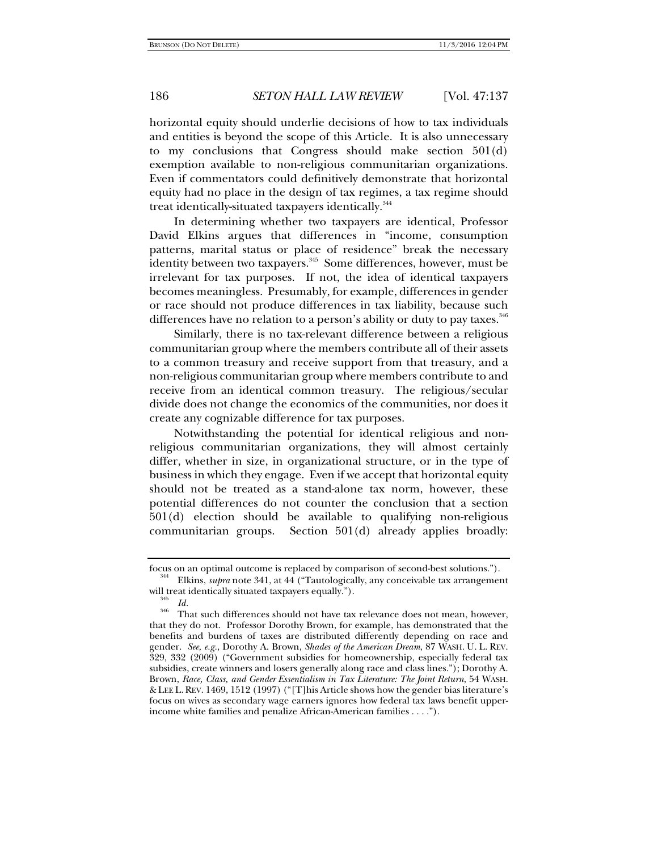horizontal equity should underlie decisions of how to tax individuals and entities is beyond the scope of this Article. It is also unnecessary to my conclusions that Congress should make section 501(d) exemption available to non-religious communitarian organizations. Even if commentators could definitively demonstrate that horizontal equity had no place in the design of tax regimes, a tax regime should treat identically-situated taxpayers identically.<sup>344</sup>

In determining whether two taxpayers are identical, Professor David Elkins argues that differences in "income, consumption patterns, marital status or place of residence" break the necessary identity between two taxpayers.<sup>345</sup> Some differences, however, must be irrelevant for tax purposes. If not, the idea of identical taxpayers becomes meaningless. Presumably, for example, differences in gender or race should not produce differences in tax liability, because such differences have no relation to a person's ability or duty to pay taxes.<sup>346</sup>

Similarly, there is no tax-relevant difference between a religious communitarian group where the members contribute all of their assets to a common treasury and receive support from that treasury, and a non-religious communitarian group where members contribute to and receive from an identical common treasury. The religious/secular divide does not change the economics of the communities, nor does it create any cognizable difference for tax purposes.

Notwithstanding the potential for identical religious and nonreligious communitarian organizations, they will almost certainly differ, whether in size, in organizational structure, or in the type of business in which they engage. Even if we accept that horizontal equity should not be treated as a stand-alone tax norm, however, these potential differences do not counter the conclusion that a section 501(d) election should be available to qualifying non-religious communitarian groups. Section 501(d) already applies broadly:

focus on an optimal outcome is replaced by comparison of second-best solutions."). 344 Elkins, *supra* note 341, at 44 ("Tautologically, any conceivable tax arrangement will treat identically situated taxpayers equally.").<br> $\frac{345}{1}$  *Id.* 

<sup>&</sup>lt;sup>346</sup> That such differences should not have tax relevance does not mean, however, that they do not. Professor Dorothy Brown, for example, has demonstrated that the benefits and burdens of taxes are distributed differently depending on race and gender. *See, e.g.*, Dorothy A. Brown, *Shades of the American Dream*, 87 WASH. U. L. REV. 329, 332 (2009) ("Government subsidies for homeownership, especially federal tax subsidies, create winners and losers generally along race and class lines."); Dorothy A. Brown, *Race, Class, and Gender Essentialism in Tax Literature: The Joint Return*, 54 WASH. & LEE L. REV. 1469, 1512 (1997) ("[T]his Article shows how the gender bias literature's focus on wives as secondary wage earners ignores how federal tax laws benefit upperincome white families and penalize African-American families . . . .").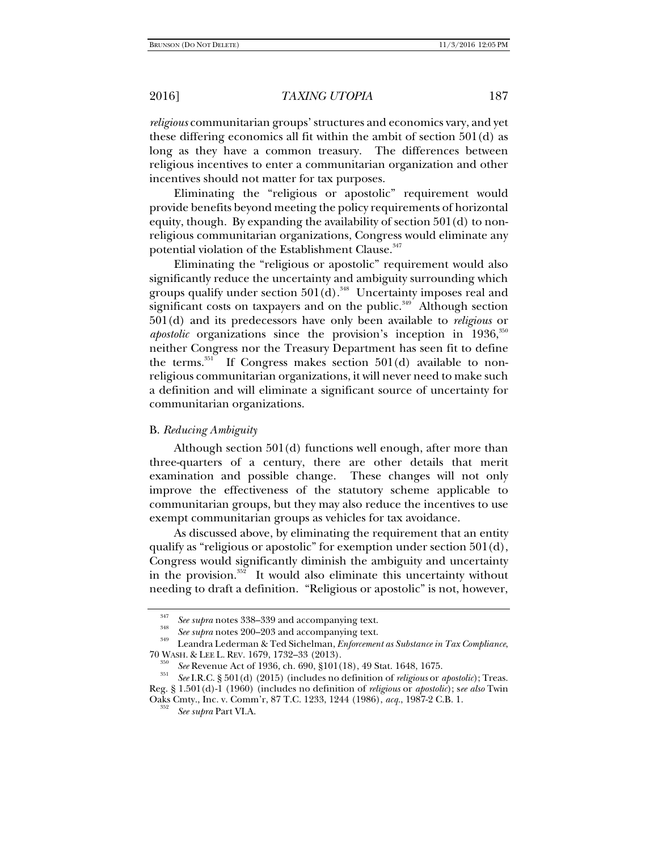*religious* communitarian groups' structures and economics vary, and yet these differing economics all fit within the ambit of section 501(d) as long as they have a common treasury. The differences between religious incentives to enter a communitarian organization and other incentives should not matter for tax purposes.

Eliminating the "religious or apostolic" requirement would provide benefits beyond meeting the policy requirements of horizontal equity, though. By expanding the availability of section 501(d) to nonreligious communitarian organizations, Congress would eliminate any potential violation of the Establishment Clause.<sup>347</sup>

Eliminating the "religious or apostolic" requirement would also significantly reduce the uncertainty and ambiguity surrounding which groups qualify under section  $501(d)$ .<sup>348</sup> Uncertainty imposes real and significant costs on taxpayers and on the public.<sup>349</sup> Although section 501(d) and its predecessors have only been available to *religious* or apostolic organizations since the provision's inception in 1936,<sup>350</sup> neither Congress nor the Treasury Department has seen fit to define the terms.<sup>351</sup> If Congress makes section  $501(d)$  available to nonreligious communitarian organizations, it will never need to make such a definition and will eliminate a significant source of uncertainty for communitarian organizations.

## B. *Reducing Ambiguity*

Although section 501(d) functions well enough, after more than three-quarters of a century, there are other details that merit examination and possible change. These changes will not only improve the effectiveness of the statutory scheme applicable to communitarian groups, but they may also reduce the incentives to use exempt communitarian groups as vehicles for tax avoidance.

As discussed above, by eliminating the requirement that an entity qualify as "religious or apostolic" for exemption under section 501(d), Congress would significantly diminish the ambiguity and uncertainty in the provision. $352$  It would also eliminate this uncertainty without needing to draft a definition. "Religious or apostolic" is not, however,

<sup>&</sup>lt;sup>347</sup> See supra notes 338–339 and accompanying text.<br><sup>348</sup> See supra notes 200–203 and accompanying text.

<sup>&</sup>lt;sup>349</sup> Leandra Lederman & Ted Sichelman, *Enforcement as Substance in Tax Compliance*, 70 WASH. & LEE L. REV. 1679, 1732–33 (2013).

<sup>&</sup>lt;sup>350</sup> See Revenue Act of 1936, ch. 690, §101(18), 49 Stat. 1648, 1675.<br><sup>351</sup> See I.R.C. § 501(d) (2015) (includes no definition of *religious* or *apostolic*); Treas. Reg. § 1.501(d)-1 (1960) (includes no definition of *religious* or *apostolic*); s*ee also* Twin Oaks Cmty., Inc. v. Comm'r, 87 T.C. 1233, 1244 (1986), *acq.*, 1987-2 C.B. 1. 352

*See supra* Part VI.A.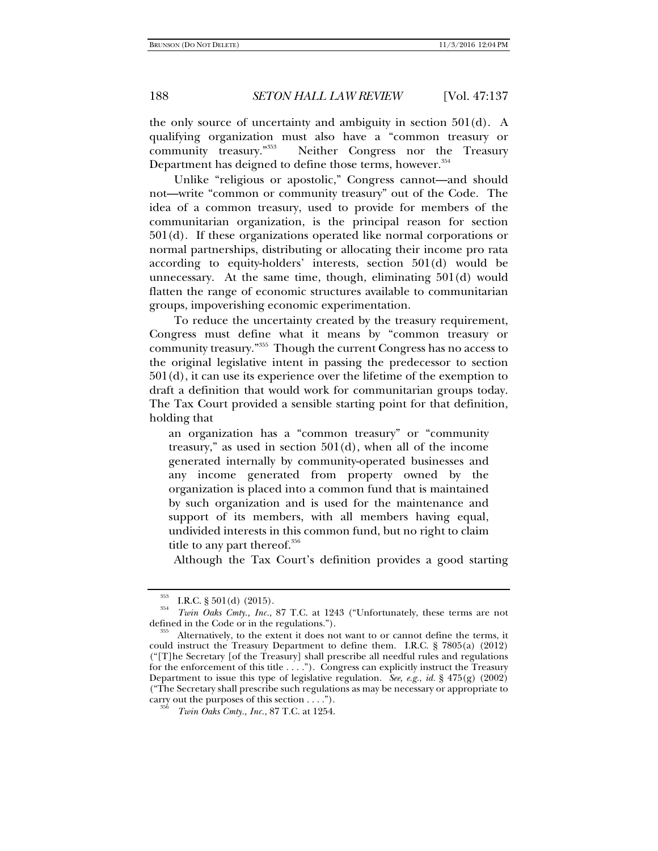the only source of uncertainty and ambiguity in section  $501(d)$ . A qualifying organization must also have a "common treasury or community treasury."353 Neither Congress nor the Treasury Department has deigned to define those terms, however.<sup>354</sup>

Unlike "religious or apostolic," Congress cannot—and should not—write "common or community treasury" out of the Code. The idea of a common treasury, used to provide for members of the communitarian organization, is the principal reason for section 501(d). If these organizations operated like normal corporations or normal partnerships, distributing or allocating their income pro rata according to equity-holders' interests, section 501(d) would be unnecessary. At the same time, though, eliminating 501(d) would flatten the range of economic structures available to communitarian groups, impoverishing economic experimentation.

To reduce the uncertainty created by the treasury requirement, Congress must define what it means by "common treasury or community treasury."355 Though the current Congress has no access to the original legislative intent in passing the predecessor to section  $501(d)$ , it can use its experience over the lifetime of the exemption to draft a definition that would work for communitarian groups today. The Tax Court provided a sensible starting point for that definition, holding that

an organization has a "common treasury" or "community treasury," as used in section  $501(d)$ , when all of the income generated internally by community-operated businesses and any income generated from property owned by the organization is placed into a common fund that is maintained by such organization and is used for the maintenance and support of its members, with all members having equal, undivided interests in this common fund, but no right to claim title to any part thereof.<sup>356</sup>

Although the Tax Court's definition provides a good starting

 $\frac{353}{354}$  I.R.C. § 501(d) (2015).

*Twin Oaks Cmty., Inc.*, 87 T.C. at 1243 ("Unfortunately, these terms are not defined in the Code or in the regulations.").<br><sup>355</sup> Alternatively, to the extent it does not want to or cannot define the terms, it

could instruct the Treasury Department to define them. I.R.C. § 7805(a) (2012) ("[T]he Secretary [of the Treasury] shall prescribe all needful rules and regulations for the enforcement of this title . . . ."). Congress can explicitly instruct the Treasury Department to issue this type of legislative regulation. *See, e.g.*, *id.* § 475(g) (2002) ("The Secretary shall prescribe such regulations as may be necessary or appropriate to carry out the purposes of this section  $\dots$ .").

*Twin Oaks Cmty., Inc.*, 87 T.C. at 1254.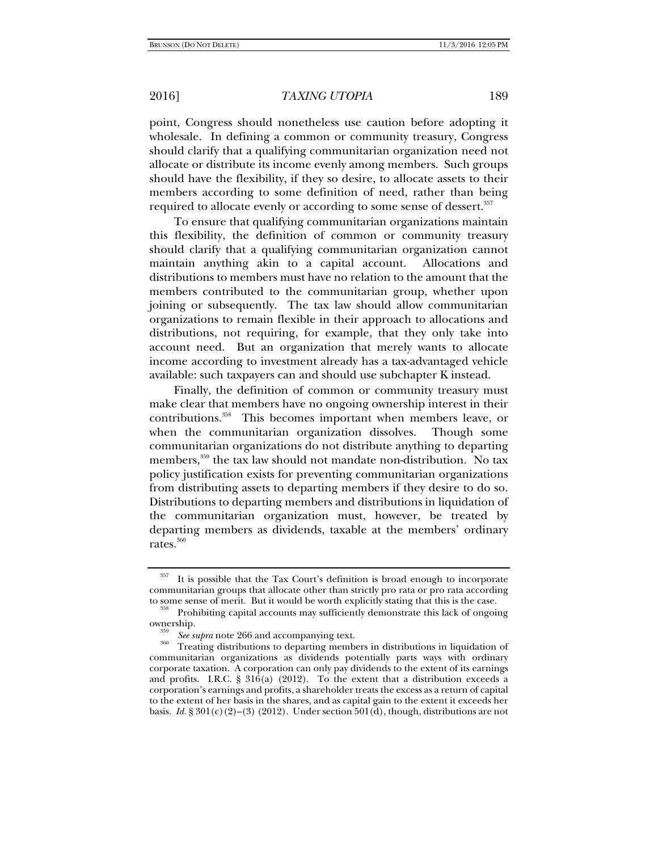point, Congress should nonetheless use caution before adopting it wholesale. In defining a common or community treasury, Congress should clarify that a qualifying communitarian organization need not allocate or distribute its income evenly among members. Such groups should have the flexibility, if they so desire, to allocate assets to their members according to some definition of need, rather than being required to allocate evenly or according to some sense of dessert.<sup>357</sup>

To ensure that qualifying communitarian organizations maintain this flexibility, the definition of common or community treasury should clarify that a qualifying communitarian organization cannot maintain anything akin to a capital account. Allocations and distributions to members must have no relation to the amount that the members contributed to the communitarian group, whether upon joining or subsequently. The tax law should allow communitarian organizations to remain flexible in their approach to allocations and distributions, not requiring, for example, that they only take into account need. But an organization that merely wants to allocate income according to investment already has a tax-advantaged vehicle available: such taxpayers can and should use subchapter K instead.

Finally, the definition of common or community treasury must make clear that members have no ongoing ownership interest in their contributions.358 This becomes important when members leave, or when the communitarian organization dissolves. Though some communitarian organizations do not distribute anything to departing members,<sup>359</sup> the tax law should not mandate non-distribution. No tax policy justification exists for preventing communitarian organizations from distributing assets to departing members if they desire to do so. Distributions to departing members and distributions in liquidation of the communitarian organization must, however, be treated by departing members as dividends, taxable at the members' ordinary rates.<sup>360</sup>

It is possible that the Tax Court's definition is broad enough to incorporate communitarian groups that allocate other than strictly pro rata or pro rata according

Prohibiting capital accounts may sufficiently demonstrate this lack of ongoing. ownership.<br><sup>359</sup> See supra note 266 and accompanying text.

<sup>&</sup>lt;sup>360</sup> Treating distributions to departing members in distributions in liquidation of communitarian organizations as dividends potentially parts ways with ordinary corporate taxation. A corporation can only pay dividends to the extent of its earnings and profits. I.R.C. §  $316(a)$  (2012). To the extent that a distribution exceeds a corporation's earnings and profits, a shareholder treats the excess as a return of capital to the extent of her basis in the shares, and as capital gain to the extent it exceeds her basis. *Id.* § 301(c)(2)–(3) (2012). Under section 501(d), though, distributions are not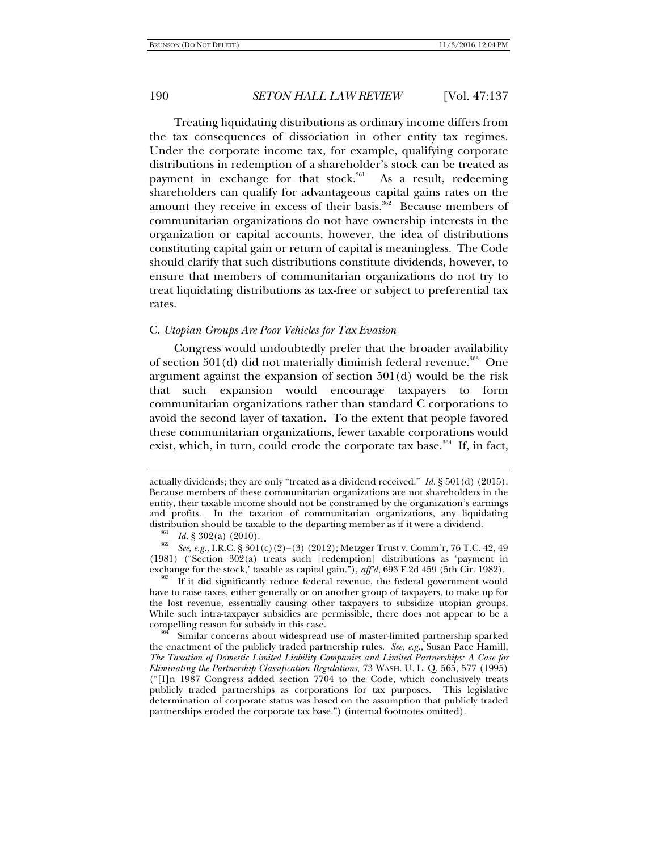Treating liquidating distributions as ordinary income differs from the tax consequences of dissociation in other entity tax regimes. Under the corporate income tax, for example, qualifying corporate distributions in redemption of a shareholder's stock can be treated as payment in exchange for that stock.<sup>361</sup> As a result, redeeming shareholders can qualify for advantageous capital gains rates on the amount they receive in excess of their basis.<sup>362</sup> Because members of communitarian organizations do not have ownership interests in the organization or capital accounts, however, the idea of distributions constituting capital gain or return of capital is meaningless. The Code should clarify that such distributions constitute dividends, however, to ensure that members of communitarian organizations do not try to treat liquidating distributions as tax-free or subject to preferential tax rates.

# C. *Utopian Groups Are Poor Vehicles for Tax Evasion*

Congress would undoubtedly prefer that the broader availability of section  $501(d)$  did not materially diminish federal revenue.<sup>363</sup> One argument against the expansion of section 501(d) would be the risk that such expansion would encourage taxpayers to form communitarian organizations rather than standard C corporations to avoid the second layer of taxation. To the extent that people favored these communitarian organizations, fewer taxable corporations would exist, which, in turn, could erode the corporate tax base.<sup>364</sup> If, in fact,

have to raise taxes, either generally or on another group of taxpayers, to make up for the lost revenue, essentially causing other taxpayers to subsidize utopian groups. While such intra-taxpayer subsidies are permissible, there does not appear to be a compelling reason for subsidy in this case.<br><sup>364</sup> Similar concerns about widespread use of master-limited partnership sparked

the enactment of the publicly traded partnership rules. *See, e.g.*, Susan Pace Hamill, *The Taxation of Domestic Limited Liability Companies and Limited Partnerships: A Case for Eliminating the Partnership Classification Regulations*, 73 WASH. U. L. Q. 565, 577 (1995) ("[I]n 1987 Congress added section 7704 to the Code, which conclusively treats publicly traded partnerships as corporations for tax purposes. This legislative determination of corporate status was based on the assumption that publicly traded partnerships eroded the corporate tax base.") (internal footnotes omitted).

actually dividends; they are only "treated as a dividend received." *Id.* § 501(d) (2015). Because members of these communitarian organizations are not shareholders in the entity, their taxable income should not be constrained by the organization's earnings and profits. In the taxation of communitarian organizations, any liquidating distribution should be taxable to the departing member as if it were a dividend.<br><sup>361</sup> Id. § 302(a) (2010).

<sup>&</sup>lt;sup>362</sup> *See, e.g.*, I.R.C. § 301(c)(2)–(3) (2012); Metzger Trust v. Comm'r, 76 T.C. 42, 49 (1981) ("Section 302(a) treats such [redemption] distributions as 'payment in exchange for the stock,' taxable as capital gain."), *aff'd*, 693 F.2d 459 (5th Cir. 1982).<br><sup>363</sup> If it did significantly reduce federal revenue, the federal government would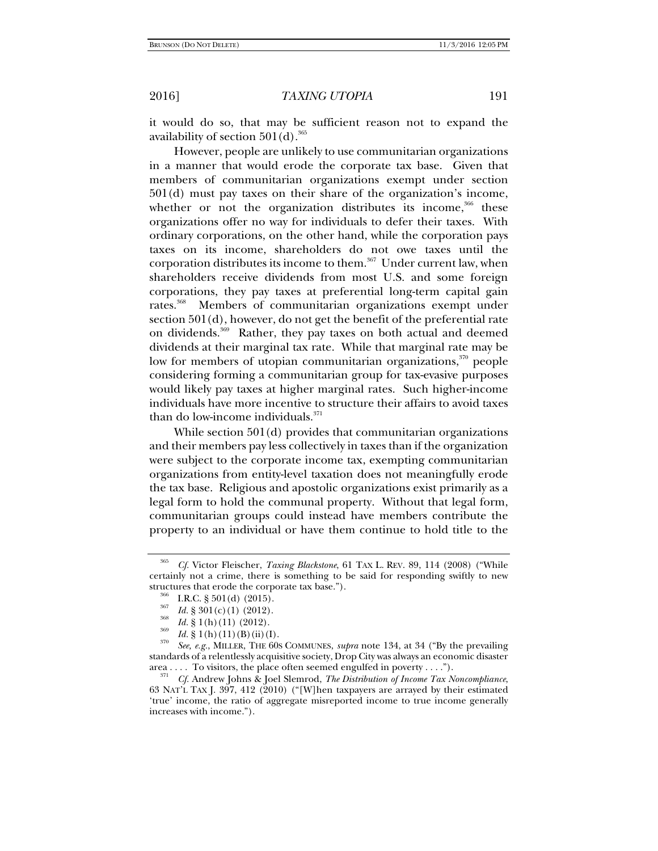it would do so, that may be sufficient reason not to expand the availability of section  $501(d).$ <sup>365</sup>

However, people are unlikely to use communitarian organizations in a manner that would erode the corporate tax base. Given that members of communitarian organizations exempt under section 501(d) must pay taxes on their share of the organization's income, whether or not the organization distributes its income,<sup>366</sup> these organizations offer no way for individuals to defer their taxes. With ordinary corporations, on the other hand, while the corporation pays taxes on its income, shareholders do not owe taxes until the corporation distributes its income to them.<sup>367</sup> Under current law, when shareholders receive dividends from most U.S. and some foreign corporations, they pay taxes at preferential long-term capital gain rates.<sup>368</sup> Members of communitarian organizations exempt under section 501(d), however, do not get the benefit of the preferential rate on dividends.369 Rather, they pay taxes on both actual and deemed dividends at their marginal tax rate. While that marginal rate may be low for members of utopian communitarian organizations,<sup>370</sup> people considering forming a communitarian group for tax-evasive purposes would likely pay taxes at higher marginal rates. Such higher-income individuals have more incentive to structure their affairs to avoid taxes than do low-income individuals. $371$ 

While section 501(d) provides that communitarian organizations and their members pay less collectively in taxes than if the organization were subject to the corporate income tax, exempting communitarian organizations from entity-level taxation does not meaningfully erode the tax base. Religious and apostolic organizations exist primarily as a legal form to hold the communal property. Without that legal form, communitarian groups could instead have members contribute the property to an individual or have them continue to hold title to the

<sup>365</sup> *Cf.* Victor Fleischer, *Taxing Blackstone*, 61 TAX L. REV. 89, 114 (2008) ("While certainly not a crime, there is something to be said for responding swiftly to new

<sup>&</sup>lt;sup>366</sup> I.R.C. § 501(d) (2015).<br><sup>367</sup> *Id.* § 301(c)(1) (2012).<br>*Id.* § 1(h)(11) (2012).

 $\frac{369}{370}$  *Id.* § 1(h)(11)(B)(ii)(I).

*See, e.g.*, MILLER, THE 60S COMMUNES, *supra* note 134, at 34 ("By the prevailing standards of a relentlessly acquisitive society, Drop City was always an economic disaster area . . . . To visitors, the place often seemed engulfed in poverty . . . .").<br><sup>371</sup> *Cf.* Andrew Johns & Joel Slemrod, *The Distribution of Income Tax Noncompliance*,

<sup>63</sup> NAT'L TAX J. 397, 412 (2010) ("[W]hen taxpayers are arrayed by their estimated 'true' income, the ratio of aggregate misreported income to true income generally increases with income.").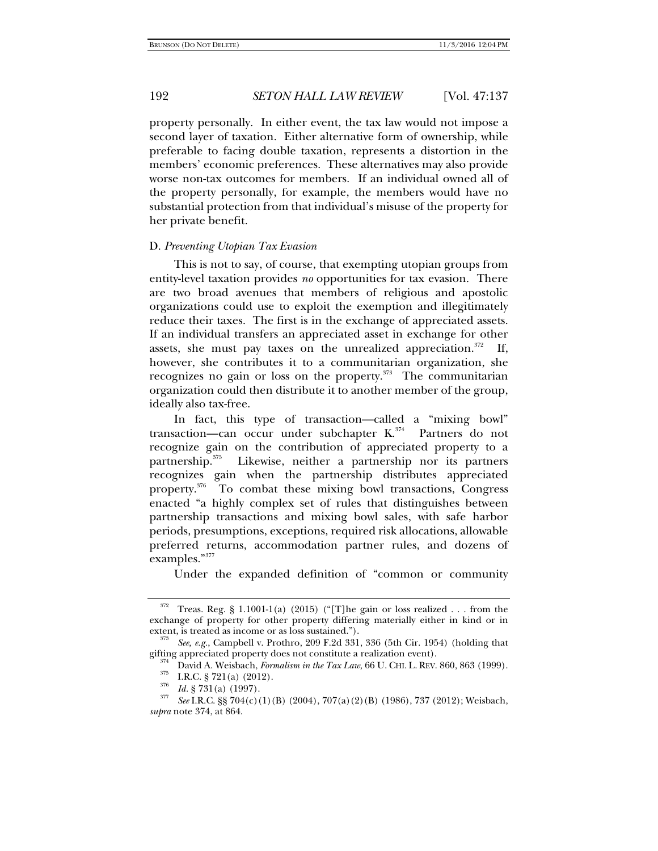property personally. In either event, the tax law would not impose a second layer of taxation. Either alternative form of ownership, while preferable to facing double taxation, represents a distortion in the members' economic preferences. These alternatives may also provide worse non-tax outcomes for members. If an individual owned all of the property personally, for example, the members would have no substantial protection from that individual's misuse of the property for her private benefit.

### D. *Preventing Utopian Tax Evasion*

This is not to say, of course, that exempting utopian groups from entity-level taxation provides *no* opportunities for tax evasion. There are two broad avenues that members of religious and apostolic organizations could use to exploit the exemption and illegitimately reduce their taxes. The first is in the exchange of appreciated assets. If an individual transfers an appreciated asset in exchange for other assets, she must pay taxes on the unrealized appreciation.<sup>372</sup> If, however, she contributes it to a communitarian organization, she recognizes no gain or loss on the property. $373$  The communitarian organization could then distribute it to another member of the group, ideally also tax-free.

In fact, this type of transaction—called a "mixing bowl" transaction—can occur under subchapter  $K^{374}$  Partners do not recognize gain on the contribution of appreciated property to a partnership.<sup>375</sup> Likewise, neither a partnership nor its partners Likewise, neither a partnership nor its partners recognizes gain when the partnership distributes appreciated property.<sup>376</sup> To combat these mixing bowl transactions, Congress enacted "a highly complex set of rules that distinguishes between partnership transactions and mixing bowl sales, with safe harbor periods, presumptions, exceptions, required risk allocations, allowable preferred returns, accommodation partner rules, and dozens of examples."377

Under the expanded definition of "common or community

Treas. Reg. § 1.1001-1(a) (2015) ("[T]he gain or loss realized  $\dots$  from the exchange of property for other property differing materially either in kind or in extent, is treated as income or as loss sustained.").

<sup>&</sup>lt;sup>373</sup> See, e.g., Campbell v. Prothro, 209 F.2d 331, 336 (5th Cir. 1954) (holding that gifting appreciated property does not constitute a realization event).

David A. Weisbach, Formalism in the Tax Law, 66 U. CHI. L. REV. 860, 863 (1999).<br>
T.R.C. § 721(a) (2012).<br>
Id. § 731(a) (1997).<br>
<sup>375</sup><br>
<sup>377</sup><br>
<sup>377</sup>

*See* I.R.C. §§ 704(c)(1)(B) (2004), 707(a)(2)(B) (1986), 737 (2012); Weisbach, *supra* note 374, at 864.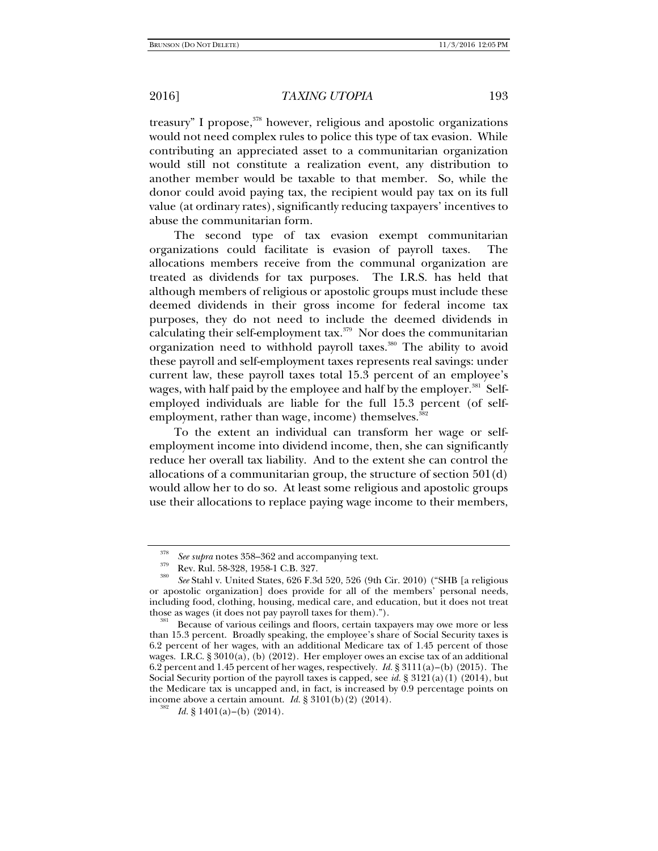treasury" I propose, $378$  however, religious and apostolic organizations would not need complex rules to police this type of tax evasion. While contributing an appreciated asset to a communitarian organization would still not constitute a realization event, any distribution to another member would be taxable to that member. So, while the donor could avoid paying tax, the recipient would pay tax on its full value (at ordinary rates), significantly reducing taxpayers' incentives to abuse the communitarian form.

The second type of tax evasion exempt communitarian organizations could facilitate is evasion of payroll taxes. The allocations members receive from the communal organization are treated as dividends for tax purposes. The I.R.S. has held that although members of religious or apostolic groups must include these deemed dividends in their gross income for federal income tax purposes, they do not need to include the deemed dividends in calculating their self-employment  $\text{tax.}^{379}$  Nor does the communitarian organization need to withhold payroll taxes.<sup>380</sup> The ability to avoid these payroll and self-employment taxes represents real savings: under current law, these payroll taxes total 15.3 percent of an employee's wages, with half paid by the employee and half by the employer.<sup>381</sup> Selfemployed individuals are liable for the full 15.3 percent (of selfemployment, rather than wage, income) themselves.<sup>382</sup>

To the extent an individual can transform her wage or selfemployment income into dividend income, then, she can significantly reduce her overall tax liability. And to the extent she can control the allocations of a communitarian group, the structure of section 501(d) would allow her to do so. At least some religious and apostolic groups use their allocations to replace paying wage income to their members,

<sup>378</sup> <sup>379</sup> See supra notes 358–362 and accompanying text.<br><sup>379</sup> Rev. Rul. 58-328, 1958-1 C.B. 327.<br><sup>380</sup> S. St. Line United States, 696, E.3.1, 590, 596, (0:1)

*See* Stahl v. United States, 626 F.3d 520, 526 (9th Cir. 2010) ("SHB [a religious or apostolic organization] does provide for all of the members' personal needs, including food, clothing, housing, medical care, and education, but it does not treat those as wages (it does not pay payroll taxes for them).").

Because of various ceilings and floors, certain taxpayers may owe more or less than 15.3 percent. Broadly speaking, the employee's share of Social Security taxes is 6.2 percent of her wages, with an additional Medicare tax of 1.45 percent of those wages. I.R.C. § 3010(a), (b) (2012). Her employer owes an excise tax of an additional 6.2 percent and 1.45 percent of her wages, respectively. *Id.* § 3111(a)–(b) (2015). The Social Security portion of the payroll taxes is capped, see *id.* § 3121(a)(1) (2014), but the Medicare tax is uncapped and, in fact, is increased by 0.9 percentage points on income above a certain amount. *Id.*  $\S 3101(b)(2)$  (2014).

*Id.* § 1401(a)–(b) (2014).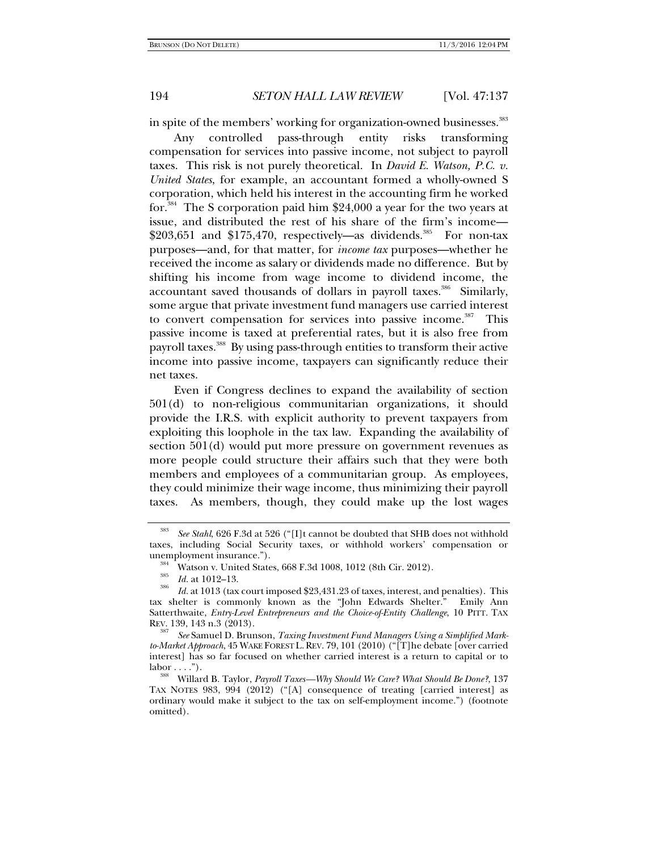in spite of the members' working for organization-owned businesses.<sup>383</sup>

Any controlled pass-through entity risks transforming compensation for services into passive income, not subject to payroll taxes. This risk is not purely theoretical. In *David E. Watson, P.C. v. United States*, for example, an accountant formed a wholly-owned S corporation, which held his interest in the accounting firm he worked for.<sup>384</sup> The S corporation paid him  $$24,000$  a year for the two years at issue, and distributed the rest of his share of the firm's income—  $$203,651$  and  $$175,470$ , respectively—as dividends.<sup>385</sup> For non-tax purposes—and, for that matter, for *income tax* purposes—whether he received the income as salary or dividends made no difference. But by shifting his income from wage income to dividend income, the accountant saved thousands of dollars in payroll taxes.<sup>386</sup> Similarly, some argue that private investment fund managers use carried interest to convert compensation for services into passive income.<sup>387</sup> This passive income is taxed at preferential rates, but it is also free from payroll taxes.<sup>388</sup> By using pass-through entities to transform their active income into passive income, taxpayers can significantly reduce their net taxes.

Even if Congress declines to expand the availability of section 501(d) to non-religious communitarian organizations, it should provide the I.R.S. with explicit authority to prevent taxpayers from exploiting this loophole in the tax law. Expanding the availability of section 501(d) would put more pressure on government revenues as more people could structure their affairs such that they were both members and employees of a communitarian group. As employees, they could minimize their wage income, thus minimizing their payroll taxes. As members, though, they could make up the lost wages

<sup>383</sup> *See Stahl*, 626 F.3d at 526 ("[I]t cannot be doubted that SHB does not withhold taxes, including Social Security taxes, or withhold workers' compensation or unemployment insurance.").<br><sup>384</sup> Watson v. United States, 668 F.3d 1008, 1012 (8th Cir. 2012).<br><sup>385</sup> *Id.* at 1012–13.<br>*Id.* at 1013 (tax court imposed \$23,431.23 of taxes, interest, and penalties). This

tax shelter is commonly known as the "John Edwards Shelter." Emily Ann Satterthwaite, *Entry-Level Entrepreneurs and the Choice-of-Entity Challenge*, 10 PITT. TAX REV. 139, 143 n.3 (2013).

<sup>387</sup> *See* Samuel D. Brunson, *Taxing Investment Fund Managers Using a Simplified Markto-Market Approach*, 45 WAKE FOREST L.REV. 79, 101 (2010) ("[T]he debate [over carried interest] has so far focused on whether carried interest is a return to capital or to labor . . . ."). 388 Willard B. Taylor, *Payroll Taxes—Why Should We Care? What Should Be Done?*, 137

TAX NOTES 983, 994 (2012) ("[A] consequence of treating [carried interest] as ordinary would make it subject to the tax on self-employment income.") (footnote omitted).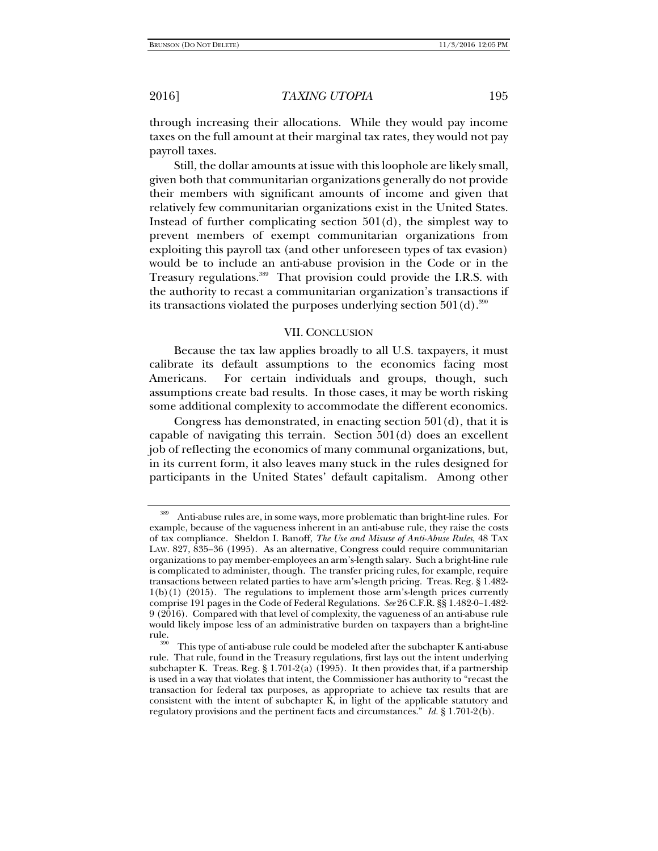through increasing their allocations. While they would pay income taxes on the full amount at their marginal tax rates, they would not pay payroll taxes.

Still, the dollar amounts at issue with this loophole are likely small, given both that communitarian organizations generally do not provide their members with significant amounts of income and given that relatively few communitarian organizations exist in the United States. Instead of further complicating section  $501(d)$ , the simplest way to prevent members of exempt communitarian organizations from exploiting this payroll tax (and other unforeseen types of tax evasion) would be to include an anti-abuse provision in the Code or in the Treasury regulations.<sup>389</sup> That provision could provide the I.R.S. with the authority to recast a communitarian organization's transactions if its transactions violated the purposes underlying section  $501(d)$ .<sup>390</sup>

# VII. CONCLUSION

Because the tax law applies broadly to all U.S. taxpayers, it must calibrate its default assumptions to the economics facing most Americans. For certain individuals and groups, though, such assumptions create bad results. In those cases, it may be worth risking some additional complexity to accommodate the different economics.

Congress has demonstrated, in enacting section 501(d), that it is capable of navigating this terrain. Section 501(d) does an excellent job of reflecting the economics of many communal organizations, but, in its current form, it also leaves many stuck in the rules designed for participants in the United States' default capitalism. Among other

<sup>389</sup> Anti-abuse rules are, in some ways, more problematic than bright-line rules. For example, because of the vagueness inherent in an anti-abuse rule, they raise the costs of tax compliance. Sheldon I. Banoff, *The Use and Misuse of Anti-Abuse Rules*, 48 TAX LAW. 827, 835–36 (1995). As an alternative, Congress could require communitarian organizations to pay member-employees an arm's-length salary. Such a bright-line rule is complicated to administer, though. The transfer pricing rules, for example, require transactions between related parties to have arm's-length pricing. Treas. Reg. § 1.482- 1(b)(1) (2015). The regulations to implement those arm's-length prices currently comprise 191 pages in the Code of Federal Regulations. *See* 26 C.F.R. §§ 1.482-0--1.482- 9 (2016). Compared with that level of complexity, the vagueness of an anti-abuse rule would likely impose less of an administrative burden on taxpayers than a bright-line rule. 390 This type of anti-abuse rule could be modeled after the subchapter K anti-abuse

rule. That rule, found in the Treasury regulations, first lays out the intent underlying subchapter K. Treas. Reg. § 1.701-2(a) (1995). It then provides that, if a partnership is used in a way that violates that intent, the Commissioner has authority to "recast the transaction for federal tax purposes, as appropriate to achieve tax results that are consistent with the intent of subchapter  $\overline{K}$ , in light of the applicable statutory and regulatory provisions and the pertinent facts and circumstances." *Id.* § 1.701-2(b).